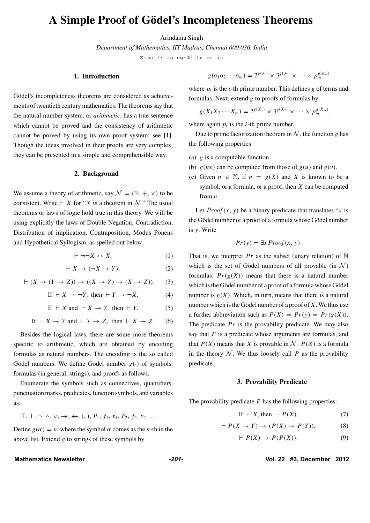# **A Simple Proof of Godel's Incompleteness Theorems ¨**

#### Arindama Singh

*Department of Mathematics, IIT Madras, Chennai 600 036, India*

E-mail: asingh@iitm.ac.in

#### **1. Introduction**

Gödel's incompleteness theorems are considered as achievements of twentieth century mathematics. The theorems say that the natural number system, or *arithmetic*, has a true sentence which cannot be proved and the consistency of arithmetic cannot be proved by using its own proof system; see [1]. Though the ideas involved in their proofs are very complex, they can be presented in a simple and comprehensible way.

#### **2. Background**

We assume a theory of arithmetic, say  $\mathcal{N} = (\mathbb{N}, +, \times)$  to be consistent. Write  $\vdash X$  for "*X* is a theorem in *N*." The usual theorems or laws of logic hold true in this theory. We will be using explicitly the laws of Double Negation, Contradiction, Distribution of implication, Contraposition, Modus Ponens and Hypothetical Syllogism, as spelled out below.

$$
\vdash \neg\neg X \leftrightarrow X. \tag{1}
$$

$$
\vdash X \to (\neg X \to Y). \tag{2}
$$

$$
\vdash (X \to (Y \to Z)) \to ((X \to Y) \to (X \to Z)).
$$
 (3)

$$
If \vdash X \to \neg Y, then \vdash Y \to \neg X. \tag{4}
$$

If 
$$
\vdash X
$$
 and  $\vdash X \rightarrow Y$ , then  $\vdash Y$ . (5)

If 
$$
\vdash X \to Y
$$
 and  $\vdash Y \to Z$ , then  $\vdash X \to Z$ . (6)

Besides the logical laws, there are some more theorems specific to arithmetic, which are obtained by encoding formulas as natural numbers. The encoding is the so called Gödel numbers. We define Gödel number  $g(\cdot)$  of symbols, formulas (in general, strings), and proofs as follows.

Enumerate the symbols such as connectives, quantifiers, punctuation marks, predicates, function symbols, and variables as:

$$
\top, \bot, \neg, \wedge, \vee, \rightarrow, \leftrightarrow, (,,), P_1, f_1, x_1, P_2, f_2, x_2, \ldots
$$

Define  $g(\sigma) = n$ , where the symbol  $\sigma$  comes as the *n*-th in the above list. Extend *g* to strings of these symbols by

$$
g(\sigma_1\sigma_2\cdots\sigma_m)=2^{g(\sigma_1)}\times 3^{g(\sigma_2)}\times\cdots\times p_m^{g(\sigma_m)}
$$

where  $p_i$  is the *i*-th prime number. This defines *g* of terms and formulas. Next, extend *g* to proofs of formulas by

$$
g(X_1X_2\cdots X_m) = 2^{g(X_1)} \times 3^{g(X_2)} \times \cdots \times p_m^{g(X_m)}.
$$

where again  $p_i$  is the *i*-th prime number.

Due to prime factorization theorem in  $N$ , the function *g* has the following properties:

- (a) *g* is a computable function.
- (b)  $g(uv)$  can be computed from those of  $g(u)$  and  $g(v)$ .
- (c) Given  $n \in \mathbb{N}$ , if  $n = g(X)$  and X is known to be a symbol, or a formula, or a proof, then *X* can be computed from *n*.

Let  $Proof(x, y)$  be a binary predicate that translates "*x* is the Gödel number of a proof of a formula whose Gödel number is *y*. Write

$$
Pr(y) = \exists x \, Proof(x, y).
$$

That is, we interpret *Pr* as the subset (unary relation) of  $N$ which is the set of Gödel numbers of all provable (in  $\mathcal{N}$ ) formulas.  $Pr(g(X))$  means that there is a natural number which is the Gödel number of a proof of a formula whose Gödel number is  $g(X)$ . Which, in turn, means that there is a natural number which is the Gödel number of a proof of  $X$ . We thus use a further abbreviation such as  $P(X) = Pr(y) = Pr(g(X))$ . The predicate  $Pr$  is the provability predicate. We may also say that *P* is a predicate whose arguments are formulas, and that  $P(X)$  means that *X* is provable in *N*.  $P(X)$  is a formula in the theory  $N$ . We thus loosely call *P* as the provability predicate.

#### **3. Provability Predicate**

The provability predicate *P* has the following properties:

$$
If \vdash X, then \vdash P(X). \tag{7}
$$

$$
\vdash P(X \to Y) \to (P(X) \to P(Y)). \tag{8}
$$

$$
\vdash P(X) \to P(P(X)). \tag{9}
$$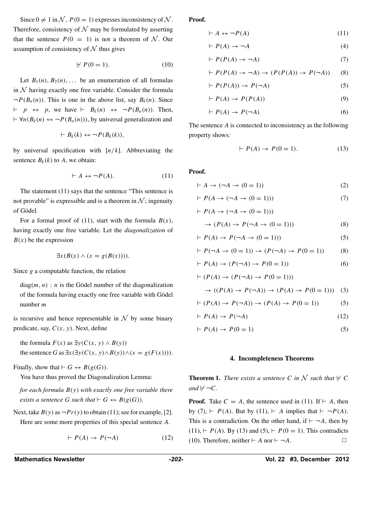Since  $0 \neq 1$  in N,  $P(0 = 1)$  expresses inconsistency of N. Therefore, consistency of  $N$  may be formulated by asserting that the sentence  $P(0 = 1)$  is not a theorem of N. Our assumption of consistency of  $N$  thus gives

$$
\forall P(0=1). \tag{10}
$$

Let  $B_1(n)$ ,  $B_2(n)$ , ... be an enumeration of all formulas in  $N$  having exactly one free variable. Consider the formula  $\neg P(B_n(n))$ . This is one in the above list, say  $B_k(n)$ . Since  $\vdash$  *p*  $\leftrightarrow$  *p*, we have  $\vdash$  *B<sub>k</sub>*(*n*)  $\leftrightarrow$   $\neg P(B_n(n))$ . Then,  $\vdash \forall n(B_k(n) \leftrightarrow \neg P(B_n(n)))$ , by universal generalization and

$$
\vdash B_k(k) \leftrightarrow \neg P(B_k(k)),
$$

by universal specification with [*n/k*]. Abbreviating the sentence  $B_k(k)$  to A, we obtain:

$$
\vdash A \leftrightarrow \neg P(A). \tag{11}
$$

The statement (11) says that the sentence "This sentence is not provable" is expressible and is a theorem in  $N$ ; ingenuity of Gödel.

For a formal proof of (11), start with the formula  $B(x)$ , having exactly one free variable. Let the *diagonalization* of  $B(x)$  be the expression

$$
\exists x (B(x) \land (x = g(B(x)))).
$$

Since *g* a computable function, the relation

 $diag(m, n)$ : *n* is the Gödel number of the diagonalization of the formula having exactly one free variable with Gödel number *m*

is recursive and hence representable in  $N$  by some binary predicate, say, *C(x, y)*. Next, define

the formula  $F(x)$  as  $\exists y(C(x, y) \land B(y))$ the sentence *G* as  $\exists x(\exists y(C(x, y) \land B(y)) \land (x = g(F(x))))$ .

Finally, show that  $\vdash G \leftrightarrow B(g(G))$ .

You have thus proved the Diagonalization Lemma:

*for each formula B(y) with exactly one free variable there exists a sentence G such that*  $\vdash$  *G*  $\Leftrightarrow$  *B*(*g*(*G*))*.* 

Next, take  $B(y)$  as  $\neg Pr(y)$  to obtain (11); see for example, [2]. Here are some more properties of this special sentence *A*.

$$
\vdash P(A) \to P(\neg A) \tag{12}
$$

**Proof.**

$$
\vdash A \leftrightarrow \neg P(A) \tag{11}
$$

$$
\vdash P(A) \to \neg A \tag{4}
$$

$$
\vdash P(P(A) \to \neg A) \tag{7}
$$

$$
\vdash P(P(A) \to \neg A) \to (P(P(A)) \to P(\neg A)) \tag{8}
$$

$$
\vdash P(P(A)) \to P(\neg A) \tag{5}
$$

$$
\vdash P(A) \to P(P(A)) \tag{9}
$$

$$
\vdash P(A) \to P(\neg A) \tag{6}
$$

The sentence *A* is connected to inconsistency as the following property shows:

$$
\vdash P(A) \to P(0=1). \tag{13}
$$

**Proof.**

$$
\vdash A \to (\neg A \to (0 = 1))
$$
\n<sup>(2)</sup>

$$
\vdash P(A \to (\neg A \to (0 = 1))) \tag{7}
$$

$$
\rightarrow (P(A) \rightarrow P(\neg A \rightarrow (0 = 1))) \tag{8}
$$

$$
\vdash P(A) \to P(\neg A \to (0 = 1)))\tag{5}
$$

$$
\vdash P(\neg A \to (0 = 1)) \to (P(\neg A) \to P(0 = 1))
$$
 (8)

$$
\vdash P(A) \to (P(\neg A) \to P(0=1))
$$
\n<sup>(6)</sup>

$$
\vdash (P(A) \to (P(\neg A) \to P(0=1)))
$$

 $\vdash$   $P(A \rightarrow (\neg A \rightarrow (0 = 1)))$ 

$$
\rightarrow ((P(A) \rightarrow P(\neg A)) \rightarrow (P(A) \rightarrow P(0=1))) \quad (3)
$$

$$
\vdash (P(A) \to P(\neg A)) \to (P(A) \to P(0 = 1))
$$
\n<sup>(5)</sup>

$$
\vdash P(A) \to P(\neg A) \tag{12}
$$

$$
\vdash P(A) \to P(0=1) \tag{5}
$$

#### **4. Incompleteness Theorems**

**Theorem 1.** *There exists a sentence C in*  $\mathcal N$  *such that*  $\nvdash C$  $and \forall \neg C$ .

**Proof.** Take  $C = A$ , the sentence used in (11). If  $\vdash A$ , then by (7),  $\vdash$  *P(A)*. But by (11),  $\vdash$  *A* implies that  $\vdash \neg P(A)$ . This is a contradiction. On the other hand, if  $\vdash \neg A$ , then by  $(11)$ ,  $\vdash$  *P(A)*. By (13) and (5),  $\vdash$  *P(0 = 1)*. This contradicts (10). Therefore, neither  $\vdash A$  nor  $\vdash \neg A$ .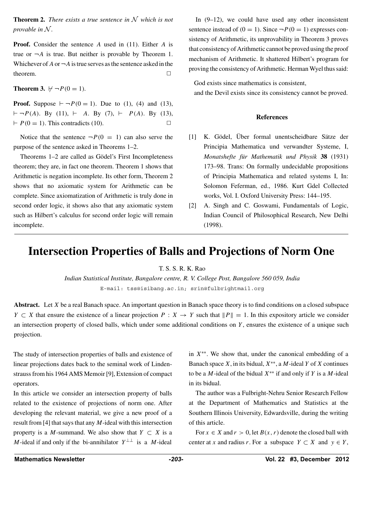**Theorem 2.** *There exists a true sentence in N which is not provable in N .*

**Proof.** Consider the sentence *A* used in (11). Either *A* is true or  $\neg A$  is true. But neither is provable by Theorem 1. Whichever of  $A$  or  $\neg A$  is true serves as the sentence asked in the theorem.  $\Box$ 

#### **Theorem 3.**  $\nvdash \neg P(0 = 1)$ *.*

**Proof.** Suppose  $\vdash \neg P(0 = 1)$ . Due to (1), (4) and (13),  $\vdash \neg P(A)$ . By (11),  $\vdash$  A. By (7),  $\vdash$   $P(A)$ . By (13),  $\vdash P(0=1)$ . This contradicts (10).

Notice that the sentence  $\neg P(0 = 1)$  can also serve the purpose of the sentence asked in Theorems 1–2.

Theorems 1–2 are called as Gödel's First Incompleteness theorem; they are, in fact one theorem. Theorem 1 shows that Arithmetic is negation incomplete. Its other form, Theorem 2 shows that no axiomatic system for Arithmetic can be complete. Since axiomatization of Arithmetic is truly done in second order logic, it shows also that any axiomatic system such as Hilbert's calculus for second order logic will remain incomplete.

In (9–12), we could have used any other inconsistent sentence instead of  $(0 = 1)$ . Since  $\neg P(0 = 1)$  expresses consistency of Arithmetic, its unprovability in Theorem 3 proves that consistency of Arithmetic cannot be proved using the proof mechanism of Arithmetic. It shattered Hilbert's program for proving the consistency of Arithmetic. Herman Wyel thus said:

God exists since mathematics is consistent, and the Devil exists since its consistency cannot be proved.

#### **References**

- [1] K. Gödel, Über formal unentscheidbare Sätze der Principia Mathematica und verwandter Systeme, I, *Monatshefte für Mathematik und Physik* 38 (1931) 173–98. Trans: On formally undecidable propositions of Principia Mathematica and related systems I, In: Solomon Feferman, ed., 1986. Kurt Gdel Collected works, Vol. I. Oxford University Press: 144–195.
- [2] A. Singh and C. Goswami, Fundamentals of Logic, Indian Council of Philosophical Research, New Delhi (1998).

# **Intersection Properties of Balls and Projections of Norm One**

T. S. S. R. K. Rao

*Indian Statistical Institute, Bangalore centre, R. V. College Post, Bangalore 560 059, India* E-mail: tss@isibang.ac.in; srin@fulbrightmail.org

**Abstract.** Let *X* be a real Banach space. An important question in Banach space theory is to find conditions on a closed subspace *Y*  $\subset$  *X* that ensure the existence of a linear projection *P* : *X*  $\to$  *Y* such that  $||P|| = 1$ . In this expository article we consider an intersection property of closed balls, which under some additional conditions on *Y* , ensures the existence of a unique such projection.

The study of intersection properties of balls and existence of linear projections dates back to the seminal work of Lindenstrauss from his 1964 AMS Memoir [9], Extension of compact operators.

In this article we consider an intersection property of balls related to the existence of projections of norm one. After developing the relevant material, we give a new proof of a result from [4] that says that any *M*-ideal with this intersection property is a *M*-summand. We also show that  $Y \subset X$  is a *M*-ideal if and only if the bi-annihilator  $Y^{\perp\perp}$  is a *M*-ideal

in *X*∗∗. We show that, under the canonical embedding of a Banach space *X*, in its bidual, *X*∗∗, a *M*-ideal *Y* of *X* continues to be a *M*-ideal of the bidual *X*∗∗ if and only if *Y* is a *M*-ideal in its bidual.

The author was a Fulbright-Nehru Senior Research Fellow at the Department of Mathematics and Statistics at the Southern Illinois University, Edwardsville, during the writing of this article.

For  $x \in X$  and  $r > 0$ , let  $B(x, r)$  denote the closed ball with center at *x* and radius *r*. For a subspace  $Y \subset X$  and  $y \in Y$ ,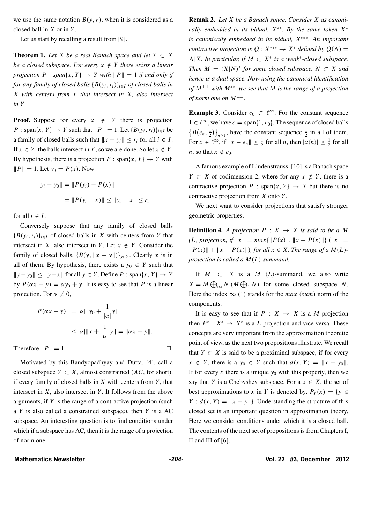we use the same notation  $B(y, r)$ , when it is considered as a closed ball in *X* or in *Y* .

Let us start by recalling a result from [9].

**Theorem 1.** *Let X be a real Banach space and let*  $Y \subset X$ *be a closed subspace. For every*  $x \notin Y$  *there exists a linear projection*  $P : span\{x, Y\} \rightarrow Y$  *with*  $||P|| = 1$  *if and only if for any family of closed balls*  ${B(y_i, r_i)}_{i \in I}$  *of closed balls in X with centers from Y that intersect in X, also intersect in Y .*

**Proof.** Suppose for every  $x \notin Y$  there is projection *P* : span $\{x, Y\} \rightarrow Y$  such that  $\|P\| = 1$ . Let  $\{B(y_i, r_i)\}_{i \in I}$  be a family of closed balls such that  $\|x - y_i\| \le r_i$  for all  $i \in I$ . If  $x \in Y$ , the balls intersect in *Y*, so we are done. So let  $x \notin Y$ . By hypothesis, there is a projection  $P : \text{span}\{x, Y\} \rightarrow Y$  with  $||P|| = 1$ . Let  $y_0 = P(x)$ . Now

$$
||y_i - y_0|| = ||P(y_i) - P(x)||
$$
  
= 
$$
||P(y_i - x)|| \le ||y_i - x|| \le r_i
$$

for all  $i \in I$ .

Conversely suppose that any family of closed balls  ${B(y_i, r_i)}_{i \in I}$  of closed balls in *X* with centers from *Y* that intersect in *X*, also intersect in *Y*. Let  $x \notin Y$ . Consider the family of closed balls,  ${B(y, ||x - y||)}_{y \in Y}$ . Clearly *x* is in all of them. By hypothesis, there exists a  $y_0 \in Y$  such that  $||y-y_0||$  ≤  $||y-x||$  for all  $y \in Y$ . Define *P* : span{*x,Y*} → *Y* by  $P(\alpha x + y) = \alpha y_0 + y$ . It is easy to see that *P* is a linear projection. For  $\alpha \neq 0$ ,

$$
||P(\alpha x + y)|| = |\alpha| ||y_0 + \frac{1}{|\alpha|}y||
$$
  
\n
$$
\leq |\alpha| ||x + \frac{1}{|\alpha|}y|| = ||\alpha x + y||.
$$
  
\nTherefore  $||P|| = 1$ .

Motivated by this Bandyopadhyay and Dutta, [4], call a closed subspace  $Y \subset X$ , almost constrained (*AC*, for short), if every family of closed balls in *X* with centers from *Y* , that intersect in *X*, also intersect in *Y* . It follows from the above arguments, if *Y* is the range of a contractive projection (such a *Y* is also called a constrained subspace), then *Y* is a AC subspace. An interesting question is to find conditions under which if a subspace has AC, then it is the range of a projection of norm one.

**Remak 2.** *Let X be a Banach space. Consider X as canonically embedded in its bidual, X*∗∗*. By the same token X*<sup>∗</sup> *is canonically embedded in its bidual, X*∗∗∗*. An important contractive projection is*  $Q: X^{***} \rightarrow X^*$  *defined by*  $Q(\Lambda) =$  $\Lambda$ |*X. In particular, if M* ⊂ *X*<sup>\*</sup> *is a weak*<sup>\*</sup>-closed subspace. *Then*  $M = (X|N)^*$  *for some closed subspace,*  $N \subset X$  *and hence is a dual space. Now using the canonical identification of M*⊥⊥ *with M*∗∗*, we see that M is the range of a projection of norm one on*  $M^{\perp \perp}$ .

**Example 3.** Consider  $c_0 \text{ }\subset \ell^{\infty}$ . For the constant sequence  $1 \in \ell^{\infty}$ , we have  $c = \text{span}\{1, c_0\}$ . The sequence of closed balls  $\{B(e_n, \frac{1}{2})\}_{n \geq 1}$ , have the constant sequence  $\frac{1}{2}$  in all of them. For  $x \in \ell^{\infty}$ , if  $||x - e_n|| \leq \frac{1}{2}$  for all *n*, then  $|x(n)| \geq \frac{1}{2}$  for all *n*, so that  $x \notin c_0$ .

A famous example of Lindenstrauss, [10] is a Banach space *Y* ⊂ *X* of codimension 2, where for any  $x \notin Y$ , there is a contractive projection  $P$  : span $\{x, Y\} \rightarrow Y$  but there is no contractive projection from *X* onto *Y* .

We next want to consider projections that satisfy stronger geometric properties.

**Definition 4.** *A projection*  $P : X \rightarrow X$  *is said to be a M*  $(L)$  projection, if  $||x|| = max{||P(x)||, ||x - P(x)||}$  ( $||x|| =$ *| <i>P*(*x*)*| + ||x* − *P*(*x*)*||), for all x* ∈ *X. The range of a M*(*L*)*projection is called a M(L)-summand.*

If  $M \subset X$  is a  $M (L)$ -summand, we also write  $X = M \bigoplus_{\infty} N (M \bigoplus_{1} N)$  for some closed subspace *N*. Here the index  $\infty$  (1) stands for the *max* (sum) norm of the components.

It is easy to see that if  $P : X \rightarrow X$  is a *M*-projection then  $P^*$  :  $X^* \to X^*$  is a *L*-projection and vice versa. These concepts are very important from the approximation theoretic point of view, as the next two propositions illustrate. We recall that  $Y \subset X$  is said to be a proximinal subspace, if for every  $x \notin Y$ , there is a  $y_0 \in Y$  such that  $d(x, Y) = ||x - y_0||$ . If for every  $x$  there is a unique  $y_0$  with this property, then we say that *Y* is a Chebyshev subspace. For a  $x \in X$ , the set of best approximations to *x* in *Y* is denoted by,  $P_Y(x) = \{y \in$ *Y* :  $d(x, Y) = ||x - y||$ . Understanding the structure of this closed set is an important question in approximation theory. Here we consider conditions under which it is a closed ball. The contents of the next set of propositions is from Chapters I, II and III of [6].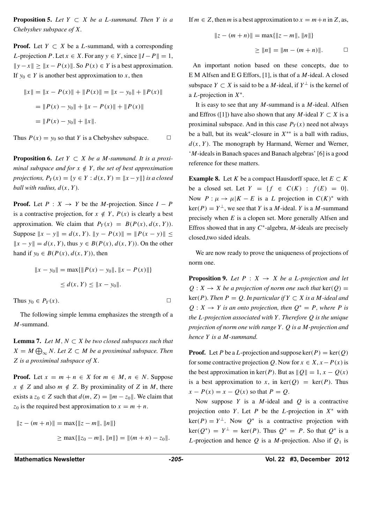**Proposition 5.** *Let*  $Y \subset X$  *be a L*-summand. Then  $Y$  *is a Chebyshev subspace of X.*

**Proof.** Let  $Y \subset X$  be a *L*-summand, with a corresponding *L*-projection *P*. Let  $x \in X$ . For any  $y \in Y$ , since  $||I - P|| = 1$ ,  $||y - x|| \ge ||x - P(x)||$ . So  $P(x) \in Y$  is a best approximation. If  $y_0 \in Y$  is another best approximation to *x*, then

$$
||x|| = ||x - P(x)|| + ||P(x)|| = ||x - y_0|| + ||P(x)||
$$
  
= 
$$
||P(x) - y_0|| + ||x - P(x)|| + ||P(x)||
$$
  
= 
$$
||P(x) - y_0|| + ||x||.
$$

Thus  $P(x) = y_0$  so that *Y* is a Chebyshev subspace.  $\Box$ 

**Proposition 6.** *Let*  $Y \subset X$  *be a M-summand. It is a proximinal subspace and for*  $x \notin Y$ *, the set of best approximation projections,*  $P_Y(x) = \{y \in Y : d(x, Y) = ||x - y||\}$  *is a closed ball with radius,*  $d(x, Y)$ *.* 

**Proof.** Let  $P: X \rightarrow Y$  be the *M*-projection. Since  $I - P$ is a contractive projection, for  $x \notin Y$ ,  $P(x)$  is clearly a best approximation. We claim that  $P_Y(x) = B(P(x), d(x, Y))$ . Suppose  $\|x - y\| = d(x, Y)$ .  $\|y - P(x)\| = \|P(x - y)\|$  $||x - y|| = d(x, Y)$ , thus *y* ∈ *B*(*P*(*x*), *d*(*x*, *Y*)). On the other hand if  $y_0 \in B(P(x), d(x, Y))$ , then

$$
||x - y_0|| = \max{||P(x) - y_0||, ||x - P(x)||}
$$
  

$$
\leq d(x, Y) \leq ||x - y_0||.
$$

Thus  $y_0 \in P_Y(x)$ .

The following simple lemma emphasizes the strength of a *M*-summand.

**Lemma 7.** *Let*  $M, N \subset X$  *be two closed subspaces such that*  $X = M \bigoplus_{\infty} N$ *. Let*  $Z \subset M$  *be a proximinal subspace. Then Z is a proximinal subspace of X.*

**Proof.** Let  $x = m + n \in X$  for  $m \in M$ ,  $n \in N$ . Suppose  $x \notin Z$  and also  $m \notin Z$ . By proximinality of *Z* in *M*, there exists a  $z_0 \in Z$  such that  $d(m, Z) = ||m - z_0||$ . We claim that  $z_0$  is the required best approximation to  $x = m + n$ .

$$
||z - (m + n)|| = \max{||z - m||, ||n||}
$$
  
\n
$$
\geq \max{||z_0 - m||, ||n||} = ||(m + n) - z_0||.
$$

If  $m \in \mathbb{Z}$ , then *m* is a best approximation to  $x = m + n$  in  $\mathbb{Z}$ , as,

$$
||z - (m + n)|| = \max{||z - m||, ||n||}
$$
  

$$
\ge ||n|| = ||m - (m + n)||.
$$

An important notion based on these concepts, due to E M Alfsen and E G Effors, [1], is that of a *M*-ideal. A closed subspace  $Y \subset X$  is said to be a *M*-ideal, if  $Y^{\perp}$  is the kernel of a *L*-projection in *X*<sup>∗</sup>.

It is easy to see that any *M*-summand is a *M*-ideal. Alfsen and Effros ([1]) have also shown that any *M*-ideal  $Y \subset X$  is a proximinal subspace. And in this case  $P_Y(x)$  need not always be a ball, but its weak<sup>∗</sup>-closure in *X*∗∗ is a ball with radius,  $d(x, Y)$ . The monograph by Harmand, Werner and Werner, '*M*-ideals in Banach spaces and Banach algebras' [6] is a good reference for these matters.

**Example 8.** Let *K* be a compact Hausdorff space, let  $E \subset K$ be a closed set. Let  $Y = \{f \in C(K) : f(E) = 0\}.$ Now  $P: \mu \to \mu | K - E$  is a *L* projection in  $C(K)^*$  with  $ker(P) = Y^{\perp}$ , we see that *Y* is a *M*-ideal. *Y* is a *M*-summand precisely when *E* is a clopen set. More generally Alfsen and Effros showed that in any *C*<sup>∗</sup>-algebra, *M*-ideals are precisely closed,two sided ideals.

We are now ready to prove the uniqueness of projections of norm one.

**Proposition 9.** Let  $P: X \rightarrow X$  be a *L*-projection and let  $Q: X \rightarrow X$  *be a projection of norm one such that* ker $(Q)$  =  $ker(P)$ *. Then*  $P = Q$ *. In particular if*  $Y ⊂ X$  *is a M*-*ideal and*  $Q: X \rightarrow Y$  *is an onto projection, then*  $Q^* = P$ *, where P is the L-projection associated with Y . Therefore Q is the unique projection of norm one with range Y . Q is a M-projection and hence Y is a M-summand.*

**Proof.** Let P be a L-projection and suppose  $\text{ker}(P) = \text{ker}(Q)$ for some contractive projection *Q*. Now for  $x \in X$ ,  $x - P(x)$  is the best approximation in ker(P). But as  $||Q|| = 1, x - Q(x)$ is a best approximation to *x*, in  $\text{ker}(Q) = \text{ker}(P)$ . Thus  $x - P(x) = x - Q(x)$  so that  $P = Q$ .

Now suppose *Y* is a *M*-ideal and *Q* is a contractive projection onto *Y* . Let *P* be the *L*-projection in *X*<sup>∗</sup> with  $ker(P) = Y^{\perp}$ . Now  $Q^*$  is a contractive projection with  $\ker(Q^*) = Y^{\perp} = \ker(P)$ . Thus  $Q^* = P$ . So that  $Q^*$  is a *L*-projection and hence  $Q$  is a *M*-projection. Also if  $Q_1$  is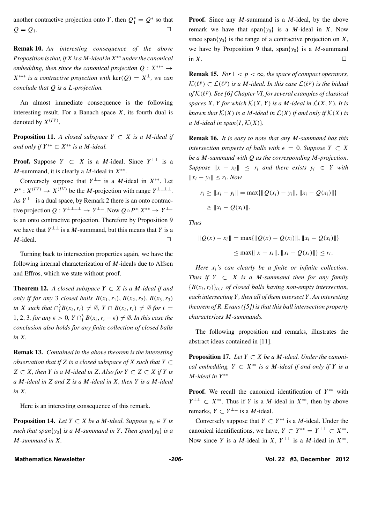another contractive projection onto *Y*, then  $Q_1^* = Q^*$  so that  $Q = Q_1.$ 

**Remak 10.** *An interesting consequence of the above Proposition is that, ifX is aM-ideal inX*∗∗ *under the canonical embedding, then since the canonical projection*  $Q: X^{***} \rightarrow$  $X^{***}$  *is a contractive projection with* ker $(Q) = X^{\perp}$ , we can *conclude that Q is a L-projection.*

An almost immediate consequence is the following interesting result. For a Banach space *X*, its fourth dual is denoted by  $X^{(IV)}$ .

**Proposition 11.** *A closed subspace*  $Y \subset X$  *is a M-ideal if and only if*  $Y^{**} ⊂ X^{**}$  *is a M-ideal.* 

**Proof.** Suppose  $Y \subset X$  is a *M*-ideal. Since  $Y^{\perp\perp}$  is a *M*-summand, it is clearly a *M*-ideal in *X*∗∗.

Conversely suppose that  $Y^{\perp\perp}$  is a *M*-ideal in  $X^{**}$ . Let  $P^*$  :  $X^{(IV)} \rightarrow X^{(IV)}$  be the *M*-projection with range  $Y^{\perp\perp\perp\perp}$ . As  $Y^{\perp\perp}$  is a dual space, by Remark 2 there is an onto contractive projection  $Q: Y^{\perp\perp\perp\perp} \to Y^{\perp\perp}$ . Now  $Q \circ P^* | X^{**} \to Y^{\perp\perp}$ is an onto contractive projection. Therefore by Proposition 9 we have that  $Y^{\perp\perp}$  is a *M*-summand, but this means that *Y* is a *M*-ideal.  $\Box$ 

Turning back to intersection properties again, we have the following internal characterization of *M*-ideals due to Alfsen and Effros, which we state without proof.

**Theorem 12.** *A closed subspace*  $Y ⊂ X$  *is a M-ideal if and only if for any* 3 *closed balls*  $B(x_1, r_1)$ ,  $B(x_2, r_2)$ ,  $B(x_3, r_3)$  $\int \sin X$  *such that*  $\bigcap_{i=1}^{3} B(x_i, r_i) \neq \emptyset$ ,  $Y \cap B(x_i, r_i) \neq \emptyset$  for  $i =$ 1*,* 2*,* 3*, for any*  $\epsilon > 0$ *,*  $Y \cap_1^3 B(x_i, r_i + \epsilon) \neq \emptyset$ *. In this case the conclusion also holds for any finite collection of closed balls in X.*

**Remak 13.** *Contained in the above theorem is the interesting observation that if*  $Z$  *is a closed subspace of*  $X$  *such that*  $Y \subset Z$ *Z* ⊂ *X,* then *Y is a M-ideal in Z. Also for*  $Y ⊂ Z ⊂ X$  *if Y is a M-ideal in Z and Z is a M-ideal in X, then Y is a M-ideal in X.*

Here is an interesting consequence of this remark.

**Proposition 14.** *Let*  $Y \subset X$  *be a M*-ideal. Suppose  $y_0 \in Y$  *is such that span* $\{y_0\}$  *is a M-summand in Y*. Then span $\{y_0\}$  *is a M-summand in X.*

**Proof.** Since any *M*-summand is a *M*-ideal, by the above remark we have that span $\{y_0\}$  is a *M*-ideal in *X*. Now since span $\{y_0\}$  is the range of a contractive projection on *X*, we have by Proposition 9 that, span ${y_0}$  is a *M*-summand in  $X$ .  $\Box$ 

**Remak 15.** *For*  $1 < p < \infty$ *, the space of compact operators, K*( $\ell^p$ ) ⊂  $\mathcal{L}(\ell^p)$  *is a M*-ideal. In this case  $\mathcal{L}(\ell^p)$  *is the bidual of <sup>K</sup>(p). See [6] Chapter VI, for several examples of classical spaces*  $X, Y$  *for which*  $K(X, Y)$  *is a M*-*ideal in*  $L(X, Y)$ *. It is known that*  $K(X)$  *is a M-ideal in*  $L(X)$  *if and only if*  $K(X)$  *is a M*-ideal in span $\{I, \mathcal{K}(X)\}$ .

**Remak 16.** *It is easy to note that any M-summand has this intersection property of balls with*  $\epsilon = 0$ *. Suppose*  $Y \subset X$ *be a M-summand with Q as the corresponding M-projection. Suppose*  $\|x - x_i\| \leq r_i$  *and there exists*  $y_i \in Y$  *with*  $||x_i - y_i||$  ≤  $r_i$ *. Now* 

$$
r_i \ge ||x_i - y_i|| = \max\{||Q(x_i) - y_i||, ||x_i - Q(x_i)||\}
$$
  
\n
$$
\ge ||x_i - Q(x_i)||.
$$

*Thus*

$$
||Q(x) - x_i|| = \max{||Q(x) - Q(x_i)||, ||x_i - Q(x_i)||}
$$
  

$$
\leq \max{||x - x_i||, ||x_i - Q(x_i)||} \leq r_i.
$$

*Here xi's can clearly be a finite or infinite collection. Thus if*  $Y \subset X$  *is a M-summand then for any family*  ${B(x_i, r_i)}_{i \in I}$  *of closed balls having non-empty intersection, each intersecting Y , then all of them intersect Y . An interesting theorem of R. Evans ([5]) is that this ball intersection property characterizes M-summands.*

The following proposition and remarks, illustrates the abstract ideas contained in [11].

**Proposition 17.** *Let*  $Y \subset X$  *be a M*-ideal. *Under the canonical embedding,*  $Y ⊂ X^{**}$  *is a M*-*ideal if and only if*  $Y$  *is a M-ideal in Y* ∗∗

**Proof.** We recall the canonical identification of  $Y^{**}$  with *Y*<sup>⊥⊥</sup> ⊂ *X*<sup>∗∗</sup>. Thus if *Y* is a *M*-ideal in *X*<sup>∗∗</sup>, then by above remarks,  $Y \subset Y^{\perp \perp}$  is a *M*-ideal.

Conversely suppose that  $Y \subset Y^{**}$  is a *M*-ideal. Under the canonical identifications, we have,  $Y \subset Y^{**} = Y^{\perp \perp} \subset X^{**}$ . Now since *Y* is a *M*-ideal in *X*,  $Y^{\perp\perp}$  is a *M*-ideal in  $X^{**}$ .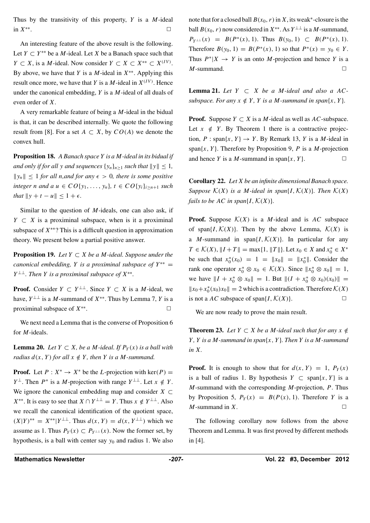Thus by the transitivity of this property, *Y* is a *M*-ideal in  $X^{**}$ .  $\Box$ 

An interesting feature of the above result is the following. Let  $Y \subset Y^{**}$  be a *M*-ideal. Let *X* be a Banach space such that *Y* ⊂ *X*, is a *M*-ideal. Now consider *Y* ⊂ *X* ⊂ *X*<sup>\*\*</sup> ⊂ *X*<sup>*(IV)*</sup>. By above, we have that *Y* is a *M*-ideal in *X*∗∗. Applying this result once more, we have that *Y* is a *M*-ideal in  $X^{(IV)}$ . Hence under the canonical embedding, *Y* is a *M*-ideal of all duals of even order of *X*.

A very remarkable feature of being a *M*-ideal in the bidual is that, it can be described internally. We quote the following result from [8]. For a set  $A \subset X$ , by  $CO(A)$  we denote the convex hull.

**Proposition 18.** *A Banach space Y is a M-ideal in its bidual if and only if for all y and sequences*  $\{y_n\}_{n\geq 1}$  *such that*  $\|y\| \leq 1$ *,*  $||y_n|| \leq 1$  *for all n, and for any*  $\epsilon > 0$ *, there is some positive integer n and*  $a u \in CO\{y_1, \ldots, y_n\}$ ,  $t \in CO\{y_i\}_{i \geq n+1}$  such *that*  $||y + t - u|| \leq 1 + \epsilon$ .

Similar to the question of *M*-ideals, one can also ask, if *Y*  $\subset$  *X* is a proximinal subspace, when is it a proximinal subspace of *X*∗∗? This is a difficult question in approximation theory. We present below a partial positive answer.

**Proposition 19.** *Let*  $Y \subset X$  *be a M*-ideal. Suppose under the *canonical embedding, Y is a proximinal subspace of*  $Y^{**}$  = *Y*  $^{\perp\perp}$ *. Then Y is a proximinal subspace of X*<sup>∗∗</sup>.

**Proof.** Consider  $Y \subset Y^{\perp\perp}$ . Since  $Y \subset X$  is a *M*-ideal, we have,  $Y^{\perp\perp}$  is a *M*-summand of  $X^{**}$ . Thus by Lemma 7, *Y* is a proximinal subspace of  $X^{**}$ .  $\Box$ 

We next need a Lemma that is the converse of Proposition 6 for *M*-ideals.

**Lemma 20.** *Let Y* ⊂ *X, be a M*-*ideal. If*  $P_Y(x)$  *is a ball with radius*  $d(x, Y)$  *for all*  $x \notin Y$ *, then Y is a M*-summand.

**Proof.** Let  $P: X^* \to X^*$  be the *L*-projection with ker $(P)$  = *Y*<sup>⊥</sup>. Then *P*<sup>∗</sup> is a *M*-projection with range  $Y^{\perp\perp}$ . Let  $x \notin Y$ . We ignore the canonical embedding map and consider  $X \subset$ *X*<sup>∗∗</sup>. It is easy to see that *X*  $\cap$  *Y*<sup>⊥⊥</sup> = *Y*. Thus *x* ∉ *Y*<sup>⊥⊥</sup>. Also we recall the canonical identification of the quotient space,  $(X|Y)$ <sup>∗∗</sup> =  $X^{**} | Y^{\perp\perp}$ . Thus  $d(x, Y) = d(x, Y^{\perp\perp})$  which we assume as 1. Thus  $P_Y(x) \subset P_{Y^{\perp \perp}}(x)$ . Now the former set, by hypothesis, is a ball with center say *y*<sup>0</sup> and radius 1. We also note that for a closed ball  $B(x_0, r)$  in *X*, its weak<sup>\*</sup>-closure is the ball  $B(x_0, r)$  now considered in  $X^{**}$ . As  $Y^{\perp\perp}$  is a *M*-summand,  $P_{Y^{\perp\perp}}(x) = B(P^*(x), 1)$ . Thus  $B(y_0, 1) \subset B(P^*(x), 1)$ . Therefore  $B(y_0, 1) = B(P^*(x), 1)$  so that  $P^*(x) = y_0 \in Y$ . Thus  $P^*|X \to Y$  is an onto *M*-projection and hence *Y* is a  $M$ -summand.  $\Box$ 

**Lemma 21.** *Let*  $Y ⊂ X$  *be a M*-*ideal and also a*  $AC$ *subspace. For any*  $x \notin Y$ ,  $Y$  *is a M*-summand *in span* $\{x, Y\}$ *.* 

**Proof.** Suppose  $Y \subset X$  is a *M*-ideal as well as  $AC$ -subspace. Let  $x \notin Y$ . By Theorem 1 there is a contractive projection,  $P: \text{span}\{x, Y\} \rightarrow Y$ . By Remark 13, *Y* is a *M*-ideal in span $\{x, Y\}$ . Therefore by Proposition 9, *P* is a *M*-projection and hence *Y* is a *M*-summand in span $\{x, Y\}$ .

**Corollary 22.** *Let X be an infinite dimensional Banach space. Suppose*  $K(X)$  *is a M-ideal in span* $\{I, K(X)\}$ *. Then*  $K(X)$ *fails to be*  $AC$  *in span* $\{I, \mathcal{K}(X)\}$ .

**Proof.** Suppose  $K(X)$  is a *M*-ideal and is *AC* subspace of span $\{I, \mathcal{K}(X)\}\$ . Then by the above Lemma,  $\mathcal{K}(X)$  is a *M*-summand in span $\{I, \mathcal{K}(X)\}\$ . In particular for any  $T \in \mathcal{K}(X)$ ,  $\|I + T\| = \max\{1, \|T\|\}.$  Let  $x_0 \in X$  and  $x_0^* \in X^*$ be such that  $x_0^*(x_0) = 1 = ||x_0|| = ||x_0^*||$ . Consider the rank one operator  $x_0^* \otimes x_0 \in \mathcal{K}(X)$ . Since  $||x_0^* \otimes x_0|| = 1$ , we have  $||I + x_0^* \otimes x_0|| = 1$ . But  $|| (I + x_0^* \otimes x_0)(x_0) || =$  $||x_0 + x_0^*(x_0)x_0|| = 2$  which is a contradiction. Therefore *K*(*X*) is not a *AC* subspace of span $\{I, \mathcal{K}(X)\}.$ 

We are now ready to prove the main result.

**Theorem 23.** *Let*  $Y \subset X$  *be a M*-ideal such that for any  $x \notin Y$ *Y , Y is a M-summand in span*{*x,Y* }*. Then Y is a M-summand in X.*

**Proof.** It is enough to show that for  $d(x, Y) = 1$ ,  $P_Y(x)$ is a ball of radius 1. By hypothesis  $Y \subset \text{span}\{x, Y\}$  is a *M*-summand with the corresponding *M*-projection, *P*. Thus by Proposition 5,  $P_Y(x) = B(P(x), 1)$ . Therefore *Y* is a *M*-summand in *X*.  $\Box$ 

The following corollary now follows from the above Theorem and Lemma. It was first proved by different methods in [4].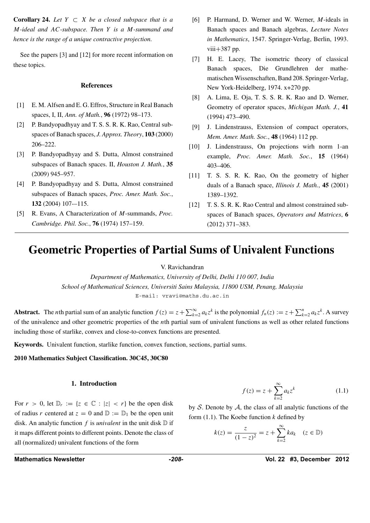**Corollary 24.** *Let*  $Y \subset X$  *be a closed subspace that is a M-ideal and AC-subspace. Then Y is a M-summand and hence is the range of a unique contractive projection.*

See the papers [3] and [12] for more recent information on these topics.

#### **References**

- [1] E. M. Alfsen and E. G. Effros, Structure in Real Banach spaces, I, II, *Ann. of Math.*, **96** (1972) 98–173.
- [2] P. Bandyopadhyay and T. S. S. R. K. Rao, Central subspaces of Banach spaces, *J. Approx. Theory*, **103** (2000) 206–222.
- [3] P. Bandyopadhyay and S. Dutta, Almost constrained subspaces of Banach spaces. II, *Houston J. Math.*, **35** (2009) 945–957.
- [4] P. Bandyopadhyay and S. Dutta, Almost constrained subspaces of Banach spaces, *Proc. Amer. Math. Soc.*, **132** (2004) 107-–115.
- [5] R. Evans, A Characterization of *M*-summands, *Proc. Cambridge. Phil. Soc.*, **76** (1974) 157–159.
- [6] P. Harmand, D. Werner and W. Werner, *M*-ideals in Banach spaces and Banach algebras, *Lecture Notes in Mathematics*, 1547. Springer-Verlag, Berlin, 1993. viii $+387$  pp.
- [7] H. E. Lacey, The isometric theory of classical Banach spaces, Die Grundlehren der mathematischen Wissenschaften, Band 208. Springer-Verlag, New York-Heidelberg, 1974. x+270 pp.
- [8] A. Lima, E. Oja, T. S. S. R. K. Rao and D. Werner, Geometry of operator spaces, *Michigan Math. J.*, **41** (1994) 473–490.
- [9] J. Lindenstrauss, Extension of compact operators, *Mem. Amer. Math. Soc.*, **48** (1964) 112 pp.
- [10] J. Lindenstrauss, On projections wirh norm 1-an example, *Proc. Amer. Math. Soc.*, **15** (1964) 403–406.
- [11] T. S. S. R. K. Rao, On the geometry of higher duals of a Banach space, *Illinois J. Math.*, **45** (2001) 1389–1392.
- [12] T. S. S. R. K. Rao Central and almost constrained subspaces of Banach spaces, *Operators and Matrices*, **6** (2012) 371–383.

# **Geometric Properties of Partial Sums of Univalent Functions**

V. Ravichandran

*Department of Mathematics, University of Delhi, Delhi 110 007, India School of Mathematical Sciences, Universiti Sains Malaysia, 11800 USM, Penang, Malaysia* E-mail: vravi@maths.du.ac.in

**Abstract.** The *n*th partial sum of an analytic function  $f(z) = z + \sum_{k=2}^{\infty} a_k z^k$  is the polynomial  $f_n(z) := z + \sum_{k=2}^n a_k z^k$ . A survey of the univalence and other geometric properties of the *n*th partial sum of univalent functions as well as other related functions including those of starlike, convex and close-to-convex functions are presented.

**Keywords.** Univalent function, starlike function, convex function, sections, partial sums.

**2010 Mathematics Subject Classification. 30C45, 30C80**

#### **1. Introduction**

For  $r > 0$ , let  $\mathbb{D}_r := \{z \in \mathbb{C} : |z| < r\}$  be the open disk of radius *r* centered at  $z = 0$  and  $\mathbb{D} := \mathbb{D}_1$  be the open unit disk. An analytic function  $f$  is *univalent* in the unit disk  $D$  if it maps different points to different points. Denote the class of all (normalized) univalent functions of the form

$$
f(z) = z + \sum_{k=2}^{\infty} a_k z^k
$$
 (1.1)

by *S*. Denote by *A*, the class of all analytic functions of the form (1.1). The Koebe function *k* defined by

$$
k(z) = \frac{z}{(1-z)^2} = z + \sum_{k=2}^{\infty} ka_k \quad (z \in \mathbb{D})
$$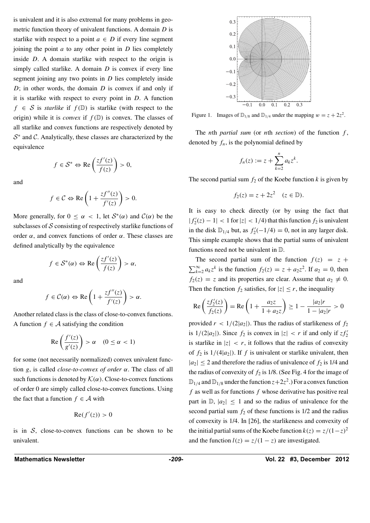is univalent and it is also extremal for many problems in geometric function theory of univalent functions. A domain *D* is starlike with respect to a point  $a \in D$  if every line segment joining the point *a* to any other point in *D* lies completely inside *D*. A domain starlike with respect to the origin is simply called starlike. A domain *D* is convex if every line segment joining any two points in *D* lies completely inside *D*; in other words, the domain *D* is convex if and only if it is starlike with respect to every point in *D*. A function  $f \in S$  is *starlike* if  $f(\mathbb{D})$  is starlike (with respect to the origin) while it is *convex* if  $f(\mathbb{D})$  is convex. The classes of all starlike and convex functions are respectively denoted by *<sup>S</sup>*<sup>∗</sup> and *<sup>C</sup>*. Analytically, these classes are characterized by the equivalence

$$
f\in \mathcal{S}^* \Leftrightarrow \text{Re}\left(\frac{zf'(z)}{f(z)}\right) > 0,
$$

and

$$
f \in C \Leftrightarrow \text{Re}\left(1 + \frac{zf''(z)}{f'(z)}\right) > 0.
$$

More generally, for  $0 \leq \alpha < 1$ , let  $S^*(\alpha)$  and  $C(\alpha)$  be the subclasses of *S* consisting of respectively starlike functions of order  $\alpha$ , and convex functions of order  $\alpha$ . These classes are defined analytically by the equivalence

$$
f \in \mathcal{S}^*(\alpha) \Leftrightarrow \text{Re}\left(\frac{zf'(z)}{f(z)}\right) > \alpha,
$$

and

$$
f \in C(\alpha) \Leftrightarrow \text{Re}\left(1 + \frac{zf''(z)}{f'(z)}\right) > \alpha.
$$

Another related class is the class of close-to-convex functions. A function  $f \in \mathcal{A}$  satisfying the condition

$$
\operatorname{Re}\left(\frac{f'(z)}{g'(z)}\right) > \alpha \quad (0 \le \alpha < 1)
$$

for some (not necessarily normalized) convex univalent function *g*, is called *close-to-convex of order α*. The class of all such functions is denoted by  $K(\alpha)$ . Close-to-convex functions of order 0 are simply called close-to-convex functions. Using the fact that a function  $f \in \mathcal{A}$  with

$$
\operatorname{Re}(f'(z)) > 0
$$

is in  $S$ , close-to-convex functions can be shown to be univalent.



Figure 1. Images of  $\mathbb{D}_{1/8}$  and  $\mathbb{D}_{1/4}$  under the mapping  $w = z + 2z^2$ .

The *n*th *partial sum* (or *n*th *section*) of the function *f* , denoted by  $f_n$ , is the polynomial defined by

$$
f_n(z) := z + \sum_{k=2}^n a_k z^k.
$$

The second partial sum  $f_2$  of the Koebe function  $k$  is given by

$$
f_2(z) = z + 2z^2 \quad (z \in \mathbb{D}).
$$

It is easy to check directly (or by using the fact that  $|f'_2(z) - 1| < 1$  for  $|z| < 1/4$ ) that this function  $f_2$  is univalent in the disk  $\mathbb{D}_{1/4}$  but, as  $f'_{2}(-1/4) = 0$ , not in any larger disk. This simple example shows that the partial sums of univalent functions need not be univalent in D.

The second partial sum of the function  $f(z) = z +$  $\sum_{k=2}^{\infty} a_k z^k$  is the function  $f_2(z) = z + a_2 z^2$ . If  $a_2 = 0$ , then  $f_2(z) = z$  and its properties are clear. Assume that  $a_2 \neq 0$ . Then the function  $f_2$  satisfies, for  $|z| \le r$ , the inequality

$$
\operatorname{Re}\left(\frac{zf_2'(z)}{f_2(z)}\right) = \operatorname{Re}\left(1 + \frac{a_2 z}{1 + a_2 z}\right) \ge 1 - \frac{|a_2|r}{1 - |a_2|r} > 0
$$

provided  $r < 1/(2|a_2|)$ . Thus the radius of starlikeness of  $f_2$ is  $1/(2|a_2|)$ . Since  $f_2$  is convex in  $|z| < r$  if and only if  $zf_2'$ is starlike in  $|z| < r$ , it follows that the radius of convexity of  $f_2$  is  $1/(4|a_2|)$ . If  $f$  is univalent or starlike univalent, then  $|a_2| \leq 2$  and therefore the radius of univalence of  $f_2$  is 1/4 and the radius of convexity of  $f_2$  is  $1/8$ . (See Fig. 4 for the image of  $\mathbb{D}_{1/4}$  and  $\mathbb{D}_{1/8}$  under the function  $z+2z^2$ .) For a convex function *f* as well as for functions *f* whose derivative has positive real part in  $\mathbb{D}, |a_2| \leq 1$  and so the radius of univalence for the second partial sum  $f_2$  of these functions is  $1/2$  and the radius of convexity is 1/4. In [26], the starlikeness and convexity of the initial partial sums of the Koebe function  $k(z) = z/(1-z)^2$ and the function  $l(z) = z/(1 - z)$  are investigated.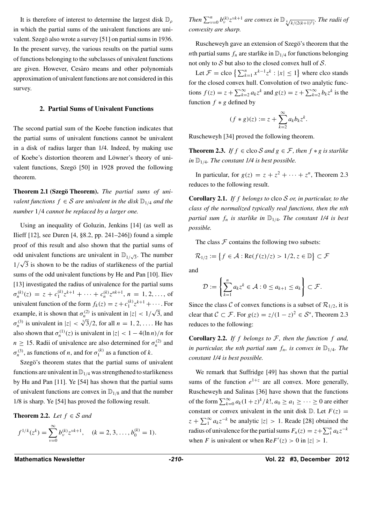It is therefore of interest to determine the largest disk D*<sup>ρ</sup>* in which the partial sums of the univalent functions are univalent. Szegö also wrote a survey [51] on partial sums in 1936. In the present survey, the various results on the partial sums of functions belonging to the subclasses of univalent functions are given. However, Cesàro means and other polynomials approximation of univalent functions are not considered in this survey.

#### **2. Partial Sums of Univalent Functions**

The second partial sum of the Koebe function indicates that the partial sums of univalent functions cannot be univalent in a disk of radius larger than 1/4. Indeed, by making use of Koebe's distortion theorem and Löwner's theory of univalent functions, Szegö [50] in 1928 proved the following theorem.

**Theorem 2.1 (Szegö Theorem).** The partial sums of uni*valent functions*  $f \in S$  *are univalent in the disk*  $\mathbb{D}_{1/4}$  *and the number* 1*/*4 *cannot be replaced by a larger one.*

Using an inequality of Goluzin, Jenkins [14] (as well as Ilieff [12], see Duren [4, §8.2, pp. 241–246]) found a simple proof of this result and also shown that the partial sums of odd univalent functions are univalent in  $\mathbb{D}_{1/\sqrt{3}}$ . The number  $1/\sqrt{3}$  is shown to be the radius of starlikeness of the partial sums of the odd univalent functions by He and Pan [10]. Iliev [13] investigated the radius of univalence for the partial sums  $\sigma_n^{(k)}(z) = z + c_1^{(k)} z^{k+1} + \cdots + c_n^{(k)} z^{nk+1}, n = 1, 2, \ldots$ , of univalent function of the form  $f_k(z) = z + c_1^{(k)} z^{k+1} + \cdots$ . For example, it is shown that  $\sigma_n^{(2)}$  is univalent in  $|z| < 1/\sqrt{3}$ , and  $\sigma_n^{(3)}$  is univalent in  $|z| < \sqrt[3]{3}/2$ , for all  $n = 1, 2, \ldots$ . He has also shown that  $\sigma_n^{(1)}(z)$  is univalent in  $|z| < 1 - 4(\ln n)/n$  for  $n \geq 15$ . Radii of univalence are also determined for  $\sigma_n^{(2)}$  and  $\sigma_n^{(3)}$ , as functions of *n*, and for  $\sigma_1^{(k)}$  as a function of *k*.

Szegö's theorem states that the partial sums of univalent functions are univalent in  $\mathbb{D}_{1/4}$  was strengthened to starlikeness by Hu and Pan [11]. Ye [54] has shown that the partial sums of univalent functions are convex in  $\mathbb{D}_{1/8}$  and that the number 1/8 is sharp. Ye [54] has proved the following result.

**Theorem 2.2.** *Let*  $f \in S$  *and* 

$$
f^{1/k}(z^k) = \sum_{\nu=0}^{\infty} b_{\nu}^{(k)} z^{\nu k+1}, \quad (k = 2, 3, \dots, b_0^{(k)} = 1).
$$

*Then*  $\sum_{\nu=0}^{n} b_{\nu}^{(k)} z^{\nu k+1}$  *are convex in*  $\mathbb{D}_{\frac{k}{\sqrt{k/(2(k+1)^2)}}}$ *. The radii of convexity are sharp.*

Ruscheweyh gave an extension of Szegö's theorem that the *n*th partial sums  $f_n$  are starlike in  $\mathbb{D}_{1/4}$  for functions belonging not only to *S* but also to the closed convex hull of *S*.

Let  $\mathcal{F} = \text{cloc } \left\{ \sum_{k=1}^{n} x^{k-1} z^k : |x| \le 1 \right\}$  where clco stands for the closed convex hull. Convolution of two analytic functions  $f(z) = z + \sum_{k=2}^{\infty} a_k z^k$  and  $g(z) = z + \sum_{k=2}^{\infty} b_k z^k$  is the function  $f * g$  defined by

$$
(f * g)(z) := z + \sum_{k=2}^{\infty} a_k b_k z^k.
$$

Ruscheweyh [34] proved the following theorem.

**Theorem 2.3.** *If*  $f \in \text{cloc } S$  *and*  $g \in \mathcal{F}$ *, then*  $f * g$  *is starlike in*  $\mathbb{D}_{1/4}$ *. The constant 1/4 is best possible.* 

In particular, for  $g(z) = z + z^2 + \cdots + z^n$ , Theorem 2.3 reduces to the following result.

**Corollary 2.1.** *If f belongs to* clco *S or, in particular, to the class of the normalized typically real functions, then the nth partial sum*  $f_n$  *is starlike in*  $\mathbb{D}_{1/4}$ *. The constant 1/4 is best possible.*

The class  $F$  contains the following two subsets:

$$
\mathcal{R}_{1/2} := \{ f \in \mathcal{A} : \text{Re}(f(z)/z) > 1/2, z \in \mathbb{D} \} \subset \mathcal{F}
$$

and

$$
\mathcal{D} := \left\{ \sum_{k=1}^n a_k z^k \in \mathcal{A} : 0 \le a_{k+1} \le a_k \right\} \subset \mathcal{F}.
$$

Since the class *C* of convex functions is a subset of  $\mathcal{R}_{1/2}$ , it is clear that  $C \subset \mathcal{F}$ . For  $g(z) = z/(1-z)^2 \in \mathcal{S}^*$ , Theorem 2.3 reduces to the following:

**Corollary 2.2.** If  $f$  belongs to  $F$ , then the function  $f$  and, *in particular, the nth partial sum*  $f_n$ *, is convex in*  $\mathbb{D}_{1/4}$ *. The constant 1/4 is best possible.*

We remark that Suffridge [49] has shown that the partial sums of the function  $e^{1+z}$  are all convex. More generally, Ruscheweyh and Salinas [36] have shown that the functions of the form  $\sum_{k=0}^{\infty} a_k(1+z)^k/k!$ ,  $a_0 \ge a_1 \ge \cdots \ge 0$  are either constant or convex univalent in the unit disk  $\mathbb{D}$ . Let  $F(z) =$  $z + \sum_{1}^{\infty} a_k z^{-k}$  be analytic  $|z| > 1$ . Reade [28] obtained the radius of univalence for the partial sums  $F_n(z) = z + \sum_1^n a_k z^{-k}$ when *F* is univalent or when  $\text{Re} F'(z) > 0$  in  $|z| > 1$ .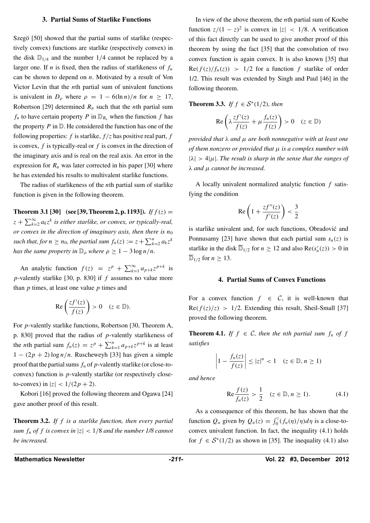#### **3. Partial Sums of Starlike Functions**

Szegö [50] showed that the partial sums of starlike (respectively convex) functions are starlike (respectively convex) in the disk  $\mathbb{D}_{1/4}$  and the number 1/4 cannot be replaced by a larger one. If *n* is fixed, then the radius of starlikeness of  $f_n$ can be shown to depend on *n*. Motivated by a result of Von Victor Levin that the *n*th partial sum of univalent functions is univalent in  $D_\rho$  where  $\rho = 1 - 6(\ln n)/n$  for  $n \geq 17$ , Robertson [29] determined  $R_n$  such that the *n*th partial sum  $f_n$  to have certain property *P* in  $\mathbb{D}_{R_n}$  when the function *f* has the property  $P$  in  $D$ . He considered the function has one of the following properties:  $f$  is starlike,  $f/z$  has positive real part,  $f$ is convex, *f* is typically-real or *f* is convex in the direction of the imaginary axis and is real on the real axis. An error in the expression for  $R_n$  was later corrected in his paper [30] where he has extended his results to multivalent starlike functions.

The radius of starlikeness of the *n*th partial sum of starlike function is given in the following theorem.

**Theorem 3.1 [30]** (see **[39, Theorem 2, p. 1193]**). *If*  $f(z) =$  $z + \sum_{k=2}^{\infty} a_k z^k$  *is either starlike, or convex, or typically-real, or convex in the direction of imaginary axis, then there is*  $n_0$ *such that, for*  $n \ge n_0$ *, the partial sum*  $f_n(z) := z + \sum_{k=2}^n a_k z^k$ *has the same property in*  $\mathbb{D}_{\rho}$  *where*  $\rho \geq 1 - 3 \log n / n$ *.* 

An analytic function  $f(z) = z^p + \sum_{k=1}^{\infty} a_{p+k} z^{p+k}$  is *p*-valently starlike [30, p. 830] if *f* assumes no value more than *p* times, at least one value *p* times and

$$
\text{Re}\left(\frac{zf'(z)}{f(z)}\right) > 0 \quad (z \in \mathbb{D}).
$$

For *p*-valently starlike functions, Robertson [30, Theorem A, p. 830] proved that the radius of *p*-valently starlikeness of the *n*th partial sum  $f_n(z) = z^p + \sum_{k=1}^n a_{p+k} z^{p+k}$  is at least 1 − *(*2*p* + 2*)*log *n/n*. Ruscheweyh [33] has given a simple proof that the partial sums  $f_n$  of  $p$ -valently starlike (or close-toconvex) function is *p*-valently starlike (or respectively closeto-convex) in  $|z|$  <  $1/(2p + 2)$ .

Kobori [16] proved the following theorem and Ogawa [24] gave another proof of this result.

**Theorem 3.2.** *If f is a starlike function, then every partial sum*  $f_n$  *of*  $f$  *is convex in*  $|z| < 1/8$  *and the number 1/8 cannot be increased.*

In view of the above theorem, the *n*th partial sum of Koebe function  $z/(1 - z)^2$  is convex in  $|z| < 1/8$ . A verification of this fact directly can be used to give another proof of this theorem by using the fact [35] that the convolution of two convex function is again convex. It is also known [35] that  $\text{Re}(f(z)/f_n(z)) > 1/2$  for a function f starlike of order 1/2. This result was extended by Singh and Paul [46] in the following theorem.

**Theorem 3.3.** *If*  $f \in S^*(1/2)$ *, then* 

$$
\operatorname{Re}\left(\lambda \frac{zf'(z)}{f(z)} + \mu \frac{f_n(z)}{f(z)}\right) > 0 \quad (z \in \mathbb{D})
$$

*provided that λ and μ are both nonnegative with at least one of them nonzero or provided that μ is a complex number with*  $|\lambda| > 4|\mu|$ *. The result is sharp in the sense that the ranges of λ and μ cannot be increased.*

A locally univalent normalized analytic function *f* satisfying the condition

$$
\operatorname{Re}\left(1+\frac{zf''(z)}{f'(z)}\right)<\frac{3}{2}
$$

is starlike univalent and, for such functions, Obradović and Ponnusamy [23] have shown that each partial sum  $s_n(z)$  is starlike in the disk  $\overline{D}_{1/2}$  for  $n \ge 12$  and also  $\text{Re}(s'_n(z)) > 0$  in  $\overline{\mathbb{D}}_{1/2}$  for  $n \geq 13$ .

#### **4. Partial Sums of Convex Functions**

For a convex function  $f \in C$ , it is well-known that  $Re(f(z)/z) > 1/2$ . Extending this result, Sheil-Small [37] proved the following theorem.

**Theorem 4.1.** *If*  $f \in C$ *, then the nth partial sum*  $f_n$  *of*  $f$ *satisfies*

$$
\left|1 - \frac{f_n(z)}{f(z)}\right| \le |z|^n < 1 \quad (z \in \mathbb{D}, n \ge 1)
$$

*and hence*

$$
\text{Re}\frac{f(z)}{f_n(z)} > \frac{1}{2} \quad (z \in \mathbb{D}, n \ge 1). \tag{4.1}
$$

As a consequence of this theorem, he has shown that the function  $Q_n$  given by  $Q_n(z) = \int_0^z (f_n(\eta)/\eta) d\eta$  is a close-toconvex univalent function. In fact, the inequality (4.1) holds for  $f \in S^*(1/2)$  as shown in [35]. The inequality (4.1) also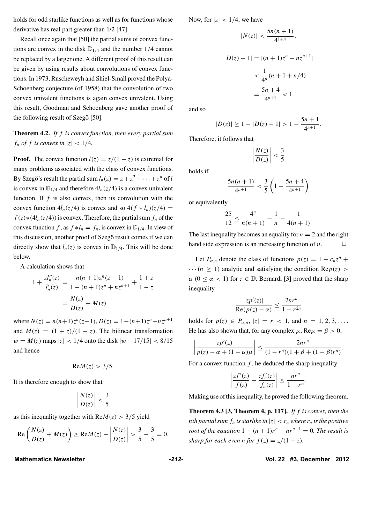holds for odd starlike functions as well as for functions whose derivative has real part greater than 1/2 [47].

Recall once again that [50] the partial sums of convex functions are convex in the disk  $\mathbb{D}_{1/4}$  and the number 1/4 cannot be replaced by a larger one. A different proof of this result can be given by using results about convolutions of convex functions. In 1973, Ruscheweyh and Shiel-Small proved the Polya-Schoenberg conjecture (of 1958) that the convolution of two convex univalent functions is again convex univalent. Using this result, Goodman and Schoenberg gave another proof of the following result of Szegö [50].

**Theorem 4.2.** *If f is convex function, then every partial sum f<sub>n</sub> of f is convex in*  $|z| < 1/4$ *.* 

**Proof.** The convex function  $l(z) = z/(1 - z)$  is extremal for many problems associated with the class of convex functions. By Szegö's result the partial sum  $l_n(z) = z + z^2 + \cdots + z^n$  of *l* is convex in  $\mathbb{D}_{1/4}$  and therefore  $4l_n(z/4)$  is a convex univalent function. If  $f$  is also convex, then its convolution with the convex function  $4l_n(z/4)$  is convex and so  $4(f * l_n)(z/4) =$  $f(z)*(4l_n(z/4))$  is convex. Therefore, the partial sum  $f_n$  of the convex function *f*, as  $f * l_n = f_n$ , is convex in  $\mathbb{D}_{1/4}$ . In view of this discussion, another proof of Szegö result comes if we can directly show that  $l_n(z)$  is convex in  $\mathbb{D}_{1/4}$ . This will be done below.

A calculation shows that

$$
1 + \frac{zI_n''(z)}{I_n'(z)} = \frac{n(n+1)z^n(z-1)}{1 - (n+1)z^n + nz^{n+1}} + \frac{1+z}{1-z}
$$

$$
= \frac{N(z)}{D(z)} + M(z)
$$

where  $N(z) = n(n+1)z^{n}(z-1)$ ,  $D(z) = 1-(n+1)z^{n}+nz^{n+1}$ and  $M(z) = (1 + z)/(1 - z)$ . The bilinear transformation  $w = M(z)$  maps  $|z| < 1/4$  onto the disk  $|w - 17/15| < 8/15$ and hence

$$
Re M(z) > 3/5.
$$

It is therefore enough to show that

$$
\left|\frac{N(z)}{D(z)}\right| < \frac{3}{5}
$$

as this inequality together with  $\text{Re}M(z) > 3/5$  yield

$$
\operatorname{Re}\left(\frac{N(z)}{D(z)} + M(z)\right) \ge \operatorname{Re}M(z) - \left|\frac{N(z)}{D(z)}\right| > \frac{3}{5} - \frac{3}{5} = 0.
$$

Now, for  $|z| < 1/4$ , we have

$$
|N(z)| < \frac{5n(n+1)}{4^{1+n}},
$$

$$
|D(z) - 1| = |(n+1)z^{n} - nz^{n+1}|
$$
  

$$
< \frac{1}{4^n}(n+1+n/4)
$$
  

$$
= \frac{5n+4}{4^{n+1}} < 1
$$

and so

$$
|D(z)| \ge 1 - |D(z) - 1| > 1 - \frac{5n + 1}{4^{n+1}}.
$$

Therefore, it follows that

$$
\left|\frac{N(z)}{D(z)}\right| < \frac{3}{5}
$$

holds if

$$
\frac{5n(n+1)}{4^{n+1}} < \frac{3}{5} \left( 1 - \frac{5n+4}{4^{n+1}} \right)
$$

or equivalently

$$
\frac{25}{12} \le \frac{4^n}{n(n+1)} - \frac{1}{n} - \frac{1}{4(n+1)}.
$$

The last inequality becomes an equality for  $n = 2$  and the right hand side expression is an increasing function of  $n$ .

Let  $P_{\alpha,n}$  denote the class of functions  $p(z) = 1 + c_n z^n + c_n z^n$  $\cdots$  ( $n \geq 1$ ) analytic and satisfying the condition Re $p(z)$  $\alpha$  ( $0 \leq \alpha < 1$ ) for  $z \in \mathbb{D}$ . Bernardi [3] proved that the sharp inequality

$$
\frac{|zp'(z)|}{\text{Re}(p(z)-\alpha)} \le \frac{2nr^n}{1-r^{2n}}
$$

holds for  $p(z) \in P_{\alpha,n}$ ,  $|z| = r < 1$ , and  $n = 1, 2, 3, \ldots$ . He has also shown that, for any complex  $\mu$ , Re $\mu = \beta > 0$ ,

$$
\left|\frac{zp'(z)}{p(z)-\alpha+(1-\alpha)\mu}\right|\leq \frac{2nr^n}{(1-r^n)(1+\beta+(1-\beta)r^n)}.
$$

For a convex function  $f$ , he deduced the sharp inequality

$$
\left|\frac{zf'(z)}{f(z)}-\frac{zf_n'(z)}{f_n(z)}\right|\leq \frac{nr^n}{1-r^n}.
$$

Making use of this inequality, he proved the following theorem.

**Theorem 4.3 [3, Theorem 4, p. 117].** *If f is convex, then the nth partial sum*  $f_n$  *is starlike in*  $|z| < r_n$  *where*  $r_n$  *is the positive root of the equation*  $1 - (n + 1)r^n - nr^{n+1} = 0$ . The result is *sharp for each even n for*  $f(z) = \frac{z}{1-z}$ .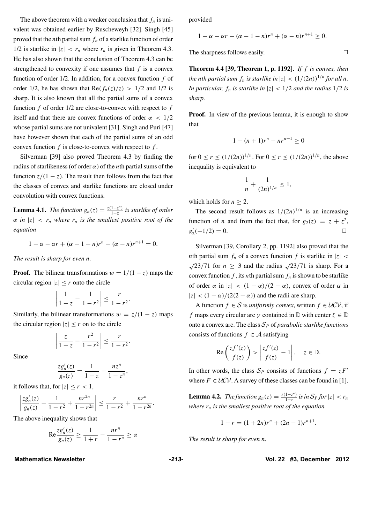The above theorem with a weaker conclusion that  $f_n$  is univalent was obtained earlier by Ruscheweyh [32]. Singh [45] proved that the *n*th partial sum  $f_n$  of a starlike function of order 1/2 is starlike in  $|z| < r_n$  where  $r_n$  is given in Theorem 4.3. He has also shown that the conclusion of Theorem 4.3 can be strengthened to convexity if one assumes that *f* is a convex function of order 1/2. In addition, for a convex function *f* of order 1/2, he has shown that  $\text{Re}(f_n(z)/z) > 1/2$  and 1/2 is sharp. It is also known that all the partial sums of a convex function *f* of order 1/2 are close-to-convex with respect to *f* itself and that there are convex functions of order  $\alpha$  <  $1/2$ whose partial sums are not univalent [31]. Singh and Puri [47] have however shown that each of the partial sums of an odd convex function *f* is close-to-convex with respect to *f* .

Silverman [39] also proved Theorem 4.3 by finding the radius of starlikeness (of order *α*) of the *n*th partial sums of the function  $z/(1 - z)$ . The result then follows from the fact that the classes of convex and starlike functions are closed under convolution with convex functions.

**Lemma 4.1.** *The function*  $g_n(z) = \frac{z(1-z^n)}{1-z}$  *is starlike of order*  $\alpha$  *in*  $|z| < r_n$  *where*  $r_n$  *is the smallest positive root of the equation*

$$
1 - \alpha - \alpha r + (\alpha - 1 - n)r^{n} + (\alpha - n)r^{n+1} = 0.
$$

*The result is sharp for even n.*

**Proof.** The bilinear transformations  $w = 1/(1 - z)$  maps the circular region  $|z| \leq r$  onto the circle

$$
\left|\frac{1}{1-z} - \frac{1}{1-r^2}\right| \le \frac{r}{1-r^2}.
$$

Similarly, the bilinear transformations  $w = z/(1 - z)$  maps the circular region  $|z| \le r$  on to the circle

$$
\left|\frac{z}{1-z}-\frac{r^2}{1-r^2}\right|\leq \frac{r}{1-r^2}.
$$

Since

$$
\frac{zg_n'(z)}{g_n(z)} = \frac{1}{1-z} - \frac{nz^n}{1-z^n},
$$

it follows that, for  $|z| \leq r < 1$ ,

$$
\left|\frac{zg_n'(z)}{g_n(z)}-\frac{1}{1-r^2}+\frac{nr^{2n}}{1-r^{2n}}\right|\leq \frac{r}{1-r^2}+\frac{nr^n}{1-r^{2n}}.
$$

The above inequality shows that

$$
\operatorname{Re}\frac{z g_n'(z)}{g_n(z)} \ge \frac{1}{1+r} - \frac{nr^n}{1-r^n} \ge \alpha
$$

provided

$$
1-\alpha-\alpha r+(\alpha-1-n)r^n+(\alpha-n)r^{n+1}\geq 0.
$$

The sharpness follows easily.  $\Box$ 

**Theorem 4.4 [39, Theorem 1, p. 1192].** *If f is convex, then the nth* partial sum  $f_n$  is starlike in  $|z| < (1/(2n))^{1/n}$  for all *n*. *In particular,*  $f_n$  *is starlike in*  $|z| < 1/2$  *and the radius*  $1/2$  *is sharp.*

**Proof.** In view of the previous lemma, it is enough to show that

$$
1 - (n+1)r^n - nr^{n+1} \ge 0
$$

for  $0 \le r \le (1/(2n))^{1/n}$ . For  $0 \le r \le (1/(2n))^{1/n}$ , the above inequality is equivalent to

$$
\frac{1}{n} + \frac{1}{(2n)^{1/n}} \le 1,
$$

which holds for  $n \geq 2$ .

The second result follows as  $1/(2n)^{1/n}$  is an increasing function of *n* and from the fact that, for  $g_2(z) = z + z^2$ ,  $g'_{2}(-1/2) = 0.$   $\Box$ 

Silverman [39, Corollary 2, pp. 1192] also proved that the *nth* partial sum  $f_n$  of a convex function  $f$  is starlike in  $|z|$  <  $\sqrt{23/71}$  for  $n \geq 3$  and the radius  $\sqrt{23/71}$  is sharp. For a convex function  $f$ , its *n*th partial sum  $f_n$  is shown to be starlike of order  $\alpha$  in  $|z| < (1 - \alpha)/(2 - \alpha)$ , convex of order  $\alpha$  in  $|z| < (1 - \alpha)/(2(2 - \alpha))$  and the radii are sharp.

A function *f* ∈ *S* is *uniformly convex*, written *f* ∈  $UCV$ , if *f* maps every circular arc  $\gamma$  contained in  $\mathbb D$  with center  $\zeta \in \mathbb D$ onto a convex arc. The class  $S_p$  of *parabolic starlike functions* consists of functions  $f \in \mathcal{A}$  satisfying

$$
\operatorname{Re}\left(\frac{zf'(z)}{f(z)}\right) > \left|\frac{zf'(z)}{f(z)} - 1\right|, \quad z \in \mathbb{D}.
$$

In other words, the class  $S_p$  consists of functions  $f = zF'$ where  $F \in \mathcal{UCV}$ . A survey of these classes can be found in [1].

**Lemma 4.2.** *The function*  $g_n(z) = \frac{z(1-z^n)}{1-z}$  *is in*  $S_p$  *for*  $|z| < r_n$ *where rn is the smallest positive root of the equation*

$$
1 - r = (1 + 2n)r^n + (2n - 1)r^{n+1}.
$$

*The result is sharp for even n.*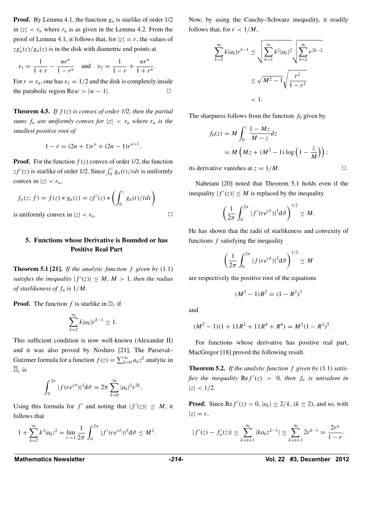**Proof.** By Lemma 4.1, the function  $g_n$  is starlike of order  $1/2$ in  $|z| < r_n$  where  $r_n$  is as given in the Lemma 4.2. From the proof of Lemma 4.1, it follows that, for  $|z| = r$ , the values of  $zg_n'(z)/g_n(z)$  is in the disk with diametric end points at

$$
x_1 = \frac{1}{1+r} - \frac{nr^n}{1-r^n}
$$
 and  $x_2 = \frac{1}{1-r} + \frac{nr^n}{1+r^n}$ .

For  $r = r_n$ , one has  $x_1 = 1/2$  and the disk is completely inside the parabolic region Re $w > |w - 1|$ .

**Theorem 4.5.** *If f (z) is convex of order 1/2, then the partial sums*  $f_n$  *are uniformly convex for*  $|z| < r_n$  *where*  $r_n$  *is the smallest positive root of*

$$
1 - r = (2n + 1)r^n + (2n - 1)r^{n+1}.
$$

**Proof.** For the function  $f(z)$  convex of order 1/2, the function  $zf'(z)$  is starlike of order 1/2. Since  $\int_0^z g_n(t)/t dt$  is uniformly convex in  $|z| < r_n$ ,

$$
f_n(z; f) = f(z) * g_n(z) = zf'(z) * \left( \int_0^z g_n(t)/t dt \right)
$$
  
is uniformly convex in  $|z| < r_n$ .

### **5. Functions whose Derivative is Bounded or has Positive Real Part**

**Theorem 5.1 [21].** *If the analytic function f given by* (1.1) *satisfies the inequality*  $|f'(z)| \leq M$ ,  $M > 1$ , then the radius *of starlikeness of fn is* 1*/M.*

**Proof.** The function  $f$  is starlike in  $D_r$  if

$$
\sum_{k=2}^{\infty} k|a_k|r^{k-1} \le 1.
$$

This sufficient condition is now well-known (Alexandar II) and it was also proved by Noshiro [21]. The Parseval– Gutzmer formula for a function  $f(z) = \sum_{k=0}^{\infty} a_k z^k$  analytic in  $\overline{\mathbb{D}}_r$  is

$$
\int_0^{2\pi} |f(re^{i\vartheta})|^2 d\vartheta = 2\pi \sum_{k=0}^{\infty} |a_k|^2 r^{2k}.
$$

Using this formula for  $f'$  and noting that  $|f'(z)| \leq M$ , it follows that

$$
1+\sum_{k=2}^{\infty}k^2|a_k|^2=\lim_{r\to 1}\frac{1}{2\pi}\int_0^{2\pi}|f'(re^{i\vartheta})|^2d\vartheta\leq M^2.
$$

Now, by using the Cauchy–Schwarz inequality, it readily follows that, for  $r < 1/M$ ,

$$
\sum_{k=2}^{\infty} k |a_k| r^{k-1} \le \sqrt{\sum_{k=2}^{\infty} k^2 |a_k|^2} \sqrt{\sum_{k=2}^{\infty} r^{2k-2}}
$$
  

$$
\le \sqrt{M^2 - 1} \sqrt{\frac{r^2}{1 - r^2}}
$$
  
<1.

The sharpness follows from the function  $f_0$  given by

$$
f_0(z) = M \int_0^z \frac{1 - Mz}{M - z} dz
$$
  
=  $M \left( Mz + (M^2 - 1) \log \left( 1 - \frac{z}{M} \right) \right);$ 

its derivative vanishes at  $z = 1/M$ .

Nabetani [20] noted that Theorem 5.1 holds even if the inequality  $|f'(z)| \leq M$  is replaced by the inequality

$$
\left(\frac{1}{2\pi}\int_0^{2\pi}|f'(re^{i\vartheta})|^2d\vartheta\right)^{1/2}\leq M.
$$

He has shown that the radii of starlikeness and convexity of functions *f* satisfying the inequality

$$
\left(\frac{1}{2\pi}\int_0^{2\pi}|f(re^{i\vartheta})|^2\mathrm{d}\vartheta\right)^{1/2}\leq M
$$

are respectively the positive root of the equations

$$
(M^2 - 1)R^2 = (1 - R^2)^3
$$

and

$$
(M2 - 1)(1 + 11R2 + 11R4 + R6) = M2(1 - R2)5.
$$

For functions whose derivative has positive real part, MacGregor [18] proved the following result.

**Theorem 5.2.** *If the analytic function f given by* (1.1) *satisfies the inequality*  $\text{Re } f'(z) > 0$ *, then*  $f_n$  *is univalent in*  $|z| < 1/2$ .

**Proof.** Since  $\text{Re } f'(z) > 0$ ,  $|a_k| \leq 2/k$ ,  $(k \geq 2)$ , and so, with  $|z| = r$ ,

$$
|f'(z) - f'_n(z)| \le \sum_{k=n+1}^{\infty} |ka_k z^{k-1}| \le \sum_{k=n+1}^{\infty} 2r^{k-1} = \frac{2r^n}{1-r}.
$$

Mathematics Newsletter *Athematics Newsletter Parameter Parameter -214-* **<b>Parameter Vol. 22 #3, December** 2012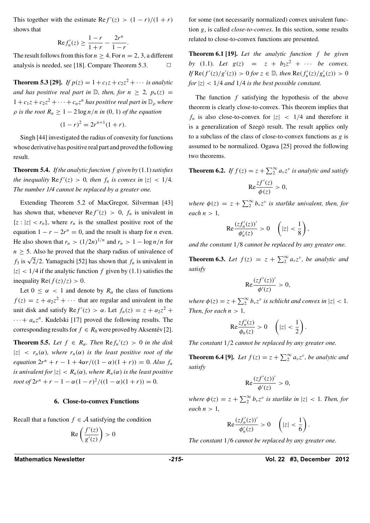This together with the estimate  $\text{Re } f'(z) > (1 - r)/(1 + r)$ shows that

$$
Re f_n'(z) \ge \frac{1-r}{1+r} - \frac{2r^n}{1-r}.
$$

The result follows from this for  $n > 4$ . For  $n = 2, 3$ , a different analysis is needed, see [18]. Compare Theorem 5.3.

**Theorem 5.3 [29].** *If*  $p(z) = 1 + c_1z + c_2z^2 + \cdots$  *is analytic and has positive real part in*  $\mathbb{D}$ *, then, for*  $n \geq 2$ *,*  $p_n(z)$  =  $1 + c_1z + c_2z^2 + \cdots + c_nz^n$  has positive real part in  $\mathbb{D}_{\rho}$  where  $\rho$  *is the root*  $R_n \geq 1 - 2 \log n / n$  *in* (0*,* 1*) of the equation* 

$$
(1 - r)^2 = 2r^{n+1}(1 + r).
$$

Singh [44] investigated the radius of convexity for functions whose derivative has positive real part and proved the following result.

**Theorem 5.4.** *If the analytic function f given by* (1.1)*satisfies the inequality*  $\text{Re } f'(z) > 0$ *, then*  $f_n$  *is convex in*  $|z| < 1/4$ *. The number 1/4 cannot be replaced by a greater one.*

Extending Theorem 5.2 of MacGregor, Silverman [43] has shown that, whenever  $\text{Re } f'(z) > 0$ ,  $f_n$  is univalent in  $\{z : |z| < r_n\}$ , where  $r_n$  is the smallest positive root of the equation  $1 - r - 2r^n = 0$ , and the result is sharp for *n* even. He also shown that  $r_n > (1/2n)^{1/n}$  and  $r_n > 1 - \log n/n$  for  $n \geq 5$ . Also he proved that the sharp radius of univalence of *f*<sub>3</sub> is  $\sqrt{2}/2$ . Yamaguchi [52] has shown that *f<sub>n</sub>* is univalent in  $|z|$  < 1/4 if the analytic function  $f$  given by (1.1) satisfies the inequality Re( $f(z)/z$ ) > 0.

Let  $0 \leq \alpha < 1$  and denote by  $R_{\alpha}$  the class of functions  $f(z) = z + a_2 z^2 + \cdots$  that are regular and univalent in the unit disk and satisfy  $\text{Re } f'(z) > \alpha$ . Let  $f_n(z) = z + a_2 z^2 + \alpha$  $\cdots + a_n z^n$ . Kudelski [17] proved the following results. The corresponding results for  $f \in R_0$  were proved by Aksentev [2].

**Theorem 5.5.** Let  $f \in R_\alpha$ . Then  $\text{Re } f_n'(z) > 0$  in the disk  $|z|$  *< r<sub>n</sub>*( $\alpha$ )*, where*  $r_n(\alpha)$  *is the least positive root of the equation*  $2r^n + r - 1 + 4\alpha r / ((1 - \alpha)(1 + r)) = 0$ *. Also*  $f_n$ *is univalent for*  $|z| < R_n(\alpha)$ *, where*  $R_n(\alpha)$  *is the least positive root* of  $2r^n + r - 1 - \alpha(1 - r)^2/((1 - \alpha)(1 + r)) = 0$ .

#### **6. Close-to-convex Functions**

Recall that a function  $f \in A$  satisfying the condition

$$
\operatorname{Re}\left(\frac{f'(z)}{g'(z)}\right) > 0
$$

for some (not necessarily normalized) convex univalent function *g*, is called *close-to-convex*. In this section, some results related to close-to-convex functions are presented.

**Theorem 6.1 [19].** *Let the analytic function f be given by* (1.1)*. Let*  $g(z) = z + b_2z^2 + \cdots$  *be convex. If*  $\text{Re}(f'(z)/g'(z)) > 0$  *for*  $z \in \mathbb{D}$ *, then*  $\text{Re}(f'_n(z)/g'_n(z)) > 0$ *for*  $|z|$  < 1/4 *and* 1/4 *is the best possible constant.* 

The function *f* satisfying the hypothesis of the above theorem is clearly close-to-convex. This theorem implies that  $f_n$  is also close-to-convex for  $|z| < 1/4$  and therefore it is a generalization of Szegö result. The result applies only to a subclass of the class of close-to-convex functions as *g* is assumed to be normalized. Ogawa [25] proved the following two theorems.

**Theorem 6.2.** *If*  $f(z) = z + \sum_{i=1}^{\infty} a_i z^{\nu}$  *is analytic and satisfy* 

$$
\operatorname{Re}\frac{zf'(z)}{\phi(z)}>0,
$$

*where*  $\phi(z) = z + \sum_{i=1}^{\infty} b_i z^{\nu}$  *is starlike univalent, then, for each n >* 1*,*

$$
\mathrm{Re}\frac{(zf_n'(z))'}{\phi_n'(z)} > 0 \quad \left(|z| < \frac{1}{8}\right),
$$

*and the constant* 1*/*8 *cannot be replaced by any greater one.*

**Theorem 6.3.** Let  $f(z) = z + \sum_{i=1}^{\infty} a_i z^i$ , be analytic and *satisfy*

$$
\operatorname{Re}\frac{(zf'(z))'}{\phi'(z)} > 0,
$$

*where*  $\phi(z) = z + \sum_{i=1}^{\infty} b_i z^{\nu}$  *is schlicht and convex in*  $|z| < 1$ *. Then, for each*  $n > 1$ *,* 

$$
\mathrm{Re}\frac{zf_n'(z)}{\phi_n(z)}>0\quad \left(|z|<\frac{1}{2}\right).
$$

*The constant* 1*/*2 *cannot be replaced by any greater one.*

**Theorem 6.4 [9].** *Let*  $f(z) = z + \sum_{i=1}^{\infty} a_i z^i$ , *be analytic and satisfy*

$$
\mathrm{Re}\frac{(zf'(z))'}{\phi'(z)} > 0,
$$

*where*  $\phi(z) = z + \sum_{\alpha}^{\infty} b_{\nu} z^{\nu}$  *is starlike in*  $|z| < 1$ *. Then, for each*  $n > 1$ ,

$$
\mathrm{Re}\frac{(zf'_n(z))'}{\phi'_n(z)} > 0 \quad \left(|z| < \frac{1}{6}\right).
$$

*The constant* 1*/*6 *cannot be replaced by any greater one.*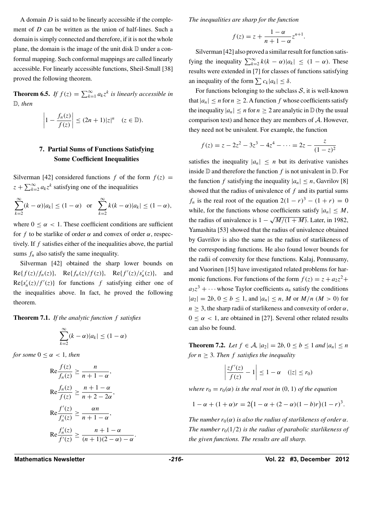A domain *D* is said to be linearly accessible if the complement of *D* can be written as the union of half-lines. Such a domain is simply connected and therefore, if it is not the whole plane, the domain is the image of the unit disk  $D$  under a conformal mapping. Such conformal mappings are called linearly accessible. For linearly accessible functions, Sheil-Small [38] proved the following theorem.

**Theorem 6.5.** *If*  $f(z) = \sum_{k=1}^{\infty} a_k z^k$  *is linearly accessible in* D*, then*

$$
\left|1 - \frac{f_n(z)}{f(z)}\right| \le (2n+1)|z|^n \quad (z \in \mathbb{D}).
$$

### **7. Partial Sums of Functions Satisfying Some Coefficient Inequalities**

Silverman [42] considered functions  $f$  of the form  $f(z) =$  $z + \sum_{k=2}^{\infty} a_k z^k$  satisfying one of the inequalities

$$
\sum_{k=2}^{\infty} (k - \alpha)|a_k| \le (1 - \alpha) \quad \text{or} \quad \sum_{k=2}^{\infty} k(k - \alpha)|a_k| \le (1 - \alpha),
$$

where  $0 \leq \alpha < 1$ . These coefficient conditions are sufficient for *f* to be starlike of order  $\alpha$  and convex of order  $\alpha$ , respectively. If *f* satisfies either of the inequalities above, the partial sums  $f_n$  also satisfy the same inequality.

Silverman [42] obtained the sharp lower bounds on  $Re{f(z)/f_n(z)}$ ,  $Re{f_n(z)/f(z)}$ ,  $Re{f'(z)/s'_n(z)}$ , and  $Re{s'_n(z)}/f'(z)$  for functions f satisfying either one of the inequalities above. In fact, he proved the following theorem.

**Theorem 7.1.** *If the analytic function f satisfies*

$$
\sum_{k=2}^{\infty} (k - \alpha) |a_k| \le (1 - \alpha)
$$

*for some*  $0 \leq \alpha < 1$ *, then* 

$$
\operatorname{Re} \frac{f(z)}{f_n(z)} \ge \frac{n}{n+1-\alpha},
$$
  
\n
$$
\operatorname{Re} \frac{f_n(z)}{f(z)} \ge \frac{n+1-\alpha}{n+2-2\alpha},
$$
  
\n
$$
\operatorname{Re} \frac{f'(z)}{f'_n(z)} \ge \frac{\alpha n}{n+1-\alpha},
$$
  
\n
$$
\operatorname{Re} \frac{f'_n(z)}{f'(z)} \ge \frac{n+1-\alpha}{(n+1)(2-\alpha)-\alpha}.
$$

*The inequalities are sharp for the function*

$$
f(z) = z + \frac{1 - \alpha}{n + 1 - \alpha} z^{n+1}
$$

*.*

Silverman [42] also proved a similar result for function satisfying the inequality  $\sum_{k=2}^{\infty} k(k - \alpha)|a_k| \leq (1 - \alpha)$ . These results were extended in [7] for classes of functions satisfying an inequality of the form  $\sum c_k |a_k| \leq \delta$ .

For functions belonging to the subclass  $S$ , it is well-known that  $|a_n| \leq n$  for  $n \geq 2$ . A function f whose coefficients satisfy the inequality  $|a_n| \leq n$  for  $n \geq 2$  are analytic in  $\mathbb D$  (by the usual comparison test) and hence they are members of *A*. However, they need not be univalent. For example, the function

$$
f(z) = z - 2z2 - 3z3 - 4z4 - \dots = 2z - \frac{z}{(1 - z)2}
$$

satisfies the inequality  $|a_n| \leq n$  but its derivative vanishes inside  $D$  and therefore the function  $f$  is not univalent in  $D$ . For the function *f* satisfying the inequality  $|a_n| \leq n$ , Gavrilov [8] showed that the radius of univalence of *f* and its partial sums *f<sub>n</sub>* is the real root of the equation  $2(1 - r)^3 - (1 + r) = 0$ while, for the functions whose coefficients satisfy  $|a_n| \leq M$ , the radius of univalence is  $1 - \sqrt{M/(1+M)}$ . Later, in 1982, Yamashita [53] showed that the radius of univalence obtained by Gavrilov is also the same as the radius of starlikeness of the corresponding functions. He also found lower bounds for the radii of convexity for these functions. Kalaj, Ponnusamy, and Vuorinen [15] have investigated related problems for harmonic functions. For functions of the form  $f(z) = z + a_2 z^2 +$  $a_3z^3 + \cdots$  whose Taylor coefficients  $a_n$  satisfy the conditions  $|a_2| = 2b, 0 \le b \le 1$ , and  $|a_n| \le n$ , M or  $M/n$  ( $M > 0$ ) for  $n \geq 3$ , the sharp radii of starlikeness and convexity of order  $\alpha$ ,  $0 \leq \alpha < 1$ , are obtained in [27]. Several other related results can also be found.

**Theorem 7.2.** *Let*  $f \in A$ *,*  $|a_2| = 2b$ *,*  $0 \le b \le 1$  *and*  $|a_n| \le n$ *for*  $n \geq 3$ *. Then f satisfies the inequality* 

$$
\left|\frac{zf'(z)}{f(z)}-1\right|\leq 1-\alpha \quad (|z|\leq r_0)
$$

*where*  $r_0 = r_0(\alpha)$  *is the real root in*  $(0, 1)$  *of the equation* 

$$
1 - \alpha + (1 + \alpha)r = 2(1 - \alpha + (2 - \alpha)(1 - b)r)(1 - r)^3.
$$

*The number*  $r_0(\alpha)$  *is also the radius of starlikeness of order*  $\alpha$ *. The number*  $r_0(1/2)$  *is the radius of parabolic starlikeness of the given functions. The results are all sharp.*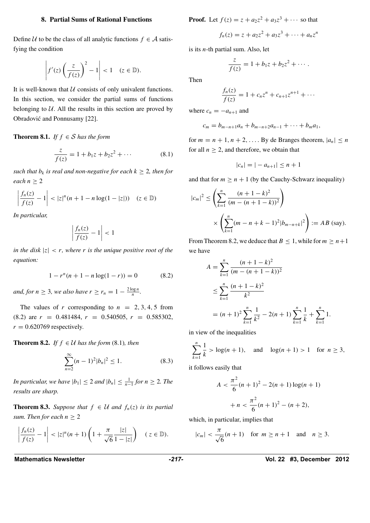#### **8. Partial Sums of Rational Functions**

Define  $U$  to be the class of all analytic functions  $f \in \mathcal{A}$  satisfying the condition

$$
\left|f'(z)\left(\frac{z}{f(z)}\right)^2-1\right|<1\quad(z\in\mathbb{D}).
$$

It is well-known that *U* consists of only univalent functions. In this section, we consider the partial sums of functions belonging to  $U$ . All the results in this section are proved by Obradović and Ponnusamy [22].

**Theorem 8.1.** *If*  $f \in S$  *has the form* 

$$
\frac{z}{f(z)} = 1 + b_1 z + b_2 z^2 + \cdots
$$
 (8.1)

*such that*  $b_k$  *is real and non-negative for each*  $k \geq 2$ *, then for each*  $n \geq 2$ 

$$
\left|\frac{f_n(z)}{f(z)}-1\right|<|z|^n(n+1-n\log(1-|z|))\quad(z\in\mathbb{D})
$$

*In particular,*

$$
\left|\frac{f_n(z)}{f(z)}-1\right|<1
$$

*in the disk*  $|z| < r$ *, where r is the unique positive root of the equation:*

$$
1 - rn(n + 1 - n \log(1 - r)) = 0
$$
 (8.2)

*and, for*  $n \geq 3$ *, we also have*  $r \geq r_n = 1 - \frac{2 \log n}{n}$ *.* 

The values of *r* corresponding to  $n = 2, 3, 4, 5$  from  $(8.2)$  are  $r = 0.481484$ ,  $r = 0.540505$ ,  $r = 0.585302$ ,  $r = 0.620769$  respectively.

**Theorem 8.2.** *If*  $f \in \mathcal{U}$  *has the form* (8.1)*, then* 

$$
\sum_{n=2}^{\infty} (n-1)^2 |b_n|^2 \le 1.
$$
 (8.3)

*In particular, we have*  $|b_1| \leq 2$  *and*  $|b_n| \leq \frac{1}{n-1}$  *for*  $n \geq 2$ *. The results are sharp.*

**Theorem 8.3.** *Suppose that*  $f \in \mathcal{U}$  *and*  $f_n(z)$  *is its partial sum. Then for each*  $n \geq 2$ 

$$
\left|\frac{f_n(z)}{f(z)}-1\right|<|z|^n(n+1)\left(1+\frac{\pi}{\sqrt{6}}\frac{|z|}{1-|z|}\right)\quad(z\in\mathbb{D}).
$$

**Proof.** Let 
$$
f(z) = z + a_2 z^2 + a_3 z^3 + \cdots
$$
 so that

$$
f_n(z) = z + a_2 z^2 + a_3 z^3 + \dots + a_n z^n
$$

is its *n*-th partial sum. Also, let

$$
\frac{z}{f(z)} = 1 + b_1 z + b_2 z^2 + \cdots
$$

Then

$$
\frac{f_n(z)}{f(z)} = 1 + c_n z^n + c_{n+1} z^{n+1} + \cdots
$$

where  $c_n = -a_{n+1}$  and

$$
c_m = b_{m-n+1}a_n + b_{m-n+2}a_{n-1} + \cdots + b_ma_1,
$$

for  $m = n + 1, n + 2, \ldots$  By de Branges theorem,  $|a_n| \le n$ for all  $n \geq 2$ , and therefore, we obtain that

$$
|c_n| = |-a_{n+1}| \le n+1
$$

and that for  $m > n + 1$  (by the Cauchy-Schwarz inequality)

$$
|c_m|^2 \le \left(\sum_{k=1}^n \frac{(n+1-k)^2}{(m-(n+1-k))^2}\right)
$$
  
 
$$
\times \left(\sum_{k=1}^n (m-n+k-1)^2 |b_{m-n+k}|^2\right) := AB \text{ (say)}.
$$

From Theorem 8.2, we deduce that  $B \le 1$ , while for  $m \ge n+1$ we have

$$
A = \sum_{k=1}^{n} \frac{(n+1-k)^2}{(m-(n+1-k))^2}
$$
  
\n
$$
\leq \sum_{k=1}^{n} \frac{(n+1-k)^2}{k^2}
$$
  
\n
$$
= (n+1)^2 \sum_{k=1}^{n} \frac{1}{k^2} - 2(n+1) \sum_{k=1}^{n} \frac{1}{k} + \sum_{k=1}^{n} 1.
$$

in view of the inequalities

$$
\sum_{k=1}^{n} \frac{1}{k} > \log(n+1), \text{ and } \log(n+1) > 1 \text{ for } n \ge 3,
$$

it follows easily that

$$
A < \frac{\pi^2}{6}(n+1)^2 - 2(n+1)\log(n+1) \\
+ n < \frac{\pi^2}{6}(n+1)^2 - (n+2),
$$

which, in particular, implies that

$$
|c_m| < \frac{\pi}{\sqrt{6}}(n+1) \quad \text{for } m \ge n+1 \quad \text{and} \quad n \ge 3.
$$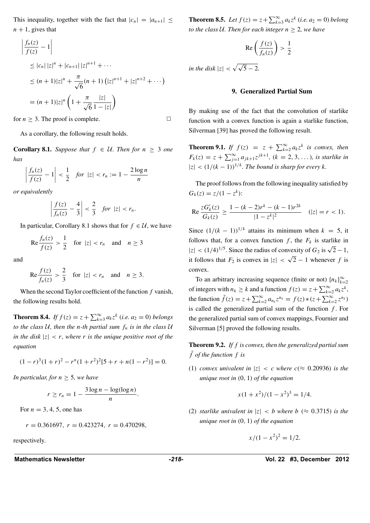This inequality, together with the fact that  $|c_n|=|a_{n+1}|\leq$  $n + 1$ , gives that

$$
\frac{f_n(z)}{f(z)} - 1\Big|
$$
\n
$$
\leq |c_n| |z|^n + |c_{n+1}| |z|^{n+1} + \cdots
$$
\n
$$
\leq (n+1)|z|^n + \frac{\pi}{\sqrt{6}} (n+1) (|z|^{n+1} + |z|^{n+2} + \cdots)
$$
\n
$$
= (n+1)|z|^n \left(1 + \frac{\pi}{\sqrt{6}} \frac{|z|}{1 - |z|}\right)
$$

for  $n > 3$ . The proof is complete.  $\Box$ 

As a corollary, the following result holds.

**Corollary 8.1.** *Suppose that*  $f \in \mathcal{U}$ *. Then for*  $n \geq 3$  *one has*

$$
\left| \frac{f_n(z)}{f(z)} - 1 \right| < \frac{1}{2} \quad \text{for } |z| < r_n := 1 - \frac{2\log n}{n}
$$

*or equivalently*

 $\overline{\phantom{a}}$  $\overline{\phantom{a}}$  $\overline{\phantom{a}}$  $\overline{\phantom{a}}$ 

$$
\left|\frac{f(z)}{f_n(z)}-\frac{4}{3}\right|<\frac{2}{3} \quad \text{for } |z|
$$

In particular, Corollary 8.1 shows that for  $f \in \mathcal{U}$ , we have

$$
\operatorname{Re}\frac{f_n(z)}{f(z)} > \frac{1}{2} \quad \text{for } |z| < r_n \quad \text{and} \quad n \ge 3
$$

and

$$
\operatorname{Re}\frac{f(z)}{f_n(z)} > \frac{2}{3} \quad \text{for } |z| < r_n \quad \text{and} \quad n \ge 3.
$$

When the second Taylor coefficient of the function *f* vanish, the following results hold.

**Theorem 8.4.** *If*  $f(z) = z + \sum_{k=3}^{\infty} a_k z^k$  (*i.e.*  $a_2 = 0$ *) belongs to the class U, then the n-th partial sum*  $f_n$  *is in the class U in the disk*  $|z| < r$ *, where r is the unique positive root of the equation*

$$
(1 - r)3(1 + r)2 - rn(1 + r2)2[5 + r + n(1 - r2)] = 0.
$$

*In particular, for*  $n \geq 5$ *, we have* 

$$
r \ge r_n = 1 - \frac{3\log n - \log(\log n)}{n}.
$$

For  $n = 3, 4, 5$ , one has

$$
r = 0.361697, r = 0.423274, r = 0.470298,
$$

respectively.

**Theorem 8.5.** *Let*  $f(z) = z + \sum_{k=3}^{\infty} a_k z^k$  (*i.e.*  $a_2 = 0$ *) belong to the class U. Then for each integer*  $n \geq 2$ *, we have* 

$$
\operatorname{Re}\left(\frac{f(z)}{f_n(z)}\right) > \frac{1}{2}
$$

*in the disk*  $|z| < \sqrt{\sqrt{5} - 2}$ *.* 

#### **9. Generalized Partial Sum**

By making use of the fact that the convolution of starlike function with a convex function is again a starlike function, Silverman [39] has proved the following result.

**Theorem 9.1.** *If*  $f(z) = z + \sum_{k=2}^{\infty} a_k z^k$  *is convex, then*  $F_k(z) = z + \sum_{j=1}^{\infty} a_{jk+1} z^{jk+1}$ ,  $(k = 2, 3, \ldots)$ *, is starlike in*  $|z| < (1/(k-1))^{1/k}$ *. The bound is sharp for every k.* 

The proof follows from the following inequality satisfied by  $G_k(z) = z/(1 - z^k)$ :

Re 
$$
\frac{zG'_k(z)}{G_k(z)} \ge \frac{1 - (k-2)r^k - (k-1)r^{2k}}{|1 - z^k|^2}
$$
  $(|z| = r < 1).$ 

Since  $(1/(k-1))^{1/k}$  attains its minimum when  $k = 5$ , it follows that, for a convex function  $f$ , the  $F_k$  is starlike in  $|z| < (1/4)^{1/5}$ . Since the radius of convexity of  $G_2$  is  $\sqrt{2} - 1$ , it follows that  $F_2$  is convex in  $|z| < \sqrt{2} - 1$  whenever f is convex.

To an arbitrary increasing sequence (finite or not)  ${n_k}_{k=2}^{\infty}$ of integers with  $n_k \ge k$  and a function  $f(z) = z + \sum_{k=2}^{\infty} a_k z^k$ , the function  $\tilde{f}(z) = z + \sum_{k=2}^{\infty} a_{n_k} z^{n_k} = f(z) * (z + \sum_{k=2}^{\infty} z^{n_k})$ is called the generalized partial sum of the function *f* . For the generalized partial sum of convex mappings, Fournier and Silverman [5] proved the following results.

**Theorem 9.2.** *If f is convex, then the generalized partial sum f*˜ *of the function f is*

(1) *convex univalent in*  $|z| < c$  *where*  $c \approx 0.20936$ *) is the unique root in (*0*,* 1*) of the equation*

$$
x(1+x^2)/(1-x^2)^3 = 1/4.
$$

(2) *starlike univalent in*  $|z| < b$  *where*  $b \approx 0.3715$ *) is the unique root in (*0*,* 1*) of the equation*

$$
x/(1 - x^2)^2 = 1/2.
$$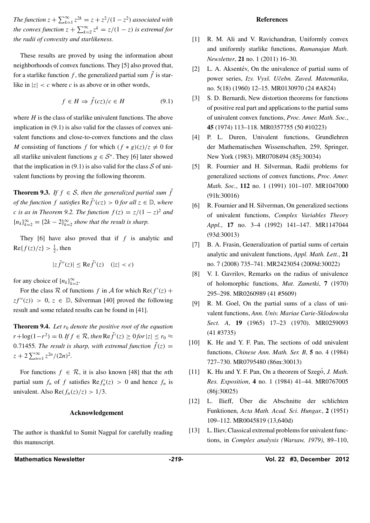*The function*  $z + \sum_{k=1}^{\infty} z^{2k} = z + z^2/(1-z^2)$  *associated with the convex function*  $z + \sum_{k=2}^{\infty} z^k = z/(1-z)$  *is extremal for the radii of convexity and starlikeness.*

These results are proved by using the information about neighborhoods of convex functions. They [5] also proved that, for a starlike function f, the generalized partial sum  $\tilde{f}$  is starlike in  $|z| < c$  where *c* is as above or in other words,

$$
f \in H \Rightarrow \tilde{f}(cz)/c \in H \tag{9.1}
$$

where  $H$  is the class of starlike univalent functions. The above implication in (9.1) is also valid for the classes of convex univalent functions and close-to-convex functions and the class *M* consisting of functions *f* for which  $(f * g)(z)/z \neq 0$  for all starlike univalent functions  $g \in S^*$ . They [6] later showed that the implication in (9.1) is also valid for the class  $S$  of univalent functions by proving the following theorem.

**Theorem 9.3.** *If*  $f \in S$ *, then the generalized partial sum*  $\tilde{f}$ *of the function f satisfies*  $\text{Re} \tilde{f}'(cz) > 0$  *for all*  $z \in \mathbb{D}$ *, where c* is as in Theorem 9.2. The function  $f(z) = z/(1-z)^2$  and  ${n_k}_{k=2}^{\infty}$  = {2*k* − 2} $_{k=2}^{\infty}$  *show that the result is sharp.* 

They [6] have also proved that if *f* is analytic and  $\text{Re}\{f(z)/z\} > \frac{1}{2}$ , then

$$
|z\tilde{f}''(z)| \le \text{Re}\tilde{f}'(z) \quad (|z| < c)
$$

for any choice of  $\{n_k\}_{k=2}^{\infty}$ .

For the class  $\mathcal R$  of functions  $f$  in  $\mathcal A$  for which  $\text{Re}(f'(z) +$  $zf''(z)$  > 0,  $z \in \mathbb{D}$ , Silverman [40] proved the following result and some related results can be found in [41].

**Theorem 9.4.** Let  $r_0$  denote the positive root of the equation *r* + log(1−*r*<sup>2</sup>) = 0*. If*  $f \in \mathcal{R}$ *, then* Re $\tilde{f}'(z) \ge 0$  *for*  $|z| \le r_0 \approx$ 0.71455*. The result is sharp, with extremal function*  $\tilde{f}(z)$  =  $z + 2 \sum_{n=1}^{\infty} z^{2n} / (2n)^2$ .

For functions  $f \in \mathcal{R}$ , it is also known [48] that the *n*th partial sum  $f_n$  of  $f$  satisfies  $\text{Re } f'_n(z) > 0$  and hence  $f_n$  is univalent. Also  $\text{Re}(f_n(z)/z) > 1/3$ .

#### **Acknowledgement**

The author is thankful to Sumit Nagpal for carefully reading this manuscript.

#### **References**

- [1] R. M. Ali and V. Ravichandran, Uniformly convex and uniformly starlike functions, *Ramanujan Math. Newsletter*, **21** no. 1 (2011) 16–30.
- [2] L. A. Aksentév, On the univalence of partial sums of power series, *Izv. Vysš. Učebn. Zaved. Matematika*, no. 5(18) (1960) 12–15. MR0130970 (24 #A824)
- [3] S. D. Bernardi, New distortion theorems for functions of positive real part and applications to the partial sums of univalent convex functions, *Proc. Amer. Math. Soc.*, **45** (1974) 113–118. MR0357755 (50 #10223)
- [4] P. L. Duren, Univalent functions, Grundlehren der Mathematischen Wissenschaften, 259, Springer, New York (1983). MR0708494 (85j:30034)
- [5] R. Fournier and H. Silverman, Radii problems for generalized sections of convex functions, *Proc. Amer. Math. Soc.*, **112** no. 1 (1991) 101–107. MR1047000 (91h:30016)
- [6] R. Fournier and H. Silverman, On generalized sections of univalent functions, *Complex Variables Theory Appl.*, **17** no. 3–4 (1992) 141–147. MR1147044 (93d:30013)
- [7] B. A. Frasin, Generalization of partial sums of certain analytic and univalent functions, *Appl. Math. Lett.*, **21** no. 7 (2008) 735–741. MR2423054 (2009d:30022)
- [8] V. I. Gavrilov, Remarks on the radius of univalence of holomorphic functions, *Mat. Zametki*, **7** (1970) 295–298. MR0260989 (41 #5609)
- [9] R. M. Goel, On the partial sums of a class of univalent functions, *Ann. Univ. Mariae Curie-Sklodowska Sect. A*, **19** (1965) 17–23 (1970). MR0259093 (41 #3735)
- [10] K. He and Y. F. Pan, The sections of odd univalent functions, *Chinese Ann. Math. Ser. B*, **5** no. 4 (1984) 727–730. MR0795480 (86m:30013)
- [11] K. Hu and Y. F. Pan, On a theorem of Szeg<sup>o</sup>, *J. Math. Res. Exposition*, **4** no. 1 (1984) 41–44. MR0767005 (86j:30025)
- [12] L. Ilieff, Über die Abschnitte der schlichten Funktionen, *Acta Math. Acad. Sci. Hungar.*, **2** (1951) 109–112. MR0045819 (13,640d)
- [13] L. Iliev, Classical extremal problems for univalent functions, in *Complex analysis (Warsaw, 1979)*, 89–110,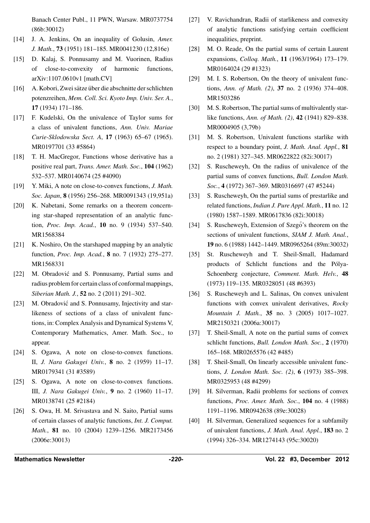Banach Center Publ., 11 PWN, Warsaw. MR0737754 (86b:30012)

- [14] J. A. Jenkins, On an inequality of Golusin, *Amer. J. Math.*, **73** (1951) 181–185. MR0041230 (12,816e)
- [15] D. Kalaj, S. Ponnusamy and M. Vuorinen, Radius of close-to-convexity of harmonic functions, arXiv:1107.0610v1 [math.CV]
- [16] A. Kobori, Zwei sätze über die abschnitte der schlichten potenzreihen, *Mem. Coll. Sci. Kyoto Imp. Univ. Ser. A.*, **17** (1934) 171–186.
- [17] F. Kudelski, On the univalence of Taylor sums for a class of univalent functions, *Ann. Univ. Mariae Curie-Sklodowska Sect. A*, **17** (1963) 65–67 (1965). MR0197701 (33 #5864)
- [18] T. H. MacGregor, Functions whose derivative has a positive real part, *Trans. Amer. Math. Soc.*, **104** (1962) 532–537. MR0140674 (25 #4090)
- [19] Y. Miki, A note on close-to-convex functions, *J. Math. Soc. Japan*, **8** (1956) 256–268. MR0091343 (19,951a)
- [20] K. Nabetani, Some remarks on a theorem concerning star-shaped representation of an analytic function, *Proc. Imp. Acad.*, **10** no. 9 (1934) 537–540. MR1568384
- [21] K. Noshiro, On the starshaped mapping by an analytic function, *Proc. Imp. Acad.*, **8** no. 7 (1932) 275–277. MR1568331
- [22] M. Obradović and S. Ponnusamy, Partial sums and radius problem for certain class of conformal mappings, *Siberian Math. J.*, **52** no. 2 (2011) 291–302.
- [23] M. Obradović and S. Ponnusamy, Injectivity and starlikeness of sections of a class of univalent functions, in: Complex Analysis and Dynamical Systems V, Contemporary Mathematics, Amer. Math. Soc., to appear.
- [24] S. Ogawa, A note on close-to-convex functions. II, *J. Nara Gakugei Univ.*, **8** no. 2 (1959) 11–17. MR0179341 (31 #3589)
- [25] S. Ogawa, A note on close-to-convex functions. III, *J. Nara Gakugei Univ.*, **9** no. 2 (1960) 11–17. MR0138741 (25 #2184)
- [26] S. Owa, H. M. Srivastava and N. Saito, Partial sums of certain classes of analytic functions, *Int. J. Comput. Math.*, **81** no. 10 (2004) 1239–1256. MR2173456 (2006e:30013)
- [27] V. Ravichandran, Radii of starlikeness and convexity of analytic functions satisfying certain coefficient inequalities, preprint.
- [28] M. O. Reade, On the partial sums of certain Laurent expansions, *Colloq. Math.*, **11** (1963/1964) 173–179. MR0164024 (29 #1323)
- [29] M. I. S. Robertson, On the theory of univalent functions, *Ann. of Math. (2)*, **37** no. 2 (1936) 374–408. MR1503286
- [30] M. S. Robertson, The partial sums of multivalently starlike functions, *Ann. of Math. (2)*, **42** (1941) 829–838. MR0004905 (3,79b)
- [31] M. S. Robertson, Univalent functions starlike with respect to a boundary point, *J. Math. Anal. Appl.*, **81** no. 2 (1981) 327–345. MR0622822 (82i:30017)
- [32] S. Ruscheweyh, On the radius of univalence of the partial sums of convex functions, *Bull. London Math. Soc.*, **4** (1972) 367–369. MR0316697 (47 #5244)
- [33] S. Ruscheweyh, On the partial sums of prestarlike and related functions, *Indian J. Pure Appl. Math.*, **11** no. 12 (1980) 1587–1589. MR0617836 (82i:30018)
- [34] S. Ruscheweyh, Extension of Szego's theorem on the sections of univalent functions, *SIAM J. Math. Anal.*, **19** no. 6 (1988) 1442–1449. MR0965264 (89m:30032)
- [35] St. Ruscheweyh and T. Sheil-Small, Hadamard products of Schlicht functions and the Pólya-Schoenberg conjecture, *Comment. Math. Helv.*, **48** (1973) 119–135. MR0328051 (48 #6393)
- [36] S. Ruscheweyh and L. Salinas, On convex univalent functions with convex univalent derivatives, *Rocky Mountain J. Math.*, **35** no. 3 (2005) 1017–1027. MR2150321 (2006a:30017)
- [37] T. Sheil-Small, A note on the partial sums of convex schlicht functions, *Bull. London Math. Soc.*, **2** (1970) 165–168. MR0265576 (42 #485)
- [38] T. Sheil-Small, On linearly accessible univalent functions, *J. London Math. Soc. (2)*, **6** (1973) 385–398. MR0325953 (48 #4299)
- [39] H. Silverman, Radii problems for sections of convex functions, *Proc. Amer. Math. Soc.*, **104** no. 4 (1988) 1191–1196. MR0942638 (89e:30028)
- [40] H. Silverman, Generalized sequences for a subfamily of univalent functions, *J. Math. Anal. Appl.*, **183** no. 2 (1994) 326–334. MR1274143 (95c:30020)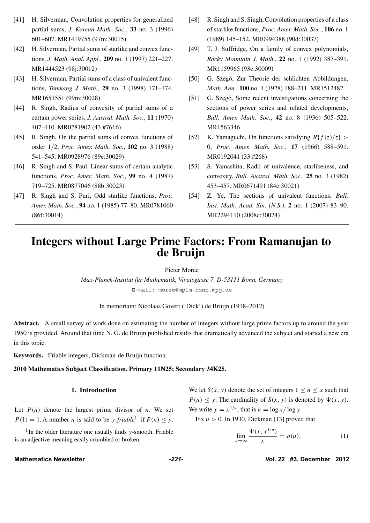- [41] H. Silverman, Convolution properties for generalized partial sums, *J. Korean Math. Soc.*, **33** no. 3 (1996) 601–607. MR1419755 (97m:30015)
- [42] H. Silverman, Partial sums of starlike and convex functions, *J. Math. Anal. Appl.*, **209** no. 1 (1997) 221–227. MR1444523 (98j:30012)
- [43] H. Silverman, Partial sums of a class of univalent functions, *Tamkang J. Math.*, **29** no. 3 (1998) 171–174. MR1651551 (99m:30028)
- [44] R. Singh, Radius of convexity of partial sums of a certain power series, *J. Austral. Math. Soc.*, **11** (1970) 407–410. MR0281902 (43 #7616)
- [45] R. Singh, On the partial sums of convex functions of order 1*/*2, *Proc. Amer. Math. Soc.*, **102** no. 3 (1988) 541–545. MR0928976 (89e:30029)
- [46] R. Singh and S. Paul, Linear sums of certain analytic functions, *Proc. Amer. Math. Soc.*, **99** no. 4 (1987) 719–725. MR0877046 (88b:30023)
- [47] R. Singh and S. Puri, Odd starlike functions, *Proc. Amer. Math. Soc.*, **94** no. 1 (1985) 77–80. MR0781060 (86f:30014)
- [48] R. Singh and S. Singh, Convolution properties of a class of starlike functions, *Proc. Amer. Math. Soc.*, **106** no. 1 (1989) 145–152. MR0994388 (90d:30037)
- [49] T. J. Suffridge, On a family of convex polynomials, *Rocky Mountain J. Math.*, **22** no. 1 (1992) 387–391. MR1159965 (93c:30009)
- [50] G. Szegö, Zur Theorie der schlichten Abbildungen, *Math. Ann.*, **100** no. 1 (1928) 188–211. MR1512482
- [51] G. Szegö, Some recent investigations concerning the sections of power series and related developments, *Bull. Amer. Math. Soc.*, **42** no. 8 (1936) 505–522. MR1563346
- [52] K. Yamaguchi, On functions satisfying  $R\{f(z)/z\}$  > 0, *Proc. Amer. Math. Soc.*, **17** (1966) 588–591. MR0192041 (33 #268)
- [53] S. Yamashita, Radii of univalence, starlikeness, and convexity, *Bull. Austral. Math. Soc.*, **25** no. 3 (1982) 453–457. MR0671491 (84e:30021)
- [54] Z. Ye, The sections of univalent functions, *Bull. Inst. Math. Acad. Sin. (N.S.)*, **2** no. 1 (2007) 83–90. MR2294110 (2008c:30024)

# **Integers without Large Prime Factors: From Ramanujan to de Bruijn**

Pieter Moree

*Max-Planck-Institut fur Mathematik, Vivatsgasse 7, D-53111 Bonn, Germany ¨* E-mail: moree@mpim-bonn.mpg.de

In memoriam: Nicolaas Govert ('Dick') de Bruijn (1918–2012)

**Abstract.** A small survey of work done on estimating the number of integers without large prime factors up to around the year 1950 is provided. Around that time N. G. de Bruijn published results that dramatically advanced the subject and started a new era in this topic.

**Keywords.** Friable integers, Dickman-de Bruijn function.

**2010 Mathematics Subject Classification. Primary 11N25; Secondary 34K25.**

#### **1. Introduction**

Let  $P(n)$  denote the largest prime divisor of *n*. We set  $P(1) = 1$ . A number *n* is said to be *y*-*friable*<sup>1</sup> if  $P(n) \le y$ .

<sup>1</sup> In the older literature one usually finds *y*-smooth. Friable is an adjective meaning easily crumbled or broken.

We let  $S(x, y)$  denote the set of integers  $1 \le n \le x$  such that  $P(n) \leq y$ . The cardinality of *S(x, y)* is denoted by  $\Psi(x, y)$ . We write  $y = x^{1/u}$ , that is  $u = \log x / \log y$ .

Fix *u >* 0. In 1930, Dickman [13] proved that

$$
\lim_{x \to \infty} \frac{\Psi(x, x^{1/u})}{x} = \rho(u),\tag{1}
$$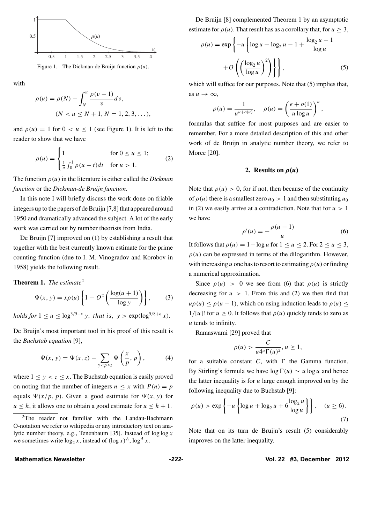

Figure 1. The Dickman-de Bruijn function  $\rho(u)$ .

with

$$
\rho(u) = \rho(N) - \int_{N}^{u} \frac{\rho(v-1)}{v} dv,
$$
  
(N < u \le N + 1, N = 1, 2, 3, ...),

and  $\rho(u) = 1$  for  $0 < u < 1$  (see Figure 1). It is left to the reader to show that we have

$$
\rho(u) = \begin{cases} 1 & \text{for } 0 \le u \le 1; \\ \frac{1}{u} \int_0^1 \rho(u - t) dt & \text{for } u > 1. \end{cases}
$$
 (2)

The function *ρ(u)* in the literature is either called the *Dickman function* or the *Dickman-de Bruijn function*.

In this note I will briefly discuss the work done on friable integers up to the papers of de Bruijn [7,8] that appeared around 1950 and dramatically advanced the subject. A lot of the early work was carried out by number theorists from India.

De Bruijn [7] improved on (1) by establishing a result that together with the best currently known estimate for the prime counting function (due to I. M. Vinogradov and Korobov in 1958) yields the following result.

#### **Theorem 1.** *The estimate*<sup>2</sup>

$$
\Psi(x, y) = x\rho(u) \left\{ 1 + O^2 \left( \frac{\log(u+1)}{\log y} \right) \right\},\tag{3}
$$

*holds for*  $1 \le u \le \log^{3/5-\epsilon} y$ , that is,  $y > \exp(\log^{5/8+\epsilon} x)$ .

De Bruijn's most important tool in his proof of this result is the *Buchstab equation* [9],

$$
\Psi(x, y) = \Psi(x, z) - \sum_{y < p \le z} \Psi\left(\frac{x}{p}, p\right),\tag{4}
$$

where  $1 \leq y < z \leq x$ . The Buchstab equation is easily proved on noting that the number of integers  $n \leq x$  with  $P(n) = p$ equals  $\Psi(x/p, p)$ . Given a good estimate for  $\Psi(x, y)$  for  $u \leq h$ , it allows one to obtain a good estimate for  $u \leq h + 1$ .

De Bruijn [8] complemented Theorem 1 by an asymptotic estimate for  $\rho(u)$ . That result has as a corollary that, for  $u \geq 3$ ,

$$
\rho(u) = \exp\left\{-u\left\{\log u + \log_2 u - 1 + \frac{\log_2 u - 1}{\log u}\right\}\right\} + O\left(\left(\frac{\log_2 u}{\log u}\right)^2\right)\right\},
$$
\n(5)

which will suffice for our purposes. Note that  $(5)$  implies that, as  $u \to \infty$ ,

$$
\rho(u) = \frac{1}{u^{u+o(u)}}, \quad \rho(u) = \left(\frac{e+o(1)}{u\log u}\right)^u,
$$

formulas that suffice for most purposes and are easier to remember. For a more detailed description of this and other work of de Bruijn in analytic number theory, we refer to Moree [20].

#### **2. Results on** *ρ(u)*

Note that  $\rho(u) > 0$ , for if not, then because of the continuity of  $\rho(u)$  there is a smallest zero  $u_0 > 1$  and then substituting  $u_0$ in (2) we easily arrive at a contradiction. Note that for  $u > 1$ we have

$$
\rho'(u) = -\frac{\rho(u-1)}{u} \tag{6}
$$

It follows that  $\rho(u) = 1 - \log u$  for  $1 \le u \le 2$ . For  $2 \le u \le 3$ ,  $\rho(u)$  can be expressed in terms of the dilogarithm. However, with increasing *u* one has to resort to estimating  $\rho(u)$  or finding a numerical approximation.

Since  $\rho(u) > 0$  we see from (6) that  $\rho(u)$  is strictly decreasing for  $u > 1$ . From this and (2) we then find that  $u\rho(u) \leq \rho(u-1)$ , which on using induction leads to  $\rho(u) \leq$  $1/[u]!$  for  $u \ge 0$ . It follows that  $\rho(u)$  quickly tends to zero as *u* tends to infinity.

Ramaswami [29] proved that

$$
\rho(u) > \frac{C}{u4^u \Gamma(u)^2}, u \ge 1,
$$

for a suitable constant  $C$ , with  $\Gamma$  the Gamma function. By Stirling's formula we have  $log \Gamma(u) \sim u log u$  and hence the latter inequality is for *u* large enough improved on by the following inequality due to Buchstab [9]:

$$
\rho(u) > \exp\left\{-u\left\{\log u + \log_2 u + 6\frac{\log_2 u}{\log u}\right\}\right\}, \quad (u \ge 6).
$$
\n(7)

Note that on its turn de Bruijn's result (5) considerably improves on the latter inequality.

<sup>&</sup>lt;sup>2</sup>The reader not familiar with the Landau-Bachmann O-notation we refer to wikipedia or any introductory text on analytic number theory, e.g., Tenenbaum [35]. Instead of log log *x* we sometimes write  $\log_2 x$ , instead of  $(\log x)^A$ ,  $\log^A x$ .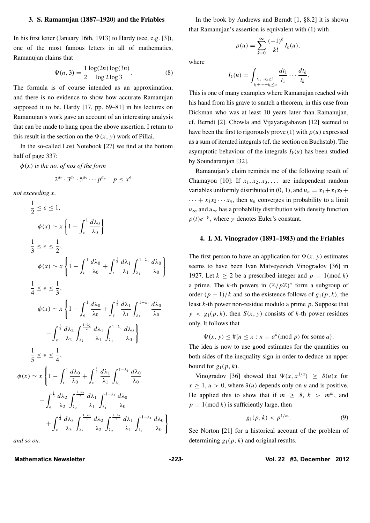#### **3. S. Ramanujan (1887–1920) and the Friables**

In his first letter (January 16th, 1913) to Hardy (see, e.g. [3]), one of the most famous letters in all of mathematics, Ramanujan claims that

$$
\Psi(n,3) = \frac{1}{2} \frac{\log(2n) \log(3n)}{\log 2 \log 3}.
$$
 (8)

The formula is of course intended as an approximation, and there is no evidence to show how accurate Ramanujan supposed it to be. Hardy [17, pp. 69–81] in his lectures on Ramanujan's work gave an account of an interesting analysis that can be made to hang upon the above assertion. I return to this result in the section on the  $\Psi(x, y)$  work of Pillai.

In the so-called Lost Notebook [27] we find at the bottom half of page 337:

*φ(x) is the no. of nos of the form*

$$
2^{a_2} \cdot 3^{a_3} \cdot 5^{a_5} \cdots p^{a_p} \quad p \leq x^{\epsilon}
$$

*not exceeding x.* 1

$$
\frac{1}{2} \leq \epsilon \leq 1,
$$
\n
$$
\phi(x) \sim x \left\{ 1 - \int_{\epsilon}^{1} \frac{d\lambda_{0}}{\lambda_{0}} \right\}
$$
\n
$$
\frac{1}{3} \leq \epsilon \leq \frac{1}{2},
$$
\n
$$
\phi(x) \sim x \left\{ 1 - \int_{\epsilon}^{1} \frac{d\lambda_{0}}{\lambda_{0}} + \int_{\epsilon}^{\frac{1}{2}} \frac{d\lambda_{1}}{\lambda_{1}} \int_{\lambda_{1}}^{1-\lambda_{1}} \frac{d\lambda_{0}}{\lambda_{0}} \right\}
$$
\n
$$
\frac{1}{4} \leq \epsilon \leq \frac{1}{3},
$$
\n
$$
\phi(x) \sim x \left\{ 1 - \int_{\epsilon}^{1} \frac{d\lambda_{0}}{\lambda_{0}} + \int_{\epsilon}^{\frac{1}{2}} \frac{d\lambda_{1}}{\lambda_{1}} \int_{\lambda_{1}}^{1-\lambda_{1}} \frac{d\lambda_{0}}{\lambda_{0}} \right\}
$$
\n
$$
- \int_{\epsilon}^{\frac{1}{3}} \frac{d\lambda_{2}}{\lambda_{2}} \int_{\lambda_{2}}^{\frac{1-\lambda_{2}}{2}} \frac{d\lambda_{1}}{\lambda_{1}} \int_{\lambda_{1}}^{1-\lambda_{1}} \frac{d\lambda_{0}}{\lambda_{0}} \right\}
$$
\n
$$
\frac{1}{5} \leq \epsilon \leq \frac{1}{4},
$$
\n
$$
(x) \sim x \left\{ 1 - \int_{\epsilon}^{1} \frac{d\lambda_{0}}{\lambda_{0}} + \int_{\epsilon}^{\frac{1}{2}} \frac{d\lambda_{1}}{\lambda_{1}} \int_{\lambda_{1}}^{1-\lambda_{1}} \frac{d\lambda_{0}}{\lambda_{0}} \right\}
$$
\n
$$
- \int_{\epsilon}^{\frac{1}{3}} \frac{d\lambda_{2}}{\lambda_{2}} \int_{\lambda_{2}}^{\frac{1-\lambda_{2}}{2}} \frac{d\lambda_{1}}{\lambda_{1}} \int_{\lambda_{1}}^{1-\lambda_{1}} \frac{d\lambda_{0}}{\lambda_{0}} \right\}
$$
\n
$$
+ \int_{\epsilon}^{\frac{1}{4}} \frac{d\lambda_{3}}{\lambda_{3}} \int_{\lambda_{3}}^{\frac{1-\lambda_{3}}{3}} \frac{d\lambda_{2}}
$$

*and so on.*

*φ* 

In the book by Andrews and Berndt [1, §8.2] it is shown that Ramanujan's assertion is equivalent with (1) with

*(*−1*)<sup>k</sup>*

 $\frac{I}{k!}I_k(u)$ ,

*.*

 $\rho(u) = \sum_{n=0}^{\infty}$ 

where

$$
I_k(u) = \int_{\substack{t_1,\ldots,t_k \geq 1\\t_1+\cdots+t_k \leq u}} \frac{dt_1}{t_1} \cdots \frac{dt_k}{t_k}
$$

*k*=0

This is one of many examples where Ramanujan reached with his hand from his grave to snatch a theorem, in this case from Dickman who was at least 10 years later than Ramanujan, cf. Berndt [2]. Chowla and Vijayaragahavan [12] seemed to have been the first to rigorously prove (1) with  $\rho(u)$  expressed as a sum of iterated integrals (cf. the section on Buchstab). The asymptotic behaviour of the integrals  $I_k(u)$  has been studied by Soundararajan [32].

Ramanujan's claim reminds me of the following result of Chamayou [10]: If  $x_1, x_2, x_3, \ldots$  are independent random variables uniformly distributed in  $(0, 1)$ , and  $u_n = x_1 + x_1x_2 +$  $\cdots + x_1 x_2 \cdots x_n$ , then  $u_n$  converges in probability to a limit  $u_{\infty}$  and  $u_{\infty}$  has a probability distribution with density function  $\rho(t)e^{-\gamma}$ , where  $\gamma$  denotes Euler's constant.

#### **4. I. M. Vinogradov (1891–1983) and the Friables**

The first person to have an application for  $\Psi(x, y)$  estimates seems to have been Ivan Matveyevich Vinogradov [36] in 1927. Let  $k \ge 2$  be a prescribed integer and  $p \equiv 1 \pmod{k}$ a prime. The *k*-th powers in  $(\mathbb{Z}/p\mathbb{Z})^*$  form a subgroup of order  $(p-1)/k$  and so the existence follows of  $g_1(p, k)$ , the least *k*-th power non-residue modulo a prime *p*. Suppose that  $y \lt g_1(p, k)$ , then *S(x, y)* consists of *k*-th power residues only. It follows that

 $\Psi(x, y) \leq \frac{\mu}{n} \leq x : n \equiv a^k \pmod{p}$  for some *a*}*.* 

The idea is now to use good estimates for the quantities on both sides of the inequality sign in order to deduce an upper bound for  $g_1(p, k)$ .

Vinogradov [36] showed that  $\Psi(x, x^{1/u}) \ge \delta(u)x$  for  $x \geq 1, u > 0$ , where  $\delta(u)$  depends only on *u* and is positive. He applied this to show that if  $m \geq 8$ ,  $k > m^m$ , and  $p \equiv 1 \pmod{k}$  is sufficiently large, then

$$
g_1(p,k) < p^{1/m}.\tag{9}
$$

See Norton [21] for a historical account of the problem of determining *g*1*(p, k)* and original results.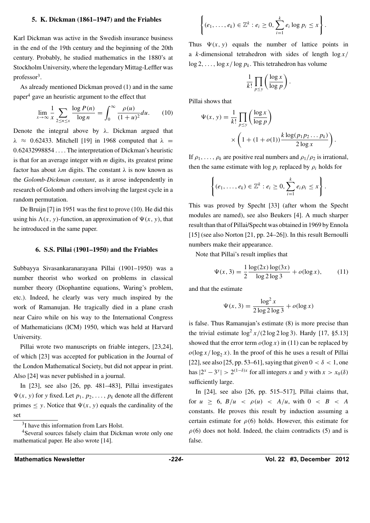#### **5. K. Dickman (1861–1947) and the Friables**

Karl Dickman was active in the Swedish insurance business in the end of the 19th century and the beginning of the 20th century. Probably, he studied mathematics in the 1880's at Stockholm University, where the legendary Mittag-Leffler was professor<sup>3</sup>.

As already mentioned Dickman proved (1) and in the same paper $<sup>4</sup>$  gave an heuristic argument to the effect that</sup>

$$
\lim_{x \to \infty} \frac{1}{x} \sum_{2 \le n \le x} \frac{\log P(n)}{\log n} = \int_0^\infty \frac{\rho(u)}{(1+u)^2} du. \tag{10}
$$

Denote the integral above by *λ*. Dickman argued that  $λ \approx 0.62433$ . Mitchell [19] in 1968 computed that  $λ$  = 0*.*62432998854 *...* . The interpretation of Dickman's heuristic is that for an average integer with *m* digits, its greatest prime factor has about *λm* digits. The constant *λ* is now known as the *Golomb-Dickman constant*, as it arose independently in research of Golomb and others involving the largest cycle in a random permutation.

De Bruijn [7] in 1951 was the first to prove (10). He did this using his  $\Lambda(x, y)$ -function, an approximation of  $\Psi(x, y)$ , that he introduced in the same paper.

#### **6. S.S. Pillai (1901–1950) and the Friables**

Subbayya Sivasankaranarayana Pillai (1901–1950) was a number theorist who worked on problems in classical number theory (Diophantine equations, Waring's problem, etc.). Indeed, he clearly was very much inspired by the work of Ramanujan. He tragically died in a plane crash near Cairo while on his way to the International Congress of Mathematicians (ICM) 1950, which was held at Harvard University.

Pillai wrote two manuscripts on friable integers, [23,24], of which [23] was accepted for publication in the Journal of the London Mathematical Society, but did not appear in print. Also [24] was never published in a journal.

In [23], see also [26, pp. 481–483], Pillai investigates  $\Psi(x, y)$  for *y* fixed. Let  $p_1, p_2, \ldots, p_k$  denote all the different primes  $\leq$  *y*. Notice that  $\Psi(x, y)$  equals the cardinality of the set

$$
\left\{(e_1,\ldots,e_k)\in\mathbb{Z}^k: e_i\geq 0,\sum_{i=1}^k e_i\log p_i\leq x\right\}.
$$

Thus  $\Psi(x, y)$  equals the number of lattice points in a *k*-dimensional tetrahedron with sides of length log *x/* log 2*,...,* log *x/* log *pk*. This tetrahedron has volume

$$
\frac{1}{k!} \prod_{p \le y} \left( \frac{\log x}{\log p} \right).
$$

Pillai shows that

$$
\Psi(x, y) = \frac{1}{k!} \prod_{p \le y} \left( \frac{\log x}{\log p} \right)
$$

$$
\times \left( 1 + (1 + o(1)) \frac{k \log (p_1 p_2 \dots p_k)}{2 \log x} \right).
$$

If  $\rho_1, \ldots, \rho_k$  are positive real numbers and  $\rho_1/\rho_2$  is irrational, then the same estimate with  $\log p_i$  replaced by  $\rho_i$  holds for

$$
\left\{(e_1,\ldots,e_k)\in\mathbb{Z}^k: e_i\geq 0,\sum_{i=1}^k e_i\rho_i\leq x\right\}.
$$

This was proved by Specht [33] (after whom the Specht modules are named), see also Beukers [4]. A much sharper result than that of Pillai/Specht was obtained in 1969 by Ennola [15] (see also Norton [21, pp. 24–26]). In this result Bernoulli numbers make their appearance.

Note that Pillai's result implies that

$$
\Psi(x,3) = \frac{1}{2} \frac{\log(2x) \log(3x)}{\log 2 \log 3} + o(\log x),\tag{11}
$$

and that the estimate

$$
\Psi(x,3) = \frac{\log^2 x}{2\log 2 \log 3} + o(\log x)
$$

is false. Thus Ramanujan's estimate (8) is more precise than the trivial estimate  $\log^2 x/(2 \log 2 \log 3)$ . Hardy [17, §5.13] showed that the error term  $o(\log x)$  in (11) can be replaced by  $o(\log x / \log_2 x)$ . In the proof of this he uses a result of Pillai [22], see also [25, pp. 53–61], saying that given  $0 < \delta < 1$ , one has  $|2^x - 3^y| > 2^{(1-\delta)x}$  for all integers *x* and *y* with  $x > x_0(\delta)$ sufficiently large.

In [24], see also [26, pp. 515–517], Pillai claims that, for  $u \ge 6$ ,  $B/u \le \rho(u) \le A/u$ , with  $0 \le B \le A$ constants. He proves this result by induction assuming a certain estimate for  $\rho(6)$  holds. However, this estimate for  $\rho$ (6) does not hold. Indeed, the claim contradicts (5) and is false.

<sup>3</sup>I have this information from Lars Holst.

<sup>4</sup>Several sources falsely claim that Dickman wrote only one mathematical paper. He also wrote [14].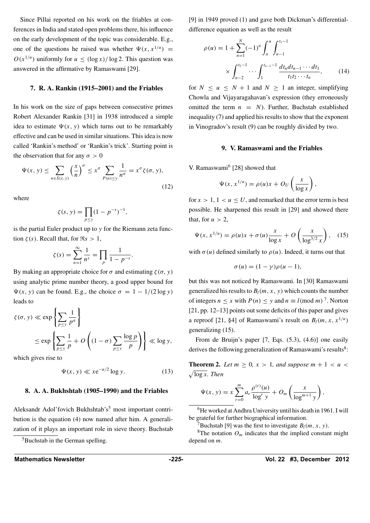Since Pillai reported on his work on the friables at conferences in India and stated open problems there, his influence on the early development of the topic was considerable. E.g., one of the questions he raised was whether  $\Psi(x, x^{1/u})$  =  $O(x^{1/u})$  uniformly for  $u < (\log x)/\log 2$ . This question was answered in the affirmative by Ramaswami [29].

#### **7. R. A. Rankin (1915–2001) and the Friables**

In his work on the size of gaps between consecutive primes Robert Alexander Rankin [31] in 1938 introduced a simple idea to estimate  $\Psi(x, y)$  which turns out to be remarkably effective and can be used in similar situations. This idea is now called 'Rankin's method' or 'Rankin's trick'. Starting point is the observation that for any  $\sigma > 0$ 

$$
\Psi(x, y) \le \sum_{n \in S(x, y)} \left(\frac{x}{n}\right)^{\sigma} \le x^{\sigma} \sum_{P(n) \le y} \frac{1}{n^{\sigma}} = x^{\sigma} \zeta(\sigma, y),\tag{12}
$$

where

$$
\zeta(s, y) = \prod_{p \le y} (1 - p^{-s})^{-1},
$$

is the partial Euler product up to *y* for the Riemann zeta function  $\zeta(s)$ . Recall that, for  $\Re s > 1$ ,

$$
\zeta(s) = \sum_{n=1}^{\infty} \frac{1}{n^s} = \prod_p \frac{1}{1 - p^{-s}}.
$$

By making an appropriate choice for *σ* and estimating  $ζ(σ, γ)$ using analytic prime number theory, a good upper bound for  $\Psi(x, y)$  can be found. E.g., the choice  $\sigma = 1 - 1/(2 \log y)$ leads to

$$
\zeta(\sigma, y) \ll \exp\left\{\sum_{p \le y} \frac{1}{p^{\sigma}}\right\}
$$
  
 
$$
\le \exp\left\{\sum_{p \le y} \frac{1}{p} + O\left((1 - \sigma) \sum_{p \le y} \frac{\log p}{p}\right)\right\} \ll \log y,
$$

which gives rise to

$$
\Psi(x, y) \ll x e^{-u/2} \log y. \tag{13}
$$

#### **8. A. A. Bukhshtab (1905–1990) and the Friables**

Aleksandr Adol'fovich Bukhshtab's<sup>5</sup> most important contribution is the equation (4) now named after him. A generalization of it plays an important role in sieve theory. Buchstab

5Buchstab in the German spelling.

[9] in 1949 proved (1) and gave both Dickman's differentialdifference equation as well as the result

$$
\rho(u) = 1 + \sum_{n=1}^{N} (-1)^n \int_n^u \int_{n-1}^{t_1-1} \times \int_{n-2}^{t_2-1} \cdots \int_1^{t_{n-1}-1} \frac{dt_n dt_{n-1} \cdots dt_1}{t_1 t_2 \cdots t_n},
$$
(14)

for  $N \le u \le N + 1$  and  $N \ge 1$  an integer, simplifying Chowla and Vijayaragahavan's expression (they erroneously omitted the term  $n = N$ ). Further, Buchstab established inequality (7) and applied his results to show that the exponent in Vinogradov's result (9) can be roughly divided by two.

#### **9. V. Ramaswami and the Friables**

V. Ramaswami $<sup>6</sup>$  [28] showed that</sup>

$$
\Psi(x, x^{1/u}) = \rho(u)x + O_U\left(\frac{x}{\log x}\right)
$$

*,*

for  $x > 1$ ,  $1 < u \leq U$ , and remarked that the error term is best possible. He sharpened this result in [29] and showed there that, for  $u > 2$ ,

$$
\Psi(x, x^{1/u}) = \rho(u)x + \sigma(u)\frac{x}{\log x} + O\left(\frac{x}{\log^{3/2} x}\right), \quad (15)
$$

with  $\sigma(u)$  defined similarly to  $\rho(u)$ . Indeed, it turns out that

$$
\sigma(u) = (1 - \gamma)\rho(u - 1),
$$

but this was not noticed by Ramaswami. In [30] Ramaswami generalized his results to  $B_l(m, x, y)$  which counts the number of integers  $n \le x$  with  $P(n) \le y$  and  $n \equiv l \pmod{m}$ <sup>7</sup>. Norton [21, pp. 12–13] points out some deficits of this paper and gives a reproof [21, §4] of Ramaswami's result on  $B_l(m, x, x^{1/u})$ generalizing (15).

From de Bruijn's paper [7, Eqs. (5.3), (4.6)] one easily derives the following generalization of Ramaswami's results $8$ :

**Theorem 2.** Let  $m \geq 0$ ,  $x > 1$ , and suppose  $m + 1 < u <$  $\sqrt{\log x}$ *. Then* 

$$
\Psi(x, y) = x \sum_{r=0}^{m} a_r \frac{\rho^{(r)}(u)}{\log^r y} + O_m\left(\frac{x}{\log^{m+1} y}\right),
$$

<sup>6</sup>He worked at Andhra University until his death in 1961. I will be grateful for further biographical information.

<sup>7</sup>Buchstab [9] was the first to investigate  $B_l(m, x, y)$ .<br><sup>8</sup>The notation  $O_m$  indicates that the implied constant might depend on *m*.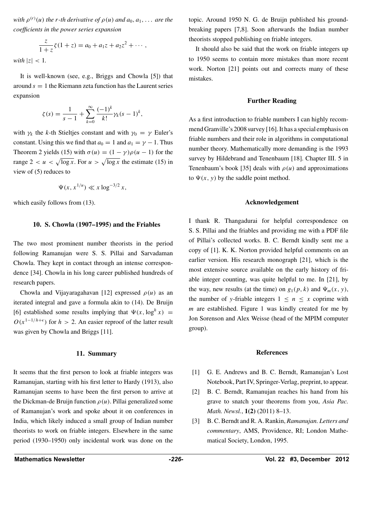*with*  $\rho^{(r)}(u)$  *the r-th derivative of*  $\rho(u)$  *and*  $a_0, a_1, \ldots$  *are the coefficients in the power series expansion*

$$
\frac{z}{1+z}\zeta(1+z) = a_0 + a_1z + a_2z^2 + \cdots,
$$

*with*  $|z| < 1$ *.* 

It is well-known (see, e.g., Briggs and Chowla [5]) that around  $s = 1$  the Riemann zeta function has the Laurent series expansion

$$
\zeta(s) = \frac{1}{s-1} + \sum_{k=0}^{\infty} \frac{(-1)^k}{k!} \gamma_k (s-1)^k,
$$

with  $\gamma_k$  the *k*-th Stieltjes constant and with  $\gamma_0 = \gamma$  Euler's constant. Using this we find that  $a_0 = 1$  and  $a_1 = \gamma - 1$ . Thus Theorem 2 yields (15) with  $\sigma(u) = (1 - \gamma)\rho(u - 1)$  for the range  $2 < u < \sqrt{\log x}$ . For  $u > \sqrt{\log x}$  the estimate (15) in view of (5) reduces to

$$
\Psi(x, x^{1/u}) \ll x \log^{-3/2} x,
$$

which easily follows from (13).

#### **10. S. Chowla (1907–1995) and the Friables**

The two most prominent number theorists in the period following Ramanujan were S. S. Pillai and Sarvadaman Chowla. They kept in contact through an intense correspondence [34]. Chowla in his long career published hundreds of research papers.

Chowla and Vijayaragahavan [12] expressed *ρ(u)* as an iterated integral and gave a formula akin to (14). De Bruijn [6] established some results implying that  $\Psi(x, \log^h x)$  =  $O(x^{1-1/h+\epsilon})$  for  $h > 2$ . An easier reproof of the latter result was given by Chowla and Briggs [11].

#### **11. Summary**

It seems that the first person to look at friable integers was Ramanujan, starting with his first letter to Hardy (1913), also Ramanujan seems to have been the first person to arrive at the Dickman-de Bruijn function  $\rho(u)$ . Pillai generalized some of Ramanujan's work and spoke about it on conferences in India, which likely induced a small group of Indian number theorists to work on friable integers. Elsewhere in the same period (1930–1950) only incidental work was done on the

It should also be said that the work on friable integers up to 1950 seems to contain more mistakes than more recent work. Norton [21] points out and corrects many of these mistakes.

#### **Further Reading**

As a first introduction to friable numbers I can highly recommend Granville's 2008 survey [16]. It has a special emphasis on friable numbers and their role in algorithms in computational number theory. Mathematically more demanding is the 1993 survey by Hildebrand and Tenenbaum [18]. Chapter III. 5 in Tenenbaum's book [35] deals with  $\rho(u)$  and approximations to  $\Psi(x, y)$  by the saddle point method.

#### **Acknowledgement**

I thank R. Thangadurai for helpful correspondence on S. S. Pillai and the friables and providing me with a PDF file of Pillai's collected works. B. C. Berndt kindly sent me a copy of [1]. K. K. Norton provided helpful comments on an earlier version. His research monograph [21], which is the most extensive source available on the early history of friable integer counting, was quite helpful to me. In [21], by the way, new results (at the time) on  $g_1(p, k)$  and  $\Psi_m(x, y)$ , the number of *y*-friable integers  $1 \leq n \leq x$  coprime with *m* are established. Figure 1 was kindly created for me by Jon Sorenson and Alex Weisse (head of the MPIM computer group).

#### **References**

- [1] G. E. Andrews and B. C. Berndt, Ramanujan's Lost Notebook, Part IV, Springer-Verlag, preprint, to appear.
- [2] B. C. Berndt, Ramanujan reaches his hand from his grave to snatch your theorems from you, *Asia Pac. Math. Newsl.*, **1(2)** (2011) 8–13.
- [3] B. C. Berndt and R. A. Rankin, *Ramanujan. Letters and commentary*, AMS, Providence, RI; London Mathematical Society, London, 1995.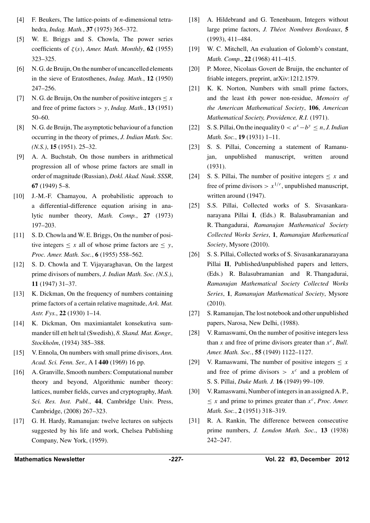- [4] F. Beukers, The lattice-points of *n*-dimensional tetrahedra, *Indag. Math.*, **37** (1975) 365–372.
- [5] W. E. Briggs and S. Chowla, The power series coefficients of *ζ (s)*, *Amer. Math. Monthly*, **62** (1955) 323–325.
- [6] N. G. de Bruijn, On the number of uncancelled elements in the sieve of Eratosthenes, *Indag. Math.*, **12** (1950) 247–256.
- [7] N. G. de Bruijn, On the number of positive integers  $\leq x$ and free of prime factors *> y*, *Indag. Math.*, **13** (1951) 50–60.
- [8] N. G. de Bruijn, The asymptotic behaviour of a function occurring in the theory of primes, *J. Indian Math. Soc. (N.S.)*, **15** (1951). 25–32.
- [9] A. A. Buchstab, On those numbers in arithmetical progression all of whose prime factors are small in order of magnitude (Russian), *Dokl. Akad. Nauk. SSSR*, **67** (1949) 5–8.
- [10] J.-M.-F. Chamayou, A probabilistic approach to a differential-difference equation arising in analytic number theory, *Math. Comp.*, **27** (1973) 197–203.
- [11] S. D. Chowla and W. E. Briggs, On the number of positive integers  $\leq x$  all of whose prime factors are  $\leq y$ , *Proc. Amer. Math. Soc.*, **6** (1955) 558–562.
- [12] S. D. Chowla and T. Vijayaraghavan, On the largest prime divisors of numbers, *J. Indian Math. Soc. (N.S.)*, **11** (1947) 31–37.
- [13] K. Dickman, On the frequency of numbers containing prime factors of a certain relative magnitude, *Ark. Mat. Astr. Fys.*, **22** (1930) 1–14.
- [14] K. Dickman, Om maximiantalet konsekutiva summander till ett helt tal (Swedish), *8. Skand. Mat. Kongr., Stockholm*, (1934) 385–388.
- [15] V. Ennola, On numbers with small prime divisors, *Ann. Acad. Sci. Fenn. Ser.*,AI **440** (1969) 16 pp.
- [16] A. Granville, Smooth numbers: Computational number theory and beyond, Algorithmic number theory: lattices, number fields, curves and cryptography, *Math. Sci. Res. Inst. Publ.*, **44**, Cambridge Univ. Press, Cambridge, (2008) 267–323.
- [17] G. H. Hardy, Ramanujan: twelve lectures on subjects suggested by his life and work, Chelsea Publishing Company, New York, (1959).
- [18] A. Hildebrand and G. Tenenbaum, Integers without large prime factors, *J. Théor. Nombres Bordeaux*, 5 (1993), 411–484.
- [19] W. C. Mitchell, An evaluation of Golomb's constant, *Math. Comp.*, **22** (1968) 411–415.
- [20] P. Moree, Nicolaas Govert de Bruijn, the enchanter of friable integers, preprint, arXiv:1212.1579.
- [21] K. K. Norton, Numbers with small prime factors, and the least *k*th power non-residue, *Memoirs of the American Mathematical Society*, **106**, *American Mathematical Society, Providence, R.I.* (1971).
- [22] S. S. Pillai, On the inequality 0 *< a<sup>x</sup>*−*b<sup>y</sup>* ≤ *n*, *J. Indian Math. Soc.*, **19** (1931) 1–11.
- [23] S. S. Pillai, Concerning a statement of Ramanujan, unpublished manuscript, written around (1931).
- [24] S. S. Pillai, The number of positive integers ≤ *x* and free of prime divisors  $> x^{1/r}$ , unpublished manuscript, written around (1947).
- [25] S.S. Pillai, Collected works of S. Sivasankaranarayana Pillai **I**, (Eds.) R. Balasubramanian and R. Thangadurai, *Ramanujan Mathematical Society Collected Works Series*, **1**, *Ramanujan Mathematical Society*, Mysore (2010).
- [26] S. S. Pillai, Collected works of S. Sivasankaranarayana Pillai **II**, Published/unpublished papers and letters, (Eds.) R. Balasubramanian and R. Thangadurai, *Ramanujan Mathematical Society Collected Works Series*, **1**, *Ramanujan Mathematical Society*, Mysore (2010).
- [27] S. Ramanujan, The lost notebook and other unpublished papers, Narosa, New Delhi, (1988).
- [28] V. Ramaswami, On the number of positive integers less than *x* and free of prime divisors greater than *x<sup>c</sup>*, *Bull. Amer. Math. Soc.*, **55** (1949) 1122–1127.
- [29] V. Ramaswami, The number of positive integers  $\leq x$ and free of prime divisors  $> x^c$  and a problem of S. S. Pillai, *Duke Math. J.* **16** (1949) 99–109.
- [30] V. Ramaswami, Number of integers in an assigned A. P.,  $\leq x$  and prime to primes greater than  $x^c$ , *Proc. Amer. Math. Soc.*, **2** (1951) 318–319.
- [31] R. A. Rankin, The difference between consecutive prime numbers, *J. London Math. Soc.*, **13** (1938) 242–247.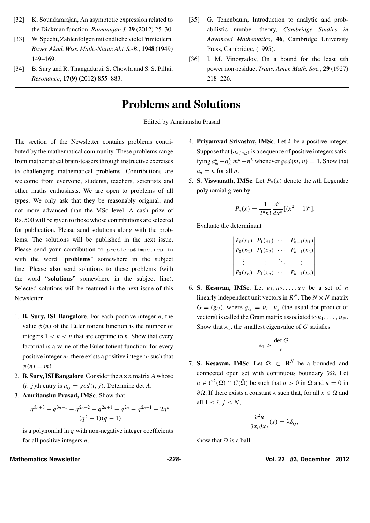- [32] K. Soundararajan, An asymptotic expression related to the Dickman function, *Ramanujan J.* **29** (2012) 25–30.
- [33] W. Specht, Zahlenfolgen mit endliche viele Primteilern, *Bayer. Akad. Wiss. Math.-Natur. Abt. S.-B.*, **1948** (1949) 149–169.
- [34] B. Sury and R. Thangadurai, S. Chowla and S. S. Pillai, *Resonance*, **17(9)** (2012) 855–883.
- [35] G. Tenenbaum, Introduction to analytic and probabilistic number theory, *Cambridge Studies in Advanced Mathematics*, **46**, Cambridge University Press, Cambridge, (1995).
- [36] I. M. Vinogradov, On a bound for the least *n*th power non-residue, *Trans. Amer. Math. Soc.*, **29** (1927) 218–226.

# **Problems and Solutions**

Edited by Amritanshu Prasad

The section of the Newsletter contains problems contributed by the mathematical community. These problems range from mathematical brain-teasers through instructive exercises to challenging mathematical problems. Contributions are welcome from everyone, students, teachers, scientists and other maths enthusiasts. We are open to problems of all types. We only ask that they be reasonably original, and not more advanced than the MSc level. A cash prize of Rs. 500 will be given to those whose contributions are selected for publication. Please send solutions along with the problems. The solutions will be published in the next issue. Please send your contribution to problems@imsc.res.in with the word "**problems**" somewhere in the subject line. Please also send solutions to these problems (with the word "**solutions**" somewhere in the subject line). Selected solutions will be featured in the next issue of this Newsletter.

- 1. **B. Sury, ISI Bangalore**. For each positive integer *n*, the value  $\phi(n)$  of the Euler totient function is the number of integers  $1 < k < n$  that are coprime to *n*. Show that every factorial is a value of the Euler totient function: for every positive integer *m*, there exists a positive integer *n* such that  $\phi(n) = m!$ .
- 2. **B. Sury, ISI Bangalore**. Consider the  $n \times n$  matrix *A* whose  $(i, j)$ th entry is  $a_{ij} = gcd(i, j)$ . Determine det *A*.
- 3. **Amritanshu Prasad, IMSc**. Show that

$$
\frac{q^{3n+3} + q^{3n-1} - q^{2n+2} - q^{2n+1} - q^{2n} - q^{2n-1} + 2q^n}{(q^2 - 1)(q - 1)}
$$

is a polynomial in *q* with non-negative integer coefficients for all positive integers *n*.

- 4. **Priyamvad Srivastav, IMSc**. Let *k* be a positive integer. Suppose that  ${a_n}_{n>1}$  is a sequence of positive integers satisfying  $a_m^k + a_n^k | m^k + n^k$  whenever  $gcd(m, n) = 1$ . Show that  $a_n = n$  for all *n*.
- 5. **S. Viswanath, IMSc**. Let  $P_n(x)$  denote the *n*th Legendre polynomial given by

$$
P_n(x) = \frac{1}{2^n n!} \frac{d^n}{dx^n} [(x^2 - 1)^n].
$$

Evaluate the determinant

  $\overline{\phantom{a}}$  $P_0(x_1)$   $P_1(x_1)$  ···  $P_{n-1}(x_1)$  $P_0(x_2)$   $P_1(x_2)$  ···  $P_{n-1}(x_2)$ *. . . . . . ... . . .*  $P_0(x_n)$   $P_1(x_n)$  ···  $P_{n-1}(x_n)$   $\overline{\phantom{a}}$ 

6. **S. Kesavan, IMSc.** Let  $u_1, u_2, \ldots, u_N$  be a set of *n* linearly independent unit vectors in  $R^N$ . The  $N \times N$  matrix  $G = (g_{ij})$ , where  $g_{ij} = u_i \cdot u_j$  (the usual dot product of vectors) is called the Gram matrix associated to  $u_1, \ldots, u_N$ . Show that  $\lambda_1$ , the smallest eigenvalue of *G* satisfies

$$
\lambda_1 > \frac{\det G}{e}.
$$

7. **S. Kesavan, IMSc.** Let  $\Omega \subset \mathbb{R}^N$  be a bounded and connected open set with continuous boundary *∂*. Let  $u \in C^2(\Omega) \cap C(\overline{\Omega})$  be such that  $u > 0$  in  $\Omega$  and  $u = 0$  in *∂* $Ω$ . If there exists a constant  $λ$  such that, for all  $x ∈ Ω$  and all  $1 \leq i, j \leq N$ ,

$$
\frac{\partial^2 u}{\partial x_i \partial x_j}(x) = \lambda \delta_{ij},
$$

show that  $\Omega$  is a ball.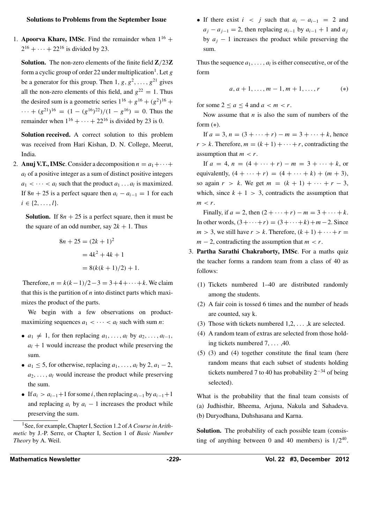#### **Solutions to Problems from the September Issue**

1. **Apoorva Khare, IMSc**. Find the remainder when  $1^{16}$  +  $2^{16} + \cdots + 22^{16}$  is divided by 23.

**Solution.** The non-zero elements of the finite field **Z***/*23**Z** form a cyclic group of order 22 under multiplication<sup>1</sup>. Let  $g$ be a generator for this group. Then  $1, g, g^2, \ldots, g^{21}$  gives all the non-zero elements of this field, and  $g^{22} = 1$ . Thus the desired sum is a geometric series  $1^{16} + g^{16} + (g^2)^{16}$  +  $\cdots$  +  $(g^{21})^{16}$  =  $(1 - (g^{16})^{22})/(1 - g^{16}) = 0$ . Thus the remainder when  $1^{16} + \cdots + 22^{16}$  is divided by 23 is 0.

**Solution received.** A correct solution to this problem was received from Hari Kishan, D. N. College, Meerut, India.

2. **Anuj V.T., IMSc**. Consider a decomposition  $n = a_1 + \cdots + a_n$ *al* of a positive integer as a sum of distinct positive integers  $a_1 < \cdots < a_l$  such that the product  $a_1 \ldots a_l$  is maximized. If  $8n + 25$  is a perfect square then  $a_i - a_{i-1} = 1$  for each  $i \in \{2, \ldots, l\}.$ 

**Solution.** If  $8n + 25$  is a perfect square, then it must be the square of an odd number, say  $2k + 1$ . Thus

$$
8n + 25 = (2k + 1)^{2}
$$
  
=  $4k^{2} + 4k + 1$   
=  $8(k(k + 1)/2) + 1$ .

Therefore,  $n = k(k-1)/2 - 3 = 3 + 4 + \cdots + k$ . We claim that this is the partition of *n* into distinct parts which maximizes the product of the parts.

We begin with a few observations on productmaximizing sequences  $a_1 < \cdots < a_l$  such with sum *n*:

- $a_1 \neq 1$ , for then replacing  $a_1, \ldots, a_l$  by  $a_2, \ldots, a_{l-1}$ ,  $a_l + 1$  would increase the product while preserving the sum.
- $a_1 \leq 5$ , for otherwise, replacing  $a_1, \ldots, a_l$  by 2,  $a_1 2$ ,  $a_2, \ldots, a_l$  would increase the product while preserving the sum.
- If  $a_i > a_{i-1}+1$  for some *i*, then replacing  $a_{i-1}$  by  $a_{i-1}+1$ and replacing  $a_i$  by  $a_i - 1$  increases the product while preserving the sum.

1See, for example, Chapter I, Section 1.2 of *A Course in Arithmetic* by J.-P. Serre, or Chapter I, Section 1 of *Basic Number Theory* by A. Weil.

• If there exist  $i < j$  such that  $a_i - a_{i-1} = 2$  and  $a_j - a_{j-1} = 2$ , then replacing  $a_{i-1}$  by  $a_{i-1} + 1$  and  $a_j$ by  $a_i - 1$  increases the product while preserving the sum.

Thus the sequence  $a_1, \ldots, a_l$  is either consecutive, or of the form

$$
a, a+1, \ldots, m-1, m+1, \ldots, r \qquad (*)
$$

for some  $2 \le a \le 4$  and  $a \le m \le r$ .

Now assume that *n* is also the sum of numbers of the form  $(*)$ .

If  $a = 3$ ,  $n = (3 + \cdots + r) - m = 3 + \cdots + k$ , hence  $r > k$ . Therefore,  $m = (k + 1) + \cdots + r$ , contradicting the assumption that  $m < r$ .

If  $a = 4$ ,  $n = (4 + \cdots + r) - m = 3 + \cdots + k$ , or equivalently,  $(4 + \cdots + r) = (4 + \cdots + k) + (m + 3)$ , so again  $r > k$ . We get  $m = (k + 1) + \cdots + r - 3$ , which, since  $k + 1 > 3$ , contradicts the assumption that  $m < r$ .

Finally, if  $a = 2$ , then  $(2 + \cdots + r) - m = 3 + \cdots + k$ . In other words, *(*3+···+*r)* = *(*3+···+*k)*+*m*−2. Since  $m > 3$ , we still have  $r > k$ . Therefore,  $(k + 1) + \cdots + r =$  $m - 2$ , contradicting the assumption that  $m < r$ .

- 3. **Partha Sarathi Chakraborty, IMSc**. For a maths quiz the teacher forms a random team from a class of 40 as follows:
	- (1) Tickets numbered 1–40 are distributed randomly among the students.
	- (2) A fair coin is tossed 6 times and the number of heads are counted, say k.
	- (3) Those with tickets numbered 1,2, *...* ,k are selected.
	- (4) A random team of extras are selected from those holding tickets numbered 7, *...* ,40.
	- (5) (3) and (4) together constitute the final team (here random means that each subset of students holding tickets numbered 7 to 40 has probability  $2^{-34}$  of being selected).

What is the probability that the final team consists of (a) Judhisthir, Bheema, Arjuna, Nakula and Sahadeva. (b) Duryodhana, Duhshasana and Karna.

Solution. The probability of each possible team (consisting of anything between 0 and 40 members) is  $1/2^{40}$ .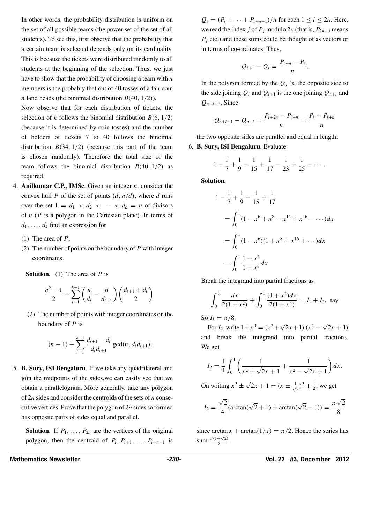In other words, the probability distribution is uniform on the set of all possible teams (the power set of the set of all students). To see this, first observe that the probability that a certain team is selected depends only on its cardinality. This is because the tickets were distributed randomly to all students at the beginning of the selection. Thus, we just have to show that the probability of choosing a team with *n* members is the probably that out of 40 tosses of a fair coin *n* land heads (the binomial distribution *B(*40*,* 1*/*2*)*).

Now observe that for each distribution of tickets, the selection of *k* follows the binomial distribution  $B(6, 1/2)$ (because it is determined by coin tosses) and the number of holders of tickets 7 to 40 follows the binomial distribution *B(*34*,* 1*/*2*)* (because this part of the team is chosen randomly). Therefore the total size of the team follows the binomial distribution  $B(40, 1/2)$  as required.

- 4. **Anilkumar C.P., IMSc**. Given an integer *n*, consider the convex hull *P* of the set of points *(d, n/d)*, where *d* runs over the set  $1 = d_1 < d_2 < \cdots < d_k = n$  of divisors of *n* (*P* is a polygon in the Cartesian plane). In terms of  $d_1, \ldots, d_k$  find an expression for
	- (1) The area of *P*.
	- (2) The number of points on the boundary of *P* with integer coordinates.

**Solution.** (1) The area of *P* is

$$
\frac{n^2-1}{2}-\sum_{i=1}^{k-1}\left(\frac{n}{d_i}-\frac{n}{d_{i+1}}\right)\left(\frac{d_{i+1}+d_i}{2}\right).
$$

(2) The number of points with integer coordinates on the boundary of *P* is

$$
(n-1)+\sum_{i=1}^{k-1}\frac{d_{i+1}-d_i}{d_i d_{i+1}}\gcd(n,d_i d_{i+1}).
$$

5. **B. Sury, ISI Bengaluru**. If we take any quadrilateral and join the midpoints of the sides,we can easily see that we obtain a parallelogram. More generally, take any polygon of 2*n* sides and consider the centroids of the sets of *n* consecutive vertices. Prove that the polygon of 2*n* sides so formed has opposite pairs of sides equal and parallel.

**Solution.** If  $P_1, \ldots, P_{2n}$  are the vertices of the original polygon, then the centroid of  $P_i$ ,  $P_{i+1}$ , ...,  $P_{i+n-1}$  is

Mathematics Newsletter **Mathematics Newsletter 1012** 

*Q<sub>i</sub>* =  $(P_i + \cdots + P_{i+n-1})/n$  for each 1 ≤ *i* ≤ 2*n*. Here, we read the index *j* of  $P_j$  modulo 2*n* (that is,  $P_{2n+j}$  means *P<sub>i</sub>* etc.) and these sums could be thought of as vectors or in terms of co-ordinates. Thus,

$$
Q_{i+1}-Q_i=\frac{P_{i+n}-P_i}{n}.
$$

In the polygon formed by the  $Q_i$  's, the opposite side to the side joining  $Q_i$  and  $Q_{i+1}$  is the one joining  $Q_{n+i}$  and  $Q_{n+i+1}$ . Since

$$
Q_{n+i+1} - Q_{n+i} = \frac{P_{i+2n} - P_{i+n}}{n} = \frac{P_i - P_{i+n}}{n}
$$

the two opposite sides are parallel and equal in length.

6. **B. Sury, ISI Bengaluru**. Evaluate

$$
1 - \frac{1}{7} + \frac{1}{9} - \frac{1}{15} + \frac{1}{17} - \frac{1}{23} + \frac{1}{25} - \cdots
$$

**Solution.**

$$
1 - \frac{1}{7} + \frac{1}{9} - \frac{1}{15} + \frac{1}{17}
$$
  
= 
$$
\int_0^1 (1 - x^6 + x^8 - x^{14} + x^{16} - \cdots) dx
$$
  
= 
$$
\int_0^1 (1 - x^6)(1 + x^8 + x^{16} + \cdots) dx
$$
  
= 
$$
\int_0^1 \frac{1 - x^6}{1 - x^8} dx
$$

Break the integrand into partial fractions as

$$
\int_0^1 \frac{dx}{2(1+x^2)} + \int_0^1 \frac{(1+x^2)dx}{2(1+x^4)} = I_1 + I_2, \text{ say}
$$

So  $I_1 = \pi/8$ .

For *I*<sub>2</sub>, write  $1+x^4 = (x^2+\sqrt{2}x+1)(x^2-\sqrt{2}x+1)$ and break the integrand into partial fractions. We get

$$
I_2 = \frac{1}{4} \int_0^1 \left( \frac{1}{x^2 + \sqrt{2}x + 1} + \frac{1}{x^2 - \sqrt{2}x + 1} \right) dx.
$$

On writing  $x^2 \pm \sqrt{2}x + 1 = (x \pm \frac{1}{4})$  $(\frac{1}{2})^2 + \frac{1}{2}$ , we get

$$
I_2 = \frac{\sqrt{2}}{4}(\arctan(\sqrt{2} + 1) + \arctan(\sqrt{2} - 1)) = \frac{\pi\sqrt{2}}{8}
$$

since arctan  $x + \arctan(1/x) = \pi/2$ . Hence the series has sum  $\frac{\pi(1+\sqrt{2})}{8}$  $\frac{+\sqrt{2}}{8}$ .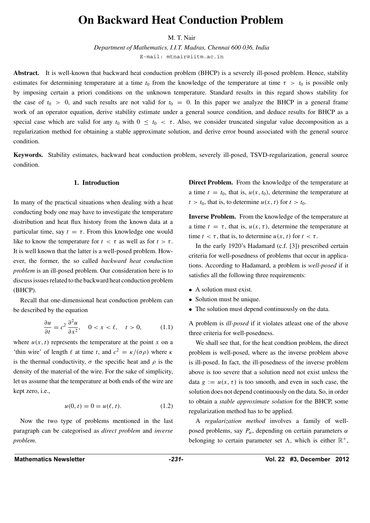# **On Backward Heat Conduction Problem**

M. T. Nair

*Department of Mathematics, I.I.T. Madras, Chennai 600 036, India* E-mail: mtnair@iitm.ac.in

**Abstract.** It is well-known that backward heat conduction problem (BHCP) is a severely ill-posed problem. Hence, stability estimates for determining temperature at a time  $t_0$  from the knowledge of the temperature at time  $\tau > t_0$  is possible only by imposing certain a priori conditions on the unknown temperature. Standard results in this regard shows stability for the case of  $t_0 > 0$ , and such results are not valid for  $t_0 = 0$ . In this paper we analyze the BHCP in a general frame work of an operator equation, derive stability estimate under a general source condition, and deduce results for BHCP as a special case which are valid for any  $t_0$  with  $0 \le t_0 < \tau$ . Also, we consider truncated singular value decomposition as a regularization method for obtaining a stable approximate solution, and derive error bound associated with the general source condition.

**Keywords.** Stability estimates, backward heat conduction problem, severely ill-posed, TSVD-regularization, general source condition.

#### **1. Introduction**

In many of the practical situations when dealing with a heat conducting body one may have to investigate the temperature distribution and heat flux history from the known data at a particular time, say  $t = \tau$ . From this knowledge one would like to know the temperature for  $t < \tau$  as well as for  $t > \tau$ . It is well known that the latter is a well-posed problem. However, the former, the so called *backward heat conduction problem* is an ill-posed problem. Our consideration here is to discuss issues related to the backward heat conduction problem (BHCP).

Recall that one-dimensional heat conduction problem can be described by the equation

$$
\frac{\partial u}{\partial t} = c^2 \frac{\partial^2 u}{\partial x^2}, \quad 0 < x < \ell, \quad t > 0,\tag{1.1}
$$

where  $u(x, t)$  represents the temperature at the point x on a 'thin wire' of length  $\ell$  at time *t*, and  $c^2 = \frac{\kappa}{\sigma \rho}$  where  $\kappa$ is the thermal conductivity,  $\sigma$  the specific heat and  $\rho$  is the density of the material of the wire. For the sake of simplicity, let us assume that the temperature at both ends of the wire are kept zero, i.e.,

$$
u(0, t) = 0 = u(\ell, t). \tag{1.2}
$$

Now the two type of problems mentioned in the last paragraph can be categorised as *direct problem* and *inverse problem*.

**Direct Problem.** From the knowledge of the temperature at a time  $t = t_0$ , that is,  $u(x, t_0)$ , determine the temperature at  $t > t_0$ , that is, to determine  $u(x, t)$  for  $t > t_0$ .

**Inverse Problem.** From the knowledge of the temperature at a time  $t = \tau$ , that is,  $u(x, \tau)$ , determine the temperature at time  $t < \tau$ , that is, to determine  $u(x, t)$  for  $t < \tau$ .

In the early 1920's Hadamard (c.f. [3]) prescribed certain criteria for well-posedness of problems that occur in applications. According to Hadamard, a problem is *well-posed* if it satisfies all the following three requirements:

- A solution must exist.
- Solution must be unique.
- The solution must depend continuously on the data.

A problem is *ill-posed* if it violates atleast one of the above three criteria for well-posedness.

We shall see that, for the heat condtion problem, the direct problem is well-posed, where as the inverse problem above is ill-posed. In fact, the ill-posedness of the inverse problem above is too severe that a solution need not exist unless the data  $g := u(x, \tau)$  is too smooth, and even in such case, the solution does not depend continuously on the data. So, in order to obtain a *stable approximate solution* for the BHCP, some regularization method has to be applied.

A *regularization method* involves a family of wellposed problems, say *Pα*, depending on certain parameters *α* belonging to certain parameter set  $\Lambda$ , which is either  $\mathbb{R}^+$ ,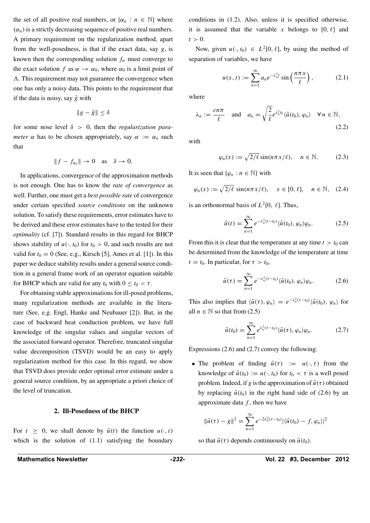the set of all positive real numbers, or  $\{\alpha_n : n \in \mathbb{N}\}\$  where  $(\alpha_n)$  is a strictly decreasing sequence of positive real numbers. A primary requirement on the regularization method, apart from the well-posedness, is that if the exact data, say *g*, is known then the corresponding solution  $f_\alpha$  must converge to the exact solution *f* as  $\alpha \rightarrow \alpha_0$ , where  $\alpha_0$  is a limit point of . This requirement may not guarantee the convergence when one has only a noisy data. This points to the requirement that if the data is noisy, say  $\tilde{g}$  with

$$
\|g - \tilde{g}\| \le \delta
$$

for some nose level *δ >* 0, then the *regularization parameter*  $\alpha$  has to be chosen appropriately, say  $\alpha := \alpha_{\delta}$  such that

$$
||f - f_{\alpha_{\delta}}|| \to 0 \quad \text{as} \quad \delta \to 0.
$$

In applications, convergence of the approximation methods is not enough. One has to know the *rate of convergence* as well. Further, one must get a *best possible rate* of convergence under certain specified *source conditions* on the unknown solution. To satisfy these requirements, error estimates have to be derived and these error estimates have to the tested for their *optimality* (cf. [7]). Standard results in this regard for BHCP shows stability of  $u(\cdot, t_0)$  for  $t_0 > 0$ , and such results are not valid for  $t_0 = 0$  (See, e.g., Kirsch [5], Ames et al. [1]). In this paper we deduce stability results under a general source condition in a general frame work of an operator equation suitable for BHCP which are valid for any  $t_0$  with  $0 \le t_0 < \tau$ .

For obtaining stable approximations for ill-posed problems, many regularization methods are available in the literature (See, e.g. Engl, Hanke and Neubauer [2]). But, in the case of backward heat conduction problem, we have full knowledge of the singular values and singular vectors of the associated forward operator. Therefore, truncated singular value decomposition (TSVD) would be an easy to apply regularization method for this case. In this regard, we show that TSVD does provide order optimal error estimate under a general source condition, by an appropriate a priori choice of the level of truncation.

#### **2. Ill-Posedness of the BHCP**

For  $t \geq 0$ , we shall denote by  $\tilde{u}(t)$  the function  $u(\cdot, t)$ which is the solution of (1.1) satisfying the boundary

conditions in (1.2). Also, unless it is specified otherwise, it is assumed that the variable x belongs to  $[0, \ell]$  and  $t > 0$ .

Now, given  $u(\cdot, t_0) \in L^2[0, \ell]$ , by using the method of separation of variables, we have

$$
u(x,t) := \sum_{n=1}^{\infty} a_n e^{-\lambda_n^2 t} \sin\left(\frac{n\pi x}{\ell}\right),\tag{2.1}
$$

where

$$
\lambda_n := \frac{cn\pi}{\ell} \quad \text{and} \quad a_n = \sqrt{\frac{2}{\ell}} e^{\lambda_n^2 t_0} \langle \tilde{u}(t_0), \varphi_n \rangle \quad \forall n \in \mathbb{N},
$$
\n(2.2)

with

$$
\varphi_n(x) := \sqrt{2/\ell} \sin(n\pi x/\ell), \quad n \in \mathbb{N}.
$$
 (2.3)

It is seen that  $\{\varphi_n : n \in \mathbb{N}\}\)$  with

$$
\varphi_n(x) := \sqrt{2/\ell} \, \sin(n\pi x/\ell), \quad x \in [0, \ell], \quad n \in \mathbb{N}, \quad (2.4)
$$

is an orthonormal basis of  $L^2[0, \ell]$ . Thus,

$$
\tilde{u}(t) = \sum_{n=1}^{\infty} e^{-\lambda_n^2(t-t_0)} \langle \tilde{u}(t_0), \varphi_n \rangle \varphi_n.
$$
 (2.5)

From this it is clear that the temperature at any time  $t > t_0$  can be determined from the knowledge of the temperature at time  $t = t_0$ . In particular, for  $\tau > t_0$ ,

$$
\tilde{u}(\tau) = \sum_{n=1}^{\infty} e^{-\lambda_n^2(\tau - t_0)} \langle \tilde{u}(t_0), \varphi_n \rangle \varphi_n.
$$
 (2.6)

This also implies that  $\langle \tilde{u}(\tau), \varphi_n \rangle = e^{-\lambda_n^2(\tau - t_0)} \langle \tilde{u}(t_0), \varphi_n \rangle$  for all  $n \in \mathbb{N}$  so that from (2.5)

$$
\tilde{u}(t_0) = \sum_{n=1}^{\infty} e^{\lambda_n^2(\tau - t_0)} \langle \tilde{u}(\tau), \varphi_n \rangle \varphi_n.
$$
 (2.7)

Expressions (2.6) and (2.7) convey the following.

• The problem of finding  $\tilde{u}(\tau) := u(\cdot, \tau)$  from the knowledge of  $\tilde{u}(t_0) := u(\cdot, t_0)$  for  $t_0 < \tau$  is a well posed problem. Indeed, if *g* is the approximation of  $\tilde{u}(\tau)$  obtained by replacing  $\tilde{u}(t_0)$  in the right hand side of (2.6) by an approximate data  $f$ , then we have

$$
\|\tilde{u}(\tau) - g\|^2 = \sum_{n=1}^{\infty} e^{-2\lambda_n^2(\tau - t_0)} |\langle \tilde{u}(t_0) - f, \varphi_n \rangle|^2
$$

so that  $\tilde{u}(\tau)$  depends continuously on  $\tilde{u}(t_0)$ .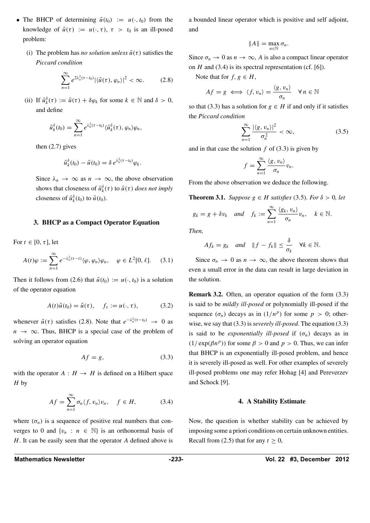- The BHCP of determining  $\tilde{u}(t_0) := u(\cdot, t_0)$  from the knowledge of  $\tilde{u}(\tau) := u(\cdot, \tau)$ ,  $\tau > t_0$  is an ill-posed problem:
	- (i) The problem has *no solution unless*  $\tilde{u}(\tau)$  satisfies the *Piccard condition*

$$
\sum_{n=1}^{\infty} e^{2\lambda_n^2(\tau-t_0)} |\langle \tilde{u}(\tau), \varphi_n \rangle|^2 < \infty.
$$
 (2.8)

(ii) If  $\tilde{u}_k^{\delta}(\tau) := \tilde{u}(\tau) + \delta \varphi_k$  for some  $k \in \mathbb{N}$  and  $\delta > 0$ , and define

$$
\tilde{u}_{k}^{\delta}(t_0)=\sum_{n=1}^{\infty}e^{\lambda_n^2(\tau-t_0)}\langle\tilde{u}_{k}^{\delta}(\tau),\varphi_n\rangle\varphi_n,
$$

then (2.7) gives

$$
\tilde{u}_{k}^{\delta}(t_0)-\tilde{u}(t_0)=\delta e^{\lambda_k^2(\tau-t_0)}\varphi_k.
$$

Since  $\lambda_n \to \infty$  as  $n \to \infty$ , the above observation shows that closeness of  $\tilde{u}_{k}^{\delta}(\tau)$  to  $\tilde{u}(\tau)$  *does not imply* closeness of  $\tilde{u}_k^{\delta}(t_0)$  to  $\tilde{u}(t_0)$ .

#### **3. BHCP as a Compact Operator Equation**

For  $t \in [0, \tau]$ , let

$$
A(t)\varphi := \sum_{n=1}^{\infty} e^{-\lambda_n^2(\tau - t)} \langle \varphi, \varphi_n \rangle \varphi_n, \quad \varphi \in L^2[0, \ell]. \tag{3.1}
$$

Then it follows from (2.6) that  $\tilde{u}(t_0) := u(\cdot, t_0)$  is a solution of the operator equation

$$
A(t)\tilde{u}(t_0) = \tilde{u}(\tau), \quad f_\tau := u(\cdot, \tau), \tag{3.2}
$$

whenever  $\tilde{u}(\tau)$  satisfies (2.8). Note that  $e^{-\lambda_n^2(\tau-t_0)} \rightarrow 0$  as  $n \to \infty$ . Thus, BHCP is a special case of the problem of solving an operator equation

$$
Af = g,\tag{3.3}
$$

with the operator  $A : H \to H$  is defined on a Hilbert space *H* by

$$
Af = \sum_{n=1}^{\infty} \sigma_n \langle f, v_n \rangle v_n, \quad f \in H,
$$
 (3.4)

where  $(\sigma_n)$  is a sequence of positive real numbers that converges to 0 and  $\{v_n : n \in \mathbb{N}\}\$ is an orthonormal basis of *H*. It can be easily seen that the operator *A* defined above is a bounded linear operator which is positive and self adjoint, and

$$
||A||=\max_{n\in\mathbb{N}}\sigma_n.
$$

Since  $\sigma_n \to 0$  as  $n \to \infty$ , *A* is also a compact linear operator on *H* and (3.4) is its spectral representation (cf. [6]).

Note that for  $f, g \in H$ ,

$$
Af = g \iff \langle f, v_n \rangle = \frac{\langle g, v_n \rangle}{\sigma_n} \quad \forall n \in \mathbb{N}
$$

so that (3.3) has a solution for  $g \in H$  if and only if it satisfies the *Piccard condition*

$$
\sum_{n=1}^{\infty} \frac{|\langle g, v_n \rangle|^2}{\sigma_n^2} < \infty,\tag{3.5}
$$

and in that case the solution  $f$  of (3.3) is given by

$$
f=\sum_{n=1}^{\infty}\frac{\langle g,v_n\rangle}{\sigma_n}v_n.
$$

From the above observation we deduce the following.

**Theorem 3.1.** *Suppose*  $g \in H$  *satisfies* (3.5)*. For*  $\delta > 0$ *, let* 

$$
g_k = g + \delta v_k
$$
 and  $f_k := \sum_{n=1}^{\infty} \frac{\langle g_k, v_n \rangle}{\sigma_n} v_n$ ,  $k \in \mathbb{N}$ .

*Then,*

$$
Af_k = g_k \quad and \quad \|f - f_k\| \le \frac{\delta}{\sigma_k} \quad \forall k \in \mathbb{N}.
$$

Since  $\sigma_n \to 0$  as  $n \to \infty$ , the above theorem shows that even a small error in the data can result in large deviation in the solution.

**Remark 3.2.** Often, an operator equation of the form  $(3.3)$ is said to be *mildly ill-posed* or polynomially ill-posed if the sequence  $(\sigma_n)$  decays as in  $(1/n^p)$  for some  $p > 0$ ; otherwise, we say that (3.3) is *severely ill-posed*. The equation (3.3) is said to be *exponentially ill-posed* if  $(\sigma_n)$  decays as in  $(1/\exp(\beta n^p))$  for some  $\beta > 0$  and  $p > 0$ . Thus, we can infer that BHCP is an exponentially ill-posed problem, and hence it is severely ill-posed as well. For other examples of severely ill-posed problems one may refer Hohag [4] and Pereverzev and Schock [9].

#### **4. A Stability Estimate**

Now, the question is whether stability can be achieved by imposing some a priori conditions on certain unknown entities. Recall from (2.5) that for any  $t \geq 0$ ,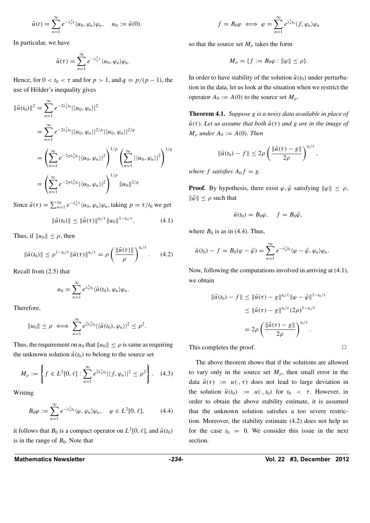$$
\tilde{u}(t) = \sum_{n=1}^{\infty} e^{-\lambda_n^2 t} \langle u_0, \varphi_n \rangle \varphi_n, \quad u_0 := \tilde{u}(0).
$$

In particular, we have

$$
\tilde{u}(\tau)=\sum_{n=1}^{\infty}e^{-\lambda_n^2\tau}\langle u_0,\varphi_n\rangle\varphi_n.
$$

Hence, for  $0 < t_0 < \tau$  and for  $p > 1$ , and  $q = p/(p-1)$ , the use of Hölder's inequality gives

$$
\|\tilde{u}(t_0)\|^2 = \sum_{n=1}^{\infty} e^{-2\lambda_n^2 t_0} |\langle u_0, \varphi_n \rangle|^2
$$
  
= 
$$
\sum_{n=1}^{\infty} e^{-2\lambda_n^2 t_0} |\langle u_0, \varphi_n \rangle|^{2/p} |\langle u_0, \varphi_n \rangle|^{2/q}
$$
  
= 
$$
\left( \sum_{n=1}^{\infty} e^{-2p\lambda_n^2 t_0} |\langle u_0, \varphi_n \rangle|^2 \right)^{1/p} \left( \sum_{n=1}^{\infty} |\langle u_0, \varphi_n \rangle|^2 \right)^{1/q}
$$
  
= 
$$
\left( \sum_{n=1}^{\infty} e^{-2p\lambda_n^2 t_0} |\langle u_0, \varphi_n \rangle|^2 \right)^{1/p} ||u_0||^{2/q}
$$

Since  $\tilde{u}(\tau) = \sum_{n=1}^{\infty} e^{-\lambda_n^2 \tau} \langle u_0, \varphi_n \rangle \varphi_n$ , taking  $p = \tau/t_0$  we get

$$
\|\tilde{u}(t_0)\| \le \|\tilde{u}(\tau)\|^{t_0/\tau} \|u_0\|^{1-t_0/\tau}.
$$
 (4.1)

Thus, if  $||u_0|| \leq \rho$ , then

$$
\|\tilde{u}(t_0)\| \le \rho^{1-t_0/\tau} \|\tilde{u}(\tau)\|^{t_0/\tau} = \rho \left(\frac{\|\tilde{u}(\tau)\|}{\rho}\right)^{t_0/\tau}.
$$
 (4.2)

Recall from (2.5) that

$$
u_0=\sum_{n=1}^\infty e^{\lambda_n^2 t_0}\langle \tilde{u}(t_0),\varphi_n\rangle\varphi_n.
$$

Therefore,

$$
||u_0|| \leq \rho \iff \sum_{n=1}^{\infty} e^{2\lambda_n^2 t_0} |\langle \tilde{u}(t_0), \varphi_n \rangle|^2 \leq \rho^2.
$$

Thus, the requirement on  $u_0$  that  $||u_0|| \le \rho$  is same as requiring the unknown solution  $\tilde{u}(t_0)$  to belong to the source set

$$
M_{\rho} := \left\{ f \in L^{2}[0,\ell] : \sum_{n=1}^{\infty} e^{2\lambda_{n}^{2}t_{0}} |\langle f, \varphi_{n} \rangle|^{2} \leq \rho^{2} \right\}.
$$
 (4.3)

Writing

$$
B_0 \varphi := \sum_{n=1}^{\infty} e^{-\lambda_n^2 t_0} \langle \varphi, \varphi_n \rangle \varphi_n, \quad \varphi \in L^2[0, \ell], \qquad (4.4)
$$

it follows that  $B_0$  is a compact operator on  $L^2[0, \ell]$ , and  $\tilde{u}(t_0)$ is in the range of  $B_0$ . Note that

$$
f = B_0 \varphi \iff \varphi = \sum_{n=1}^{\infty} e^{\lambda_n^2 t_0} \langle f, \varphi_n \rangle \varphi_n
$$

so that the source set  $M_\rho$  takes the form

$$
M_{\rho} = \{f := B_0\varphi : \|\varphi\| \le \rho\}.
$$

In order to have stability of the solution  $\tilde{u}(t_0)$  under perturbation in the data, let us look at the situation when we restrict the operator  $A_0 := A(0)$  to the source set  $M_\rho$ .

**Theorem 4.1.** *Suppose g is a noisy data available in place of*  $\tilde{u}(\tau)$ *. Let us assume that both*  $\tilde{u}(\tau)$  *and g are in the image of*  $M_{\rho}$  *under*  $A_0 := A(0)$ *. Then* 

$$
\|\tilde{u}(t_0)-f\|\leq 2\rho\left(\frac{\|\tilde{u}(\tau)-g\|}{2\rho}\right)^{t_0/\tau},\,
$$

*where*  $f$  *satisfies*  $A_0 f = g$ .

**Proof.** By hypothesis, there exist  $\varphi$ ,  $\tilde{\varphi}$  satisfying  $\|\varphi\| \leq \rho$ ,  $\|\tilde{\varphi}\| \leq \rho$  such that

$$
\tilde{u}(t_0) = B_0 \varphi, \quad f = B_0 \tilde{\varphi},
$$

where  $B_0$  is as in (4.4). Thus,

$$
\tilde{u}(t_0)-f=B_0(\varphi-\tilde{\varphi})=\sum_{n=1}^{\infty}e^{-\lambda_n^2t_0}\langle\varphi-\tilde{\varphi},\varphi_n\rangle\varphi_n.
$$

Now, following the computations involved in arriving at (4.1), we obtain

$$
\|\tilde{u}(t_0) - f\| \le \|\tilde{u}(\tau) - g\|^{t_0/\tau} \|\varphi - \tilde{\varphi}\|^{1-t_0/\tau}
$$
  

$$
\le \|\tilde{u}(\tau) - g\|^{t_0/\tau} (2\rho)^{1-t_0/\tau}
$$
  

$$
= 2\rho \left(\frac{\|\tilde{u}(\tau) - g\|}{2\rho}\right)^{t_0/\tau}.
$$

This completes the proof.  $\Box$ 

The above theorem shows that if the solutions are allowed to vary only in the source set  $M_{\rho}$ , then small error in the data  $\tilde{u}(\tau) := u(\cdot, \tau)$  does not lead to large deviation in the solution  $\tilde{u}(t_0) := u(\cdot, t_0)$  for  $t_0 < \tau$ . However, in order to obtain the above stability estimate, it is assumed that the unknown solution satisfies a too severe restriction. Moreover, the stability estimate (4.2) does not help us for the case  $t_0 = 0$ . We consider this issue in the next section.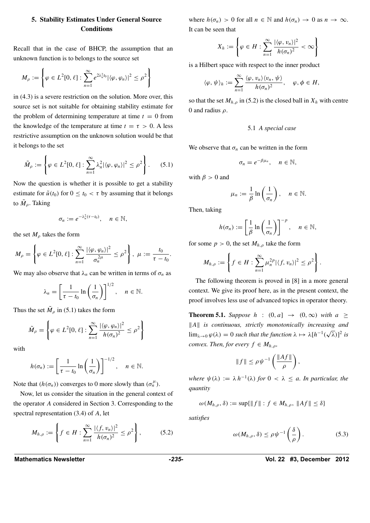### **5. Stability Estimates Under General Source Conditions**

Recall that in the case of BHCP, the assumption that an unknown function is to belongs to the source set

$$
M_{\rho} := \left\{ \varphi \in L^{2}[0,\ell] : \sum_{n=1}^{\infty} e^{2\lambda_n^2 t_0} |\langle \varphi, \varphi_n \rangle|^2 \leq \rho^2 \right\}
$$

in (4.3) is a severe restriction on the solution. More over, this source set is not suitable for obtaining stability estimate for the problem of determining temperature at time  $t = 0$  from the knowledge of the temperature at time  $t = \tau > 0$ . A less restrictive assumption on the unknown solution would be that it belongs to the set

$$
\tilde{M}_{\rho} := \left\{ \varphi \in L^{2}[0,\ell] : \sum_{n=1}^{\infty} \lambda_{n}^{2} |\langle \varphi, \varphi_{n} \rangle|^{2} \leq \rho^{2} \right\}.
$$
 (5.1)

Now the question is whether it is possible to get a stability estimate for  $\tilde{u}(t_0)$  for  $0 \le t_0 < \tau$  by assuming that it belongs to  $\tilde{M}_{\rho}$ . Taking

$$
\sigma_n := e^{-\lambda_n^2(\tau - t_0)}, \quad n \in \mathbb{N},
$$

the set  $M_\rho$  takes the form

$$
M_{\rho} = \left\{ \varphi \in L^{2}[0,\ell] : \sum_{n=1}^{\infty} \frac{|\langle \varphi, \varphi_{n} \rangle|^{2}}{\sigma_{n}^{2\mu}} \leq \rho^{2} \right\}, \ \mu := \frac{t_{0}}{\tau - t_{0}}.
$$

We may also observe that  $\lambda_n$  can be written in terms of  $\sigma_n$  as

$$
\lambda_n = \left[\frac{1}{\tau - t_0} \ln \left(\frac{1}{\sigma_n}\right)\right]^{1/2}, \quad n \in \mathbb{N}.
$$

Thus the set  $\tilde{M}_{\rho}$  in (5.1) takes the form

$$
\tilde{M}_{\rho} = \left\{ \varphi \in L^{2}[0,\ell] : \sum_{n=1}^{\infty} \frac{|\langle \varphi, \varphi_{n} \rangle|^{2}}{h(\sigma_{n})^{2}} \leq \rho^{2} \right\}
$$

with

$$
h(\sigma_n) := \left[\frac{1}{\tau - t_0} \ln\left(\frac{1}{\sigma_n}\right)\right]^{-1/2}, \quad n \in \mathbb{N}.
$$

Note that  $(h(\sigma_n))$  converges to 0 more slowly than  $(\sigma_n^{\mu})$ .

Now, let us consider the situation in the general context of the operator *A* considered in Section 3. Corresponding to the spectral representation (3.4) of *A*, let

$$
M_{h,\rho} := \left\{ f \in H : \sum_{n=1}^{\infty} \frac{|\langle f, v_n \rangle|^2}{h(\sigma_n)^2} \le \rho^2 \right\},\tag{5.2}
$$

where  $h(\sigma_n) > 0$  for all  $n \in \mathbb{N}$  and  $h(\sigma_n) \to 0$  as  $n \to \infty$ . It can be seen that

$$
X_h := \left\{ \varphi \in H : \sum_{n=1}^{\infty} \frac{|\langle \varphi, v_n \rangle|^2}{h(\sigma_n)^2} < \infty \right\}
$$

is a Hilbert space with respect to the inner product

$$
\langle \varphi, \psi \rangle_h := \sum_{n=1}^{\infty} \frac{\langle \varphi, v_n \rangle \langle v_n, \psi \rangle}{h(\sigma_n)^2}, \quad \varphi, \phi \in H,
$$

so that the set  $M_{h,\rho}$  in (5.2) is the closed ball in  $X_h$  with centre 0 and radius *ρ*.

5.1 *A special case*

We observe that  $\sigma_n$  can be written in the form

$$
\sigma_n=e^{-\beta\mu_n},\quad n\in\mathbb{N},
$$

with  $\beta > 0$  and

$$
\mu_n := \frac{1}{\beta} \ln \left( \frac{1}{\sigma_n} \right), \quad n \in \mathbb{N}.
$$

Then, taking

$$
h(\sigma_n) := \left[\frac{1}{\beta}\ln\left(\frac{1}{\sigma_n}\right)\right]^{-p}, \quad n \in \mathbb{N},
$$

for some  $p > 0$ , the set  $M_{h,\rho}$  take the form

$$
M_{h,\rho}:=\left\{f\in H:\sum_{n=1}^{\infty}\mu_n^{2p}|\langle f,v_n\rangle|^2\leq\rho^2\right\}.
$$

The following theorem is proved in [8] in a more general context. We give its proof here, as in the present context, the proof involves less use of advanced topics in operator theory.

**Theorem 5.1.** *Suppose h* :  $(0, a] \rightarrow (0, \infty)$  *with*  $a \ge$ *A is continuous, strictly monotonically increasing and*  $\lim_{\lambda \to 0} \varphi(\lambda) = 0$  *such that the function*  $\lambda \mapsto \lambda [h^{-1}(\sqrt{\lambda})]^2$  *is convex. Then, for every*  $f \in M_{h,\rho}$ *,* 

$$
||f|| \le \rho \psi^{-1} \left( \frac{||Af||}{\rho} \right),\,
$$

*where*  $\psi(\lambda) := \lambda h^{-1}(\lambda)$  *for*  $0 < \lambda \leq a$ *. In particular, the quantity*

$$
\omega(M_{h,\rho},\delta) := \sup\{\|f\| : f \in M_{h,\rho}, \|Af\| \le \delta\}
$$

*satisfies*

$$
\omega(M_{h,\rho},\delta) \leq \rho \psi^{-1}\left(\frac{\delta}{\rho}\right). \tag{5.3}
$$

**Mathematics Newsletter** *-235-* **Vol. 22 #3, December 2012**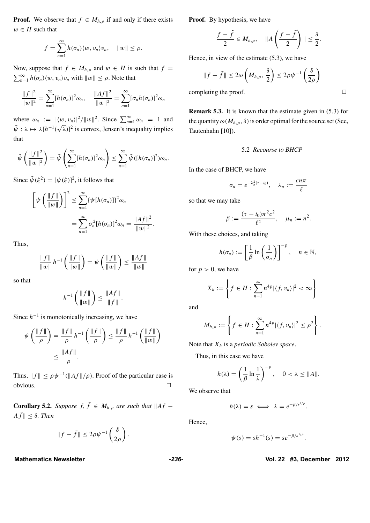**Proof.** We observe that  $f \in M_{h,\rho}$  if and only if there exists  $w \in H$  such that

$$
f=\sum_{n=1}^{\infty}h(\sigma_n)\langle w,v_n\rangle v_n, \quad ||w||\leq \rho.
$$

Now, suppose that  $f \in M_{h,\rho}$  and  $w \in H$  is such that  $f =$  $\sum_{n=1}^{\infty} h(\sigma_n) \langle w, v_n \rangle v_n$  with  $||w|| \le \rho$ . Note that

$$
\frac{\|f\|^2}{\|w\|^2} = \sum_{n=1}^{\infty} [h(\sigma_n)]^2 \omega_n, \quad \frac{\|Af\|^2}{\|w\|^2} = \sum_{n=1}^{\infty} [\sigma_n h(\sigma_n)]^2 \omega_n
$$

where  $\omega_n := |\langle w, v_n \rangle|^2 / ||w||^2$ . Since  $\sum_{n=1}^{\infty} \omega_n = 1$  and  $\tilde{\psi}: \lambda \mapsto \lambda[h^{-1}(\sqrt{\lambda})]^2$  is convex, Jensen's inequality implies that

$$
\tilde{\psi}\left(\frac{\|f\|^2}{\|w\|^2}\right) = \tilde{\psi}\left(\sum_{n=1}^{\infty} [h(\sigma_n)]^2 \omega_n\right) \le \sum_{n=1}^{\infty} \tilde{\psi}([h(\sigma_n)]^2) \omega_n.
$$

Since  $\tilde{\psi}(\xi^2) = [\psi(\xi)]^2$ , it follows that

$$
\[\psi\left(\frac{\|f\|}{\|w\|}\right)\]^{2} \leq \sum_{n=1}^{\infty} {\{\psi[h(\sigma_{n})]\}^{2}\omega_{n}}
$$

$$
= \sum_{n=1}^{\infty} \sigma_{n}^{2}[h(\sigma_{n})]^{2}\omega_{n} = \frac{\|Af\|^{2}}{\|w\|^{2}}.
$$

Thus,

$$
\frac{\|f\|}{\|w\|} h^{-1} \left( \frac{\|f\|}{\|w\|} \right) = \psi \left( \frac{\|f\|}{\|w\|} \right) \le \frac{\|Af\|}{\|w\|}
$$

so that

$$
h^{-1}\left(\frac{\|f\|}{\|w\|}\right)\leq \frac{\|Af\|}{\|f\|}.
$$

Since  $h^{-1}$  is monotonically increasing, we have

$$
\psi\left(\frac{\|f\|}{\rho}\right) = \frac{\|f\|}{\rho} h^{-1}\left(\frac{\|f\|}{\rho}\right) \le \frac{\|f\|}{\rho} h^{-1}\left(\frac{\|f\|}{\|w\|}\right)
$$

$$
\le \frac{\|Af\|}{\rho}.
$$

Thus,  $|| f || \le \rho \psi^{-1} (||Af||/\rho)$ . Proof of the particular case is  $\Box$ 

**Corollary 5.2.** *Suppose*  $f, \tilde{f} \in M_{h,\rho}$  *are such that*  $||Af \|\tilde{f}\| \leq \delta$ *. Then* 

$$
||f - \tilde{f}|| \le 2\rho\psi^{-1}\left(\frac{\delta}{2\rho}\right).
$$

**Proof.** By hypothesis, we have

$$
\frac{f-\tilde{f}}{2}\in M_{h,\rho}, \quad \|A\left(\frac{f-\tilde{f}}{2}\right)\| \leq \frac{\delta}{2}.
$$

Hence, in view of the estimate (5.3), we have

$$
\|f - \tilde{f}\| \le 2\omega \left(M_{h,\rho}, \frac{\delta}{2}\right) \le 2\rho \psi^{-1}\left(\frac{\delta}{2\rho}\right)
$$

completing the proof.  $\Box$ 

**Remark 5.3.** It is known that the estimate given in (5.3) for the quantity  $\omega(M_{h,\rho}, \delta)$  is order optimal for the source set (See, Tautenhahn [10]).

#### 5.2 *Recourse to BHCP*

In the case of BHCP, we have

$$
\sigma_n=e^{-\lambda_n^2(\tau-t_0)},\quad \lambda_n:=\frac{cn\pi}{\ell}
$$

so that we may take

$$
\beta := \frac{(\tau - t_0)\pi^2 c^2}{\ell^2}, \quad \mu_n := n^2.
$$

With these choices, and taking

$$
h(\sigma_n) := \left[\frac{1}{\beta}\ln\left(\frac{1}{\sigma_n}\right)\right]^{-p}, \quad n \in \mathbb{N},
$$

for  $p > 0$ , we have

$$
X_h := \left\{ f \in H : \sum_{n=1}^{\infty} n^{4p} |\langle f, v_n \rangle|^2 < \infty \right\}
$$

and

$$
M_{h,\rho} := \left\{ f \in H : \sum_{n=1}^{\infty} n^{4p} |\langle f, v_n \rangle|^2 \leq \rho^2 \right\}.
$$

Note that *Xh* is a *periodic Sobolev space*.

Thus, in this case we have

$$
h(\lambda) = \left(\frac{1}{\beta} \ln \frac{1}{\lambda}\right)^{-p}, \quad 0 < \lambda \leq \|A\|.
$$

We observe that

$$
h(\lambda) = s \iff \lambda = e^{-\beta/s^{1/p}}.
$$

Hence,

$$
\psi(s) = sh^{-1}(s) = se^{-\beta/s^{1/p}}.
$$

Mathematics Newsletter **Mathematics Newsletter 1012**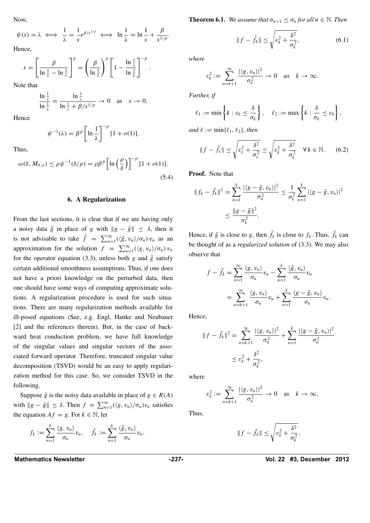Now,

$$
\psi(s) = \lambda \iff \frac{1}{\lambda} = \frac{1}{s} e^{\beta/s^{1/p}} \iff \ln \frac{1}{\lambda} = \ln \frac{1}{s} + \frac{\beta}{s^{1/p}}.
$$

Hence,

$$
s = \left[\frac{\beta}{\ln\frac{1}{\lambda} - \ln\frac{1}{s}}\right]^p = \left(\frac{\beta}{\ln\frac{1}{\lambda}}\right)^p \left[1 - \frac{\ln\frac{1}{s}}{\ln\frac{1}{\lambda}}\right]^{-p}.
$$

Note that

$$
\frac{\ln \frac{1}{s}}{\ln \frac{1}{\lambda}} = \frac{\ln \frac{1}{s}}{\ln \frac{1}{s} + \beta / s^{1/p}} \to 0 \text{ as } s \to 0.
$$

Hence

Thus,

 $\psi^{-1}(\lambda) = \beta^p \ln \frac{1}{\lambda}$ *λ*  $\int_{0}^{-p} [1 + o(1)].$ 

$$
\omega(\delta, M_{h,\rho}) \le \rho \psi^{-1}(\delta/\rho) = \rho \beta^p \left[ \ln \left( \frac{\rho}{\delta} \right) \right]^{-p} [1 + o(1)].
$$
\n(5.4)

#### **6. A Regularization**

From the last sections, it is clear that if we are having only a noisy data  $\tilde{g}$  in place of *g* with  $||g - \tilde{g}|| \leq \delta$ , then it is not advisable to take  $\tilde{f} = \sum_{n=1}^{\infty} (\langle \tilde{g}, v_n \rangle / \sigma_n) v_n$  as an approximation for the solution  $f = \sum_{n=1}^{\infty} (\langle g, v_n \rangle / \sigma_n) v_n$ for the operator equation (3.3), unless both  $g$  and  $\tilde{g}$  satisfy certain additional smoothness assumptions. Thus, if one does not have a priori knowledge on the perturbed data, then one should have some ways of computing approximate solutions. A regularization procedure is used for such situations. There are many regularization methods available for ill-posed equations (See, e.g. Engl, Hanke and Neubauer [2] and the references therein). But, in the case of backward heat conduction problem, we have full knowledge of the singular values and singular vectors of the associated forward operator. Therefore, truncated singular value decomposition (TSVD) would be an easy to apply regularization method for this case. So, we consider TSVD in the following.

Suppose  $\tilde{g}$  is the noisy data available in place of  $g \in R(A)$ with  $\|g - \tilde{g}\| \le \delta$ . Then  $f = \sum_{n=1}^{\infty} (\langle g, v_n \rangle / \sigma_n) v_n$  satisfies the equation  $Af = g$ . For  $k \in \mathbb{N}$ , let

$$
f_k := \sum_{n=1}^k \frac{\langle g, v_n \rangle}{\sigma_n} v_n, \quad \tilde{f}_k := \sum_{n=1}^k \frac{\langle \tilde{g}, v_n \rangle}{\sigma_n} v_n.
$$

**Theorem 6.1.** *We assume that*  $\sigma_{n+1} \leq \sigma_n$  *for all*  $n \in \mathbb{N}$ *. Then* 

$$
||f - \tilde{f}_k|| \le \sqrt{\varepsilon_k^2 + \frac{\delta^2}{\sigma_k^2}},
$$
\n(6.1)

*where*

$$
\varepsilon_k^2 := \sum_{n=k+1}^{\infty} \frac{|\langle g, v_n \rangle|^2}{\sigma_n^2} \to 0 \quad \text{as} \quad k \to \infty.
$$

*Further, if*

$$
\ell_1 := \min\left\{k : \varepsilon_k \leq \frac{\delta}{\sigma_k}\right\}, \quad \ell_2 := \max\left\{k : \frac{\delta}{\sigma_k} \leq \varepsilon_k\right\},\
$$

*and*  $\ell := \min\{\ell_1, \ell_2\}$ *, then* 

$$
\|f - \tilde{f}_{\ell}\| \le \sqrt{\varepsilon_{\ell}^2 + \frac{\delta^2}{\sigma_{\ell}^2}} \le \sqrt{\varepsilon_{k}^2 + \frac{\delta^2}{\sigma_{k}^2}} \quad \forall \, k \in \mathbb{N}.
$$
 (6.2)

**Proof.** Note that

$$
|| f_k - \tilde{f}_k ||^2 = \sum_{n=1}^k \frac{|\langle g - \tilde{g}, v_n \rangle|^2}{\sigma_n^2} \le \frac{1}{\sigma_k^2} \sum_{n=1}^k |\langle g - \tilde{g}, v_n \rangle|^2
$$
  

$$
\le \frac{||g - \tilde{g}||^2}{\sigma_k^2}.
$$

Hence, if  $\tilde{g}$  is close to *g*, then  $\tilde{f}_k$  is close to  $f_k$ . Thus,  $\tilde{f}_k$  can be thought of as a *regularized solution* of (3.3). We may also observe that

$$
f - \tilde{f}_k = \sum_{n=1}^{\infty} \frac{\langle g, v_n \rangle}{\sigma_n} v_n - \sum_{n=1}^k \frac{\langle \tilde{g}, v_n \rangle}{\sigma_n} v_n
$$
  
= 
$$
\sum_{n=k+1}^{\infty} \frac{\langle g, v_n \rangle}{\sigma_n} v_n + \sum_{n=1}^k \frac{\langle g - \tilde{g}, v_n \rangle}{\sigma_n} v_n.
$$

Hence,

$$
||f - \tilde{f}_k||^2 = \sum_{n=k+1}^{\infty} \frac{|\langle g, v_n \rangle|^2}{\sigma_n^2} + \sum_{n=1}^k \frac{|\langle g - \tilde{g}, v_n \rangle|^2}{\sigma_n^2} \le \varepsilon_k^2 + \frac{\delta^2}{\sigma_k^2},
$$

where

$$
\varepsilon_k^2 := \sum_{n=k+1}^{\infty} \frac{|\langle g, v_n \rangle|^2}{\sigma_n^2} \to 0 \quad \text{as} \quad k \to \infty.
$$

Thus,

$$
||f - \tilde{f}_k|| \le \sqrt{\varepsilon_k^2 + \frac{\delta^2}{\sigma_k^2}}.
$$

**Mathematics Newsletter** *-237-* **Vol. 22 #3, December 2012**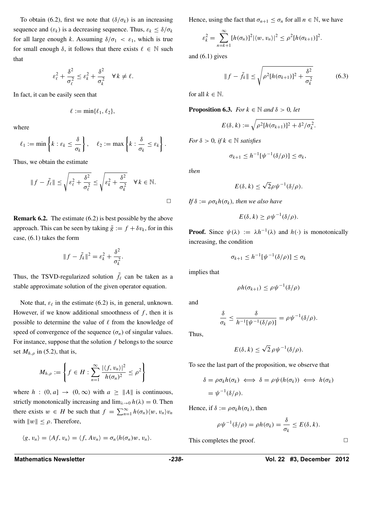To obtain (6.2), first we note that  $(\delta/\sigma_k)$  is an increasing sequence and  $(\varepsilon_k)$  is a decreasing sequence. Thus,  $\varepsilon_k \leq \delta/\sigma_k$ for all large enough *k*. Assuming  $\delta/\sigma_1 < \varepsilon_1$ , which is true for small enough  $\delta$ , it follows that there exists  $\ell \in \mathbb{N}$  such that

$$
\varepsilon_{\ell}^2 + \frac{\delta^2}{\sigma_{\ell}^2} \leq \varepsilon_k^2 + \frac{\delta^2}{\sigma_k^2} \quad \forall \, k \neq \ell.
$$

In fact, it can be easily seen that

$$
\ell := \min\{\ell_1, \ell_2\},\
$$

where

$$
\ell_1 := \min\left\{k : \varepsilon_k \leq \frac{\delta}{\sigma_k}\right\}, \quad \ell_2 := \max\left\{k : \frac{\delta}{\sigma_k} \leq \varepsilon_k\right\}.
$$

Thus, we obtain the estimate

$$
||f - \tilde{f}_{\ell}|| \le \sqrt{\varepsilon_{\ell}^2 + \frac{\delta^2}{\sigma_{\ell}^2}} \le \sqrt{\varepsilon_{k}^2 + \frac{\delta^2}{\sigma_{k}^2}} \quad \forall k \in \mathbb{N}.
$$

**Remark 6.2.** The estimate (6.2) is best possible by the above approach. This can be seen by taking  $\tilde{g} := f + \delta v_k$ , for in this case, (6.1) takes the form

$$
||f - \tilde{f}_k||^2 = \varepsilon_k^2 + \frac{\delta^2}{\sigma_k^2}.
$$

Thus, the TSVD-regularized solution  $\tilde{f}_\ell$  can be taken as a stable approximate solution of the given operator equation.

Note that,  $\varepsilon_{\ell}$  in the estimate (6.2) is, in general, unknown. However, if we know additional smoothness of  $f$ , then it is possible to determine the value of  $\ell$  from the knowledge of speed of convergence of the sequence  $(\sigma_n)$  of singular values. For instance, suppose that the solution *f* belongs to the source set  $M_{h,\rho}$  in (5.2), that is,

$$
M_{h,\rho} := \left\{ f \in H : \sum_{n=1}^{\infty} \frac{|\langle f, v_n \rangle|^2}{h(\sigma_n)^2} \le \rho^2 \right\}
$$

where  $h : (0, a] \rightarrow (0, \infty)$  with  $a \ge ||A||$  is continuous, strictly monotonically increasing and  $\lim_{\lambda \to 0} h(\lambda) = 0$ . Then there exists  $w \in H$  be such that  $f = \sum_{n=1}^{\infty} h(\sigma_n) \langle w, v_n \rangle v_n$ with  $\|w\| \leq \rho$ . Therefore,

$$
\langle g, v_n \rangle = \langle Af, v_n \rangle = \langle f, Av_n \rangle = \sigma_n \langle h(\sigma_n)w, v_n \rangle.
$$

Hence, using the fact that  $\sigma_{n+1} \leq \sigma_n$  for all  $n \in \mathbb{N}$ , we have

$$
\varepsilon_k^2 = \sum_{n=k+1}^{\infty} [h(\sigma_n)]^2 |\langle w, v_n \rangle|^2 \leq \rho^2 [h(\sigma_{k+1})]^2.
$$

and  $(6.1)$  gives

$$
||f - \tilde{f}_k|| \le \sqrt{\rho^2 [h(\sigma_{k+1})]^2 + \frac{\delta^2}{\sigma_k^2}}
$$
 (6.3)

for all  $k \in \mathbb{N}$ .

**Proposition 6.3.** *For*  $k \in \mathbb{N}$  *and*  $\delta > 0$ *, let* 

$$
E(\delta,k) := \sqrt{\rho^2[h(\sigma_{k+1})]^2 + \delta^2/\sigma_k^2}.
$$

*For*  $\delta > 0$ *, if*  $k \in \mathbb{N}$  *satisfies* 

$$
\sigma_{k+1} \leq h^{-1}[\psi^{-1}(\delta/\rho)] \leq \sigma_k,
$$

*then*

$$
E(\delta, k) \le \sqrt{2}\rho \psi^{-1}(\delta/\rho).
$$

*If*  $\delta := \rho \sigma_k h(\sigma_k)$ *, then we also have* 

$$
E(\delta, k) \ge \rho \psi^{-1}(\delta/\rho).
$$

**Proof.** Since  $\psi(\lambda) := \lambda h^{-1}(\lambda)$  and  $h(\cdot)$  is monotonically increasing, the condition

$$
\sigma_{k+1} \leq h^{-1}[\psi^{-1}(\delta/\rho)] \leq \sigma_k
$$

implies that

$$
\rho h(\sigma_{k+1}) \leq \rho \psi^{-1}(\delta/\rho)
$$

and

$$
\frac{\delta}{\sigma_k} \leq \frac{\delta}{h^{-1}[\psi^{-1}(\delta/\rho)]} = \rho \psi^{-1}(\delta/\rho).
$$

Thus,

$$
E(\delta, k) \le \sqrt{2} \,\rho \psi^{-1}(\delta/\rho).
$$

To see the last part of the proposition, we observe that

$$
\delta = \rho \sigma_k h(\sigma_k) \iff \delta = \rho \psi(h(\sigma_k)) \iff h(\sigma_k)
$$
  
=  $\psi^{-1}(\delta/\rho)$ .

Hence, if  $\delta := \rho \sigma_k h(\sigma_k)$ , then

$$
\rho\psi^{-1}(\delta/\rho) = \rho h(\sigma_k) = \frac{\delta}{\sigma_k} \le E(\delta, k).
$$

This completes the proof.  $\Box$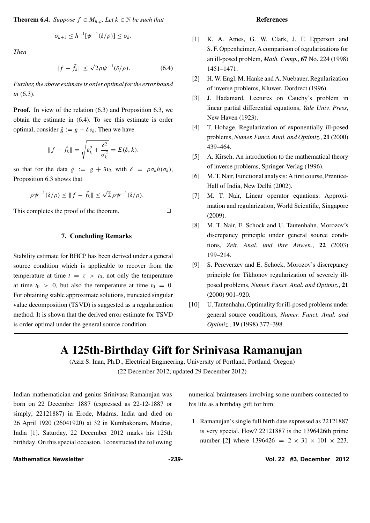**Theorem 6.4.** *Suppose*  $f \in M_{h,\rho}$ *. Let*  $k \in \mathbb{N}$  *be such that* 

$$
\sigma_{k+1} \leq h^{-1}[\psi^{-1}(\delta/\rho)] \leq \sigma_k.
$$

*Then*

$$
||f - \tilde{f}_k|| \le \sqrt{2}\rho \psi^{-1}(\delta/\rho). \tag{6.4}
$$

*Further, the above estimate is order optimal for the error bound in (*6*.*3*).*

**Proof.** In view of the relation  $(6.3)$  and Proposition 6.3, we obtain the estimate in (6.4). To see this estimate is order optimal, consider  $\tilde{g} := g + \delta v_k$ . Then we have

$$
||f - \tilde{f}_k|| = \sqrt{\varepsilon_k^2 + \frac{\delta^2}{\sigma_k^2}} = E(\delta, k).
$$

so that for the data  $\tilde{g} := g + \delta v_k$  with  $\delta = \rho \sigma_k h(\sigma_k)$ , Proposition 6.3 shows that

$$
\rho \psi^{-1}(\delta/\rho) \leq \|f - \tilde{f}_k\| \leq \sqrt{2} \rho \psi^{-1}(\delta/\rho).
$$

This completes the proof of the theorem.  $\Box$ 

#### **7. Concluding Remarks**

Stability estimate for BHCP has been derived under a general source condition which is applicable to recover from the temperature at time  $t = \tau > t_0$ , not only the temperature at time  $t_0 > 0$ , but also the temperature at time  $t_0 = 0$ . For obtaining stable approximate solutions, truncated singular value decomposition (TSVD) is suggested as a regularization method. It is shown that the derived error estimate for TSVD is order optimal under the general source condition.

#### **References**

- [1] K. A. Ames, G. W. Clark, J. F. Epperson and S. F. Oppenheimer, A comparison of regularizations for an ill-posed problem, *Math. Comp.*, **67** No. 224 (1998) 1451–1471.
- [2] H. W. Engl, M. Hanke and A. Nuebauer, Regularization of inverse problems, Kluwer, Dordrect (1996).
- [3] J. Hadamard, Lectures on Cauchy's problem in linear partial differential equations, *Yale Univ. Press*, New Haven (1923).
- [4] T. Hohage, Regularization of exponentially ill-posed problems, *Numer. Funct. Anal. and Optimiz.*, **21** (2000) 439–464.
- [5] A. Kirsch, An introduction to the mathematical theory of inverse problems, Springer-Verlag (1996).
- [6] M. T. Nair, Functional analysis: A first course, Prentice-Hall of India, New Delhi (2002).
- [7] M. T. Nair, Linear operator equations: Approximation and regularization, World Scientific, Singapore (2009).
- [8] M. T. Nair, E. Schock and U. Tautenhahn, Morozov's discrepancy principle under general source conditions, *Zeit. Anal. und ihre Anwen.*, **22** (2003) 199–214.
- [9] S. Pereverzev and E. Schock, Morozov's discrepancy principle for Tikhonov regularization of severely illposed problems, *Numer. Funct. Anal. and Optimiz.*, **21** (2000) 901–920.
- [10] U. Tautenhahn, Optimality for ill-posed problems under general source conditions, *Numer. Funct. Anal. and Optimiz.*, **19** (1998) 377–398.

# **A 125th-Birthday Gift for Srinivasa Ramanujan**

(Aziz S. Inan, Ph.D., Electrical Engineering, University of Portland, Portland, Oregon) (22 December 2012; updated 29 December 2012)

Indian mathematician and genius Srinivasa Ramanujan was born on 22 December 1887 (expressed as 22-12-1887 or simply, 22121887) in Erode, Madras, India and died on 26 April 1920 (26041920) at 32 in Kumbakonam, Madras, India [1]. Saturday, 22 December 2012 marks his 125th birthday. On this special occasion, I constructed the following numerical brainteasers involving some numbers connected to his life as a birthday gift for him:

1. Ramanujan's single full birth date expressed as 22121887 is very special. How? 22121887 is the 1396426th prime number [2] where  $1396426 = 2 \times 31 \times 101 \times 223$ .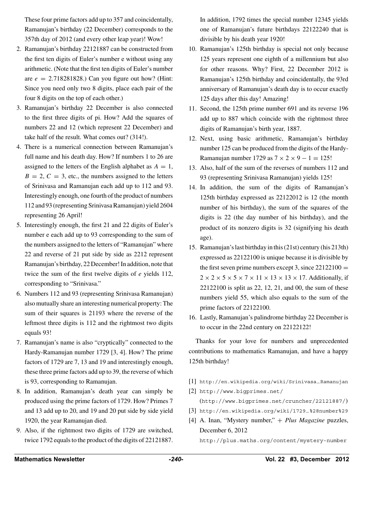These four prime factors add up to 357 and coincidentally, Ramanujan's birthday (22 December) corresponds to the 357th day of 2012 (and every other leap year)! Wow!

- 2. Ramanujan's birthday 22121887 can be constructed from the first ten digits of Euler's number e without using any arithmetic. (Note that the first ten digits of Euler's number are  $e = 2.718281828$ .) Can you figure out how? (Hint: Since you need only two 8 digits, place each pair of the four 8 digits on the top of each other.)
- 3. Ramanujan's birthday 22 December is also connected to the first three digits of pi. How? Add the squares of numbers 22 and 12 (which represent 22 December) and take half of the result. What comes out? (314!).
- 4. There is a numerical connection between Ramanujan's full name and his death day. How? If numbers 1 to 26 are assigned to the letters of the English alphabet as  $A = 1$ ,  $B = 2, C = 3$ , etc., the numbers assigned to the letters of Srinivasa and Ramanujan each add up to 112 and 93. Interestingly enough, one fourth of the product of numbers 112 and 93 (representing Srinivasa Ramanujan) yield 2604 representing 26 April!
- 5. Interestingly enough, the first 21 and 22 digits of Euler's number e each add up to 93 corresponding to the sum of the numbers assigned to the letters of "Ramanujan" where 22 and reverse of 21 put side by side as 2212 represent Ramanujan's birthday, 22 December! In addition, note that twice the sum of the first twelve digits of *e* yields 112, corresponding to "Srinivasa."
- 6. Numbers 112 and 93 (representing Srinivasa Ramanujan) also mutually share an interesting numerical property: The sum of their squares is 21193 where the reverse of the leftmost three digits is 112 and the rightmost two digits equals 93!
- 7. Ramanujan's name is also "cryptically" connected to the Hardy-Ramanujan number 1729 [3, 4]. How? The prime factors of 1729 are 7, 13 and 19 and interestingly enough, these three prime factors add up to 39, the reverse of which is 93, corresponding to Ramanujan.
- 8. In addition, Ramanujan's death year can simply be produced using the prime factors of 1729. How? Primes 7 and 13 add up to 20, and 19 and 20 put side by side yield 1920, the year Ramanujan died.
- 9. Also, if the rightmost two digits of 1729 are switched, twice 1792 equals to the product of the digits of 22121887.

In addition, 1792 times the special number 12345 yields one of Ramanujan's future birthdays 22122240 that is divisible by his death year 1920!

- 10. Ramanujan's 125th birthday is special not only because 125 years represent one eighth of a millennium but also for other reasons. Why? First, 22 December 2012 is Ramanujan's 125th birthday and coincidentally, the 93rd anniversary of Ramanujan's death day is to occur exactly 125 days after this day! Amazing!
- 11. Second, the 125th prime number 691 and its reverse 196 add up to 887 which coincide with the rightmost three digits of Ramanujan's birth year, 1887.
- 12. Next, using basic arithmetic, Ramanujan's birthday number 125 can be produced from the digits of the Hardy-Ramanujan number 1729 as  $7 \times 2 \times 9 - 1 = 125!$
- 13. Also, half of the sum of the reverses of numbers 112 and 93 (representing Srinivasa Ramanujan) yields 125!
- 14. In addition, the sum of the digits of Ramanujan's 125th birthday expressed as 22122012 is 12 (the month number of his birthday), the sum of the squares of the digits is 22 (the day number of his birthday), and the product of its nonzero digits is 32 (signifying his death age).
- 15. Ramanujan's last birthday in this (21st) century (his 213th) expressed as 22122100 is unique because it is divisible by the first seven prime numbers except 3, since  $22122100 =$  $2 \times 2 \times 5 \times 5 \times 7 \times 11 \times 13 \times 13 \times 17$ . Additionally, if 22122100 is split as 22, 12, 21, and 00, the sum of these numbers yield 55, which also equals to the sum of the prime factors of 22122100.
- 16. Lastly, Ramanujan's palindrome birthday 22 December is to occur in the 22nd century on 22122122!

Thanks for your love for numbers and unprecedented contributions to mathematics Ramanujan, and have a happy 125th birthday!

- [1] http://en.wikipedia.org/wiki/Srinivasa−Ramanujan
- [2] http://www.bigprimes.net/ (http://www.bigprimes.net/cruncher/22121887/)
- [3] http://en.wikipedia.org/wiki/1729−%28number%29
- [4] A. Inan, "Mystery number," + *Plus Magazine* puzzles, December 6, 2012

http://plus.maths.org/content/mystery-number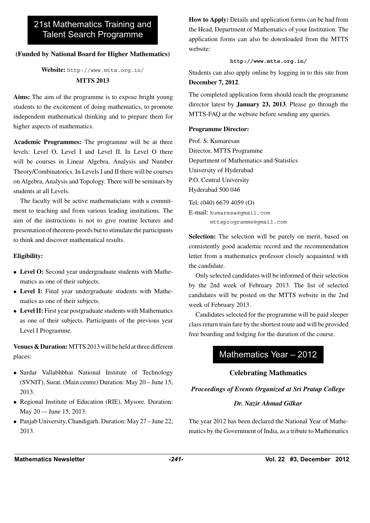# 21st Mathematics Training and Talent Search Programme

### **(Funded by National Board for Higher Mathematics)**

### **Website:** http://www.mtts.org.in/ **MTTS 2013**

**Aims:** The aim of the programme is to expose bright young students to the excitement of doing mathematics, to promote independent mathematical thinking and to prepare them for higher aspects of mathematics.

**Academic Programmes:** The programme will be at three levels: Level O, Level I and Level II. In Level O there will be courses in Linear Algebra, Analysis and Number Theory/Combinatorics. In Levels I and II there will be courses on Algebra, Analysis and Topology. There will be seminars by students at all Levels.

The faculty will be active mathematicians with a commitment to teaching and from various leading institutions. The aim of the instructions is not to give routine lectures and presentation of theorem-proofs but to stimulate the participants to think and discover mathematical results.

### **Eligibility:**

- **Level O:** Second year undergraduate students with Mathematics as one of their subjects.
- **Level I:** Final year undergraduate students with Mathematics as one of their subjects.
- **Level II:** First year postgraduate students with Mathematics as one of their subjects. Participants of the previous year Level I Programme.

**Venues & Duration:**MTTS 2013 will be held at three different places:

- Sardar Vallabhbhai National Institute of Technology (SVNIT), Surat. (Main centre) Duration: May 20 – June 15, 2013.
- Regional Institute of Education (RIE), Mysore. Duration: May 20 -– June 15, 2013.
- Panjab University, Chandigarh. Duration: May 27 June 22, 2013.

**How to Apply:** Details and application forms can be had from the Head, Department of Mathematics of your Institution. The application forms can also be downloaded from the MTTS website:

### **http://www.mtts.org.in/**

Students can also apply online by logging in to this site from **December 7, 2012**.

The completed application form should reach the programme director latest by **January 23, 2013**. Please go through the MTTS-FAQ at the website before sending any queries.

### **Programme Director:**

Prof. S. Kumaresan Director, MTTS Programme Department of Mathematics and Statistics University of Hyderabad P.O. Central University Hyderabad 500 046

Tel: (040) 6679 4059 (O) E-mail: kumaresa@gmail.com mttsprogramme@gmail.com

**Selection:** The selection will be purely on merit, based on consistently good academic record and the recommendation letter from a mathematics professor closely acquainted with the candidate.

Only selected candidates will be informed of their selection by the 2nd week of February 2013. The list of selected candidates will be posted on the MTTS website in the 2nd week of February 2013.

Candidates selected for the programme will be paid sleeper class return train fare by the shortest route and will be provided free boarding and lodging for the duration of the course.

# Mathematics Year – 2012

# **Celebrating Mathmatics**

### *Proceedings of Events Organized at Sri Pratap College*

### *Dr. Nazir Ahmad Gilkar*

The year 2012 has been declared the National Year of Mathematics by the Government of India, as a tribute to Mathematics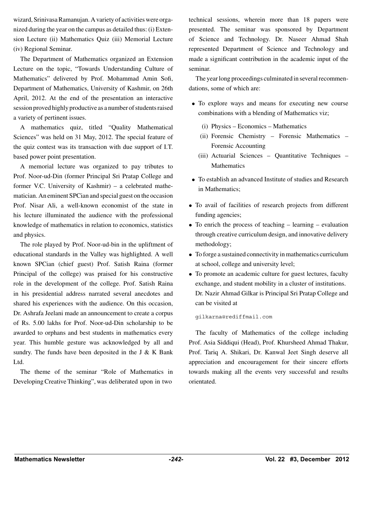wizard, Srinivasa Ramanujan. A variety of activities were organized during the year on the campus as detailed thus: (i) Extension Lecture (ii) Mathematics Quiz (iii) Memorial Lecture (iv) Regional Seminar.

The Department of Mathematics organized an Extension Lecture on the topic, "Towards Understanding Culture of Mathematics" delivered by Prof. Mohammad Amin Sofi, Department of Mathematics, University of Kashmir, on 26th April, 2012. At the end of the presentation an interactive session proved highly productive as a number of students raised a variety of pertinent issues.

A mathematics quiz, titled "Quality Mathematical Sciences" was held on 31 May, 2012. The special feature of the quiz contest was its transaction with due support of I.T. based power point presentation.

A memorial lecture was organized to pay tributes to Prof. Noor-ud-Din (former Principal Sri Pratap College and former V.C. University of Kashmir) – a celebrated mathematician. An eminent SPCian and special guest on the occasion Prof. Nisar Ali, a well-known economist of the state in his lecture illuminated the audience with the professional knowledge of mathematics in relation to economics, statistics and physics.

The role played by Prof. Noor-ud-bin in the upliftment of educational standards in the Valley was highlighted. A well known SPCian (chief guest) Prof. Satish Raina (former Principal of the college) was praised for his constructive role in the development of the college. Prof. Satish Raina in his presidential address narrated several anecdotes and shared his experiences with the audience. On this occasion, Dr. Ashrafa Jeelani made an announcement to create a corpus of Rs. 5.00 lakhs for Prof. Noor-ud-Din scholarship to be awarded to orphans and best students in mathematics every year. This humble gesture was acknowledged by all and sundry. The funds have been deposited in the J  $&$  K Bank Ltd.

The theme of the seminar "Role of Mathematics in Developing Creative Thinking", was deliberated upon in two

technical sessions, wherein more than 18 papers were presented. The seminar was sponsored by Department of Science and Technology. Dr. Naseer Ahmad Shah represented Department of Science and Technology and made a significant contribution in the academic input of the seminar.

The year long proceedings culminated in several recommendations, some of which are:

- To explore ways and means for executing new course combinations with a blending of Mathematics viz;
	- (i) Physics Economics Mathematics
	- (ii) Forensic Chemistry Forensic Mathematics Forensic Accounting
	- (iii) Actuarial Sciences Quantitative Techniques Mathematics
- To establish an advanced Institute of studies and Research in Mathematics;
- To avail of facilities of research projects from different funding agencies;
- To enrich the process of teaching learning evaluation through creative curriculum design, and innovative delivery methodology;
- To forge a sustained connectivity in mathematics curriculum at school, college and university level;
- To promote an academic culture for guest lectures, faculty exchange, and student mobility in a cluster of institutions. Dr. Nazir Ahmad Gilkar is Principal Sri Pratap College and can be visited at

gilkarna@rediffmail.com

The faculty of Mathematics of the college including Prof. Asia Siddiqui (Head), Prof. Khursheed Ahmad Thakur, Prof. Tariq A. Shikari, Dr. Kanwal Jeet Singh deserve all appreciation and encouragement for their sincere efforts towards making all the events very successful and results orientated.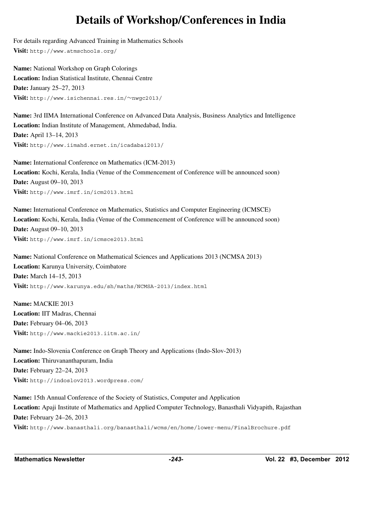# **Details of Workshop/Conferences in India**

For details regarding Advanced Training in Mathematics Schools **Visit:** http://www.atmschools.org/

**Name:** National Workshop on Graph Colorings **Location:** Indian Statistical Institute, Chennai Centre **Date:** January 25–27, 2013 **Visit:** http://www.isichennai.res.in/∼nwgc2013/

**Name:** 3rd IIMA International Conference on Advanced Data Analysis, Business Analytics and Intelligence **Location:** Indian Institute of Management, Ahmedabad, India. **Date:** April 13–14, 2013 **Visit:** http://www.iimahd.ernet.in/icadabai2013/

**Name:** International Conference on Mathematics (ICM-2013) **Location:** Kochi, Kerala, India (Venue of the Commencement of Conference will be announced soon) **Date:** August 09–10, 2013 **Visit:** http://www.imrf.in/icm2013.html

**Name:** International Conference on Mathematics, Statistics and Computer Engineering (ICMSCE) **Location:** Kochi, Kerala, India (Venue of the Commencement of Conference will be announced soon) **Date:** August 09–10, 2013 **Visit:** http://www.imrf.in/icmsce2013.html

**Name:** National Conference on Mathematical Sciences and Applications 2013 (NCMSA 2013) **Location:** Karunya University, Coimbatore **Date:** March 14–15, 2013 **Visit:** http://www.karunya.edu/sh/maths/NCMSA-2013/index.html

**Name:** MACKIE 2013 **Location:** IIT Madras, Chennai **Date:** February 04–06, 2013 **Visit:** http://www.mackie2013.iitm.ac.in/

**Name:** Indo-Slovenia Conference on Graph Theory and Applications (Indo-Slov-2013) **Location:** Thiruvananthapuram, India **Date:** February 22–24, 2013 **Visit:** http://indoslov2013.wordpress.com/

**Name:** 15th Annual Conference of the Society of Statistics, Computer and Application **Location:** Apaji Institute of Mathematics and Applied Computer Technology, Banasthali Vidyapith, Rajasthan **Date:** February 24–26, 2013 **Visit:** http://www.banasthali.org/banasthali/wcms/en/home/lower-menu/FinalBrochure.pdf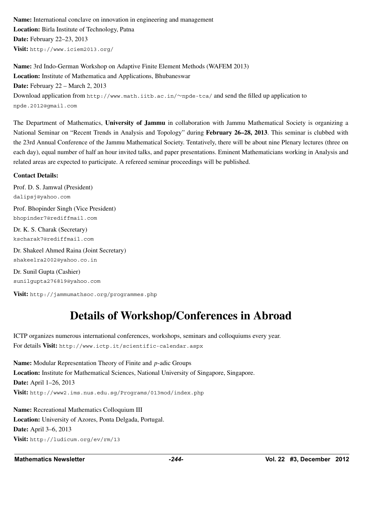**Name:** International conclave on innovation in engineering and management **Location:** Birla Institute of Technology, Patna **Date:** February 22–23, 2013 **Visit:** http://www.iciem2013.org/

**Name:** 3rd Indo-German Workshop on Adaptive Finite Element Methods (WAFEM 2013) **Location:** Institute of Mathematica and Applications, Bhubaneswar **Date:** February 22 – March 2, 2013 Download application from http://www.math.iitb.ac.in/∼npde-tca/ and send the filled up application to npde.2012@gmail.com

The Department of Mathematics, **University of Jammu** in collaboration with Jammu Mathematical Society is organizing a National Seminar on "Recent Trends in Analysis and Topology" during **February 26–28, 2013**. This seminar is clubbed with the 23rd Annual Conference of the Jammu Mathematical Society. Tentatively, there will be about nine Plenary lectures (three on each day), equal number of half an hour invited talks, and paper presentations. Eminent Mathematicians working in Analysis and related areas are expected to participate. A refereed seminar proceedings will be published.

### **Contact Details:**

Prof. D. S. Jamwal (President) dalipsj@yahoo.com

Prof. Bhopinder Singh (Vice President) bhopinder7@rediffmail.com

Dr. K. S. Charak (Secretary) kscharak7@rediffmail.com

Dr. Shakeel Ahmed Raina (Joint Secretary) shakeelra2002@yahoo.co.in

Dr. Sunil Gupta (Cashier) sunilgupta276819@yahoo.com

**Visit:** http://jammumathsoc.org/programmes.php

# **Details of Workshop/Conferences in Abroad**

ICTP organizes numerous international conferences, workshops, seminars and colloquiums every year. For details **Visit:** http://www.ictp.it/scientific-calendar.aspx

**Name:** Modular Representation Theory of Finite and *p*-adic Groups **Location:** Institute for Mathematical Sciences, National University of Singapore, Singapore. **Date:** April 1–26, 2013 **Visit:** http://www2.ims.nus.edu.sg/Programs/013mod/index.php

**Name:** Recreational Mathematics Colloquium III **Location:** University of Azores, Ponta Delgada, Portugal. **Date:** April 3–6, 2013 **Visit:** http://ludicum.org/ev/rm/13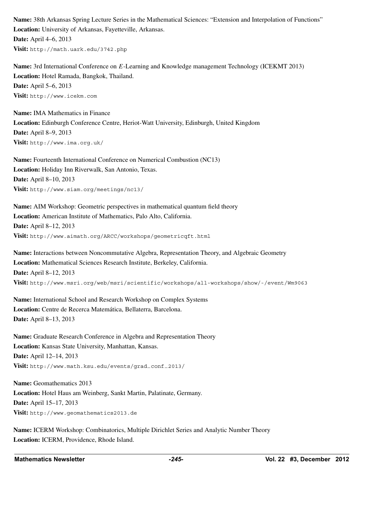**Name:** 38th Arkansas Spring Lecture Series in the Mathematical Sciences: "Extension and Interpolation of Functions" **Location:** University of Arkansas, Fayetteville, Arkansas. **Date:** April 4–6, 2013 **Visit:** http://math.uark.edu/3742.php

**Name:** 3rd International Conference on *E*-Learning and Knowledge management Technology (ICEKMT 2013) **Location:** Hotel Ramada, Bangkok, Thailand. **Date:** April 5–6, 2013 **Visit:** http://www.icekm.com

**Name:** IMA Mathematics in Finance **Location:** Edinburgh Conference Centre, Heriot-Watt University, Edinburgh, United Kingdom **Date:** April 8–9, 2013 **Visit:** http://www.ima.org.uk/

**Name:** Fourteenth International Conference on Numerical Combustion (NC13) **Location:** Holiday Inn Riverwalk, San Antonio, Texas. **Date:** April 8–10, 2013 **Visit:** http://www.siam.org/meetings/nc13/

**Name:** AIM Workshop: Geometric perspectives in mathematical quantum field theory **Location:** American Institute of Mathematics, Palo Alto, California. **Date:** April 8–12, 2013 **Visit:** http://www.aimath.org/ARCC/workshops/geometricqft.html

**Name:** Interactions between Noncommutative Algebra, Representation Theory, and Algebraic Geometry **Location:** Mathematical Sciences Research Institute, Berkeley, California. **Date:** April 8–12, 2013 **Visit:** http://www.msri.org/web/msri/scientific/workshops/all-workshops/show/-/event/Wm9063

**Name:** International School and Research Workshop on Complex Systems Location: Centre de Recerca Matemática, Bellaterra, Barcelona. **Date:** April 8–13, 2013

**Name:** Graduate Research Conference in Algebra and Representation Theory **Location:** Kansas State University, Manhattan, Kansas. **Date:** April 12–14, 2013 **Visit:** http://www.math.ksu.edu/events/grad−conf−2013/

**Name:** Geomathematics 2013 **Location:** Hotel Haus am Weinberg, Sankt Martin, Palatinate, Germany. **Date:** April 15–17, 2013 **Visit:** http://www.geomathematics2013.de

**Name:** ICERM Workshop: Combinatorics, Multiple Dirichlet Series and Analytic Number Theory **Location:** ICERM, Providence, Rhode Island.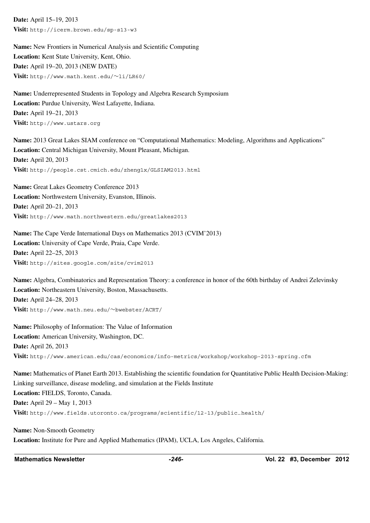**Date:** April 15–19, 2013 **Visit:** http://icerm.brown.edu/sp-s13-w3

**Name:** New Frontiers in Numerical Analysis and Scientific Computing **Location:** Kent State University, Kent, Ohio. **Date:** April 19–20, 2013 (NEW DATE) **Visit:** http://www.math.kent.edu/∼li/LR60/

**Name:** Underrepresented Students in Topology and Algebra Research Symposium **Location:** Purdue University, West Lafayette, Indiana. **Date:** April 19–21, 2013 **Visit:** http://www.ustars.org

**Name:** 2013 Great Lakes SIAM conference on "Computational Mathematics: Modeling, Algorithms and Applications" **Location:** Central Michigan University, Mount Pleasant, Michigan. **Date:** April 20, 2013 **Visit:** http://people.cst.cmich.edu/zheng1x/GLSIAM2013.html

**Name:** Great Lakes Geometry Conference 2013 **Location:** Northwestern University, Evanston, Illinois. **Date:** April 20–21, 2013 **Visit:** http://www.math.northwestern.edu/greatlakes2013

**Name:** The Cape Verde International Days on Mathematics 2013 (CVIM'2013) **Location:** University of Cape Verde, Praia, Cape Verde. **Date:** April 22–25, 2013 **Visit:** http://sites.google.com/site/cvim2013

**Name:** Algebra, Combinatorics and Representation Theory: a conference in honor of the 60th birthday of Andrei Zelevinsky **Location:** Northeastern University, Boston, Massachusetts. **Date:** April 24–28, 2013 **Visit:** http://www.math.neu.edu/∼bwebster/ACRT/

**Name:** Philosophy of Information: The Value of Information **Location:** American University, Washington, DC. **Date:** April 26, 2013 **Visit:** http://www.american.edu/cas/economics/info-metrics/workshop/workshop-2013-spring.cfm

**Name:** Mathematics of Planet Earth 2013. Establishing the scientific foundation for Quantitative Public Health Decision-Making: Linking surveillance, disease modeling, and simulation at the Fields Institute **Location:** FIELDS, Toronto, Canada. **Date:** April 29 – May 1, 2013 **Visit:** http://www.fields.utoronto.ca/programs/scientific/12-13/public−health/

**Name:** Non-Smooth Geometry **Location:** Institute for Pure and Applied Mathematics (IPAM), UCLA, Los Angeles, California.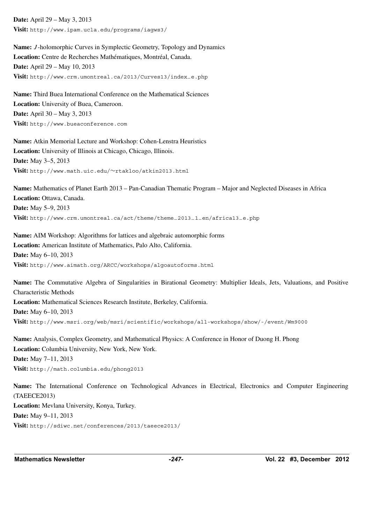**Date:** April 29 – May 3, 2013 **Visit:** http://www.ipam.ucla.edu/programs/iagws3/

**Name:** *J* -holomorphic Curves in Symplectic Geometry, Topology and Dynamics Location: Centre de Recherches Mathématiques, Montréal, Canada. **Date:** April 29 – May 10, 2013 **Visit:** http://www.crm.umontreal.ca/2013/Curves13/index−e.php

**Name:** Third Buea International Conference on the Mathematical Sciences **Location:** University of Buea, Cameroon. **Date:** April 30 – May 3, 2013 **Visit:** http://www.bueaconference.com

**Name:** Atkin Memorial Lecture and Workshop: Cohen-Lenstra Heuristics **Location:** University of Illinois at Chicago, Chicago, Illinois. **Date:** May 3–5, 2013 **Visit:** http://www.math.uic.edu/∼rtakloo/atkin2013.html

**Name:** Mathematics of Planet Earth 2013 – Pan-Canadian Thematic Program – Major and Neglected Diseases in Africa **Location:** Ottawa, Canada. **Date:** May 5–9, 2013 **Visit:** http://www.crm.umontreal.ca/act/theme/theme−2013−1−en/africa13−e.php

**Name:** AIM Workshop: Algorithms for lattices and algebraic automorphic forms **Location:** American Institute of Mathematics, Palo Alto, California. **Date:** May 6–10, 2013 **Visit:** http://www.aimath.org/ARCC/workshops/algoautoforms.html

**Name:** The Commutative Algebra of Singularities in Birational Geometry: Multiplier Ideals, Jets, Valuations, and Positive Characteristic Methods **Location:** Mathematical Sciences Research Institute, Berkeley, California. **Date:** May 6–10, 2013 **Visit:** http://www.msri.org/web/msri/scientific/workshops/all-workshops/show/-/event/Wm9000

**Name:** Analysis, Complex Geometry, and Mathematical Physics: A Conference in Honor of Duong H. Phong **Location:** Columbia University, New York, New York. **Date:** May 7–11, 2013 **Visit:** http://math.columbia.edu/phong2013

**Name:** The International Conference on Technological Advances in Electrical, Electronics and Computer Engineering (TAEECE2013) **Location:** Mevlana University, Konya, Turkey. **Date:** May 9–11, 2013 **Visit:** http://sdiwc.net/conferences/2013/taeece2013/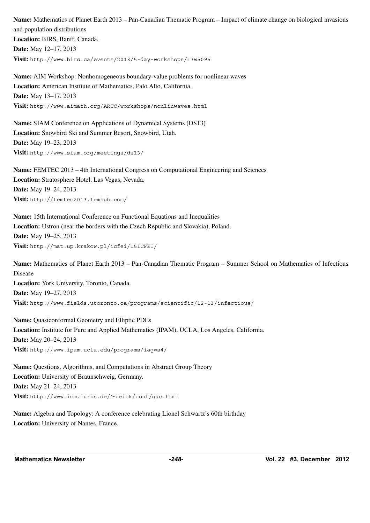**Name:** Mathematics of Planet Earth 2013 – Pan-Canadian Thematic Program – Impact of climate change on biological invasions and population distributions **Location:** BIRS, Banff, Canada. **Date:** May 12–17, 2013

**Visit:** http://www.birs.ca/events/2013/5-day-workshops/13w5095

**Name:** AIM Workshop: Nonhomogeneous boundary-value problems for nonlinear waves **Location:** American Institute of Mathematics, Palo Alto, California. **Date:** May 13–17, 2013 **Visit:** http://www.aimath.org/ARCC/workshops/nonlinwaves.html

**Name:** SIAM Conference on Applications of Dynamical Systems (DS13) **Location:** Snowbird Ski and Summer Resort, Snowbird, Utah. **Date:** May 19–23, 2013 **Visit:** http://www.siam.org/meetings/ds13/

**Name:** FEMTEC 2013 – 4th International Congress on Computational Engineering and Sciences **Location:** Stratosphere Hotel, Las Vegas, Nevada. **Date:** May 19–24, 2013 **Visit:** http://femtec2013.femhub.com/

**Name:** 15th International Conference on Functional Equations and Inequalities **Location:** Ustron (near the borders with the Czech Republic and Slovakia), Poland. **Date:** May 19–25, 2013 **Visit:** http://mat.up.krakow.pl/icfei/15ICFEI/

**Name:** Mathematics of Planet Earth 2013 – Pan-Canadian Thematic Program – Summer School on Mathematics of Infectious Disease **Location:** York University, Toronto, Canada. **Date:** May 19–27, 2013 **Visit:** http://www.fields.utoronto.ca/programs/scientific/12-13/infectious/

**Name:** Quasiconformal Geometry and Elliptic PDEs **Location:** Institute for Pure and Applied Mathematics (IPAM), UCLA, Los Angeles, California. **Date:** May 20–24, 2013 **Visit:** http://www.ipam.ucla.edu/programs/iagws4/

**Name:** Questions, Algorithms, and Computations in Abstract Group Theory **Location:** University of Braunschweig, Germany. **Date:** May 21–24, 2013 **Visit:** http://www.icm.tu-bs.de/∼beick/conf/qac.html

**Name:** Algebra and Topology: A conference celebrating Lionel Schwartz's 60th birthday **Location:** University of Nantes, France.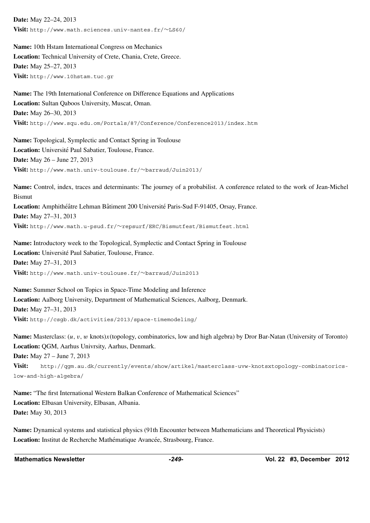**Date:** May 22–24, 2013 **Visit:** http://www.math.sciences.univ-nantes.fr/∼LS60/

**Name:** 10th Hstam International Congress on Mechanics **Location:** Technical University of Crete, Chania, Crete, Greece. **Date:** May 25–27, 2013 **Visit:** http://www.10hstam.tuc.gr

**Name:** The 19th International Conference on Difference Equations and Applications **Location:** Sultan Qaboos University, Muscat, Oman. **Date:** May 26–30, 2013 **Visit:** http://www.squ.edu.om/Portals/87/Conference/Conference2013/index.htm

**Name:** Topological, Symplectic and Contact Spring in Toulouse Location: Université Paul Sabatier, Toulouse, France. **Date:** May 26 – June 27, 2013 **Visit:** http://www.math.univ-toulouse.fr/∼barraud/Juin2013/

**Name:** Control, index, traces and determinants: The journey of a probabilist. A conference related to the work of Jean-Michel Bismut Location: Amphithéâtre Lehman Bâtiment 200 Université Paris-Sud F-91405, Orsay, France. **Date:** May 27–31, 2013 **Visit:** http://www.math.u-psud.fr/∼repsurf/ERC/Bismutfest/Bismutfest.html

**Name:** Introductory week to the Topological, Symplectic and Contact Spring in Toulouse Location: Université Paul Sabatier, Toulouse, France. **Date:** May 27–31, 2013 **Visit:** http://www.math.univ-toulouse.fr/∼barraud/Juin2013

**Name:** Summer School on Topics in Space-Time Modeling and Inference **Location:** Aalborg University, Department of Mathematical Sciences, Aalborg, Denmark. **Date:** May 27–31, 2013 **Visit:** http://csgb.dk/activities/2013/space-timemodeling/

**Name:** Masterclass: (*u, v, w* knots)*x*(topology, combinatorics, low and high algebra) by Dror Bar-Natan (University of Toronto) **Location:** QGM, Aarhus Univrsity, Aarhus, Denmark. **Date:** May 27 – June 7, 2013

**Visit:** http://qgm.au.dk/currently/events/show/artikel/masterclass-uvw-knotsxtopology-combinatoricslow-and-high-algebra/

**Name:** "The first International Western Balkan Conference of Mathematical Sciences" **Location:** Elbasan University, Elbasan, Albania. **Date:** May 30, 2013

**Name:** Dynamical systems and statistical physics (91th Encounter between Mathematicians and Theoretical Physicists) Location: Institut de Recherche Mathématique Avancée, Strasbourg, France.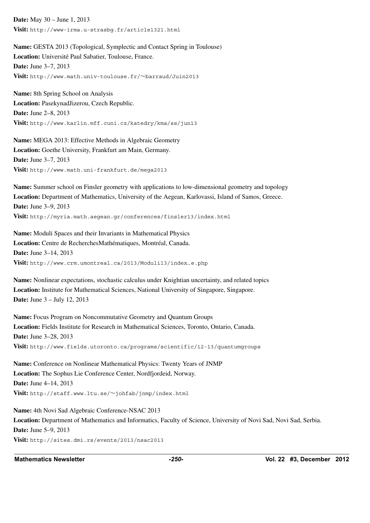**Date:** May 30 – June 1, 2013 **Visit:** http://www-irma.u-strasbg.fr/article1321.html

**Name:** GESTA 2013 (Topological, Symplectic and Contact Spring in Toulouse) Location: Université Paul Sabatier, Toulouse, France. **Date:** June 3–7, 2013 **Visit:** http://www.math.univ-toulouse.fr/∼barraud/Juin2013

**Name:** 8th Spring School on Analysis **Location:** PasekynadJizerou, Czech Republic. **Date:** June 2–8, 2013 **Visit:** http://www.karlin.mff.cuni.cz/katedry/kma/ss/jun13

**Name:** MEGA 2013: Effective Methods in Algebraic Geometry **Location:** Goethe University, Frankfurt am Main, Germany. **Date:** June 3–7, 2013 **Visit:** http://www.math.uni-frankfurt.de/mega2013

**Name:** Summer school on Finsler geometry with applications to low-dimensional geometry and topology **Location:** Department of Mathematics, University of the Aegean, Karlovassi, Island of Samos, Greece. **Date:** June 3–9, 2013 **Visit:** http://myria.math.aegean.gr/conferences/finsler13/index.html

**Name:** Moduli Spaces and their Invariants in Mathematical Physics Location: Centre de RecherchesMathématiques, Montréal, Canada. **Date:** June 3–14, 2013 **Visit:** http://www.crm.umontreal.ca/2013/Moduli13/index−e.php

**Name:** Nonlinear expectations, stochastic calculus under Knightian uncertainty, and related topics **Location:** Institute for Mathematical Sciences, National University of Singapore, Singapore. **Date:** June 3 – July 12, 2013

**Name:** Focus Program on Noncommutative Geometry and Quantum Groups **Location:** Fields Institute for Research in Mathematical Sciences, Toronto, Ontario, Canada. **Date:** June 3–28, 2013 **Visit:** http://www.fields.utoronto.ca/programs/scientific/12-13/quantumgroups

**Name:** Conference on Nonlinear Mathematical Physics: Twenty Years of JNMP **Location:** The Sophus Lie Conference Center, Nordfjordeid, Norway. **Date:** June 4–14, 2013 **Visit:** http://staff.www.ltu.se/∼johfab/jnmp/index.html

**Name:** 4th Novi Sad Algebraic Conference-NSAC 2013 **Location:** Department of Mathematics and Informatics, Faculty of Science, University of Novi Sad, Novi Sad, Serbia. **Date:** June 5–9, 2013 **Visit:** http://sites.dmi.rs/events/2013/nsac2013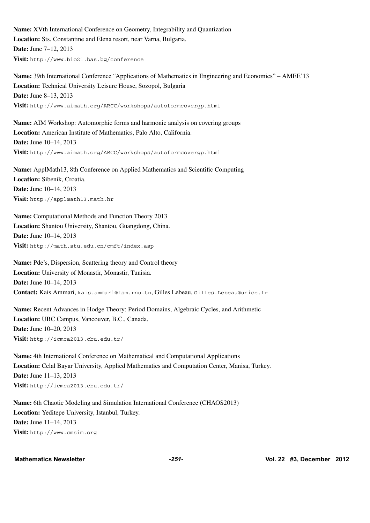**Name:** XVth International Conference on Geometry, Integrability and Quantization **Location:** Sts. Constantine and Elena resort, near Varna, Bulgaria. **Date:** June 7–12, 2013 **Visit:** http://www.bio21.bas.bg/conference

**Name:** 39th International Conference "Applications of Mathematics in Engineering and Economics" – AMEE'13 **Location:** Technical University Leisure House, Sozopol, Bulgaria **Date:** June 8–13, 2013 **Visit:** http://www.aimath.org/ARCC/workshops/autoformcovergp.html

**Name:** AIM Workshop: Automorphic forms and harmonic analysis on covering groups **Location:** American Institute of Mathematics, Palo Alto, California. **Date:** June 10–14, 2013 **Visit:** http://www.aimath.org/ARCC/workshops/autoformcovergp.html

**Name:** ApplMath13, 8th Conference on Applied Mathematics and Scientific Computing **Location:** Sibenik, Croatia. **Date:** June 10–14, 2013 **Visit:** http://applmath13.math.hr

**Name:** Computational Methods and Function Theory 2013 **Location:** Shantou University, Shantou, Guangdong, China. **Date:** June 10–14, 2013 **Visit:** http://math.stu.edu.cn/cmft/index.asp

**Name:** Pde's, Dispersion, Scattering theory and Control theory **Location:** University of Monastir, Monastir, Tunisia. **Date:** June 10–14, 2013 **Contact:** Kais Ammari, kais.ammari@fsm.rnu.tn, Gilles Lebeau, Gilles.Lebeau@unice.fr

**Name:** Recent Advances in Hodge Theory: Period Domains, Algebraic Cycles, and Arithmetic **Location:** UBC Campus, Vancouver, B.C., Canada. **Date:** June 10–20, 2013 **Visit:** http://icmca2013.cbu.edu.tr/

**Name:** 4th International Conference on Mathematical and Computational Applications **Location:** Celal Bayar University, Applied Mathematics and Computation Center, Manisa, Turkey. **Date:** June 11–13, 2013 **Visit:** http://icmca2013.cbu.edu.tr/

**Name:** 6th Chaotic Modeling and Simulation International Conference (CHAOS2013) **Location:** Yeditepe University, Istanbul, Turkey. **Date:** June 11–14, 2013 **Visit:** http://www.cmsim.org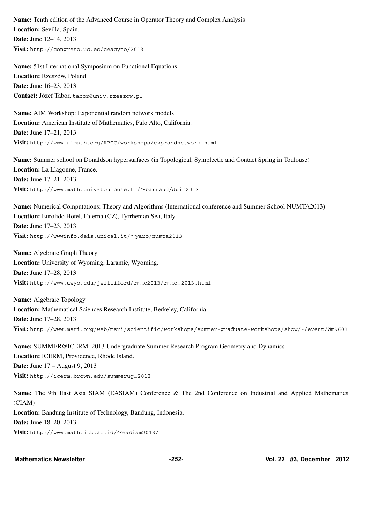**Name:** Tenth edition of the Advanced Course in Operator Theory and Complex Analysis **Location:** Sevilla, Spain. **Date:** June 12–14, 2013 **Visit:** http://congreso.us.es/ceacyto/2013

**Name:** 51st International Symposium on Functional Equations Location: Rzeszów, Poland. **Date:** June 16–23, 2013 Contact: Józef Tabor, tabor@univ.rzeszow.pl

**Name:** AIM Workshop: Exponential random network models **Location:** American Institute of Mathematics, Palo Alto, California. **Date:** June 17–21, 2013 **Visit:** http://www.aimath.org/ARCC/workshops/exprandnetwork.html

**Name:** Summer school on Donaldson hypersurfaces (in Topological, Symplectic and Contact Spring in Toulouse) **Location:** La Llagonne, France. **Date:** June 17–21, 2013 **Visit:** http://www.math.univ-toulouse.fr/∼barraud/Juin2013

**Name:** Numerical Computations: Theory and Algorithms (International conference and Summer School NUMTA2013) **Location:** Eurolido Hotel, Falerna (CZ), Tyrrhenian Sea, Italy. **Date:** June 17–23, 2013 **Visit:** http://wwwinfo.deis.unical.it/∼yaro/numta2013

**Name:** Algebraic Graph Theory **Location:** University of Wyoming, Laramie, Wyoming. **Date:** June 17–28, 2013 **Visit:** http://www.uwyo.edu/jwilliford/rmmc2013/rmmc−2013.html

**Name:** Algebraic Topology **Location:** Mathematical Sciences Research Institute, Berkeley, California. **Date:** June 17–28, 2013 **Visit:** http://www.msri.org/web/msri/scientific/workshops/summer-graduate-workshops/show/-/event/Wm9603

**Name:** SUMMER@ICERM: 2013 Undergraduate Summer Research Program Geometry and Dynamics **Location:** ICERM, Providence, Rhode Island. **Date:** June 17 – August 9, 2013 **Visit:** http://icerm.brown.edu/summerug−2013

**Name:** The 9th East Asia SIAM (EASIAM) Conference & The 2nd Conference on Industrial and Applied Mathematics (CIAM) **Location:** Bandung Institute of Technology, Bandung, Indonesia. **Date:** June 18–20, 2013 **Visit:** http://www.math.itb.ac.id/∼easiam2013/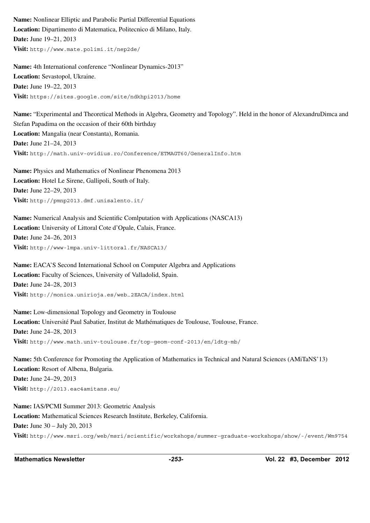**Name:** Nonlinear Elliptic and Parabolic Partial Differential Equations **Location:** Dipartimento di Matematica, Politecnico di Milano, Italy. **Date:** June 19–21, 2013 **Visit:** http://www.mate.polimi.it/nep2de/

**Name:** 4th International conference "Nonlinear Dynamics-2013" **Location:** Sevastopol, Ukraine. **Date:** June 19–22, 2013 **Visit:** https://sites.google.com/site/ndkhpi2013/home

**Name:** "Experimental and Theoretical Methods in Algebra, Geometry and Topology". Held in the honor of AlexandruDimca and Stefan Papadima on the occasion of their 60th birthday **Location:** Mangalia (near Constanta), Romania. **Date:** June 21–24, 2013 **Visit:** http://math.univ-ovidius.ro/Conference/ETMAGT60/GeneralInfo.htm

**Name:** Physics and Mathematics of Nonlinear Phenomena 2013 **Location:** Hotel Le Sirene, Gallipoli, South of Italy. **Date:** June 22–29, 2013 **Visit:** http://pmnp2013.dmf.unisalento.it/

**Name:** Numerical Analysis and Scientific Comlputation with Applications (NASCA13) **Location:** University of Littoral Cote d'Opale, Calais, France. **Date:** June 24–26, 2013 **Visit:** http://www-lmpa.univ-littoral.fr/NASCA13/

**Name:** EACA'S Second International School on Computer Algebra and Applications **Location:** Faculty of Sciences, University of Valladolid, Spain. **Date:** June 24–28, 2013 **Visit:** http://monica.unirioja.es/web−2EACA/index.html

**Name:** Low-dimensional Topology and Geometry in Toulouse Location: Université Paul Sabatier, Institut de Mathématiques de Toulouse, Toulouse, France. **Date:** June 24–28, 2013 **Visit:** http://www.math.univ-toulouse.fr/top-geom-conf-2013/en/ldtg-mb/

**Name:** 5th Conference for Promoting the Application of Mathematics in Technical and Natural Sciences (AMiTaNS'13) **Location:** Resort of Albena, Bulgaria. **Date:** June 24–29, 2013 **Visit:** http://2013.eac4amitans.eu/

**Name:** IAS/PCMI Summer 2013: Geometric Analysis **Location:** Mathematical Sciences Research Institute, Berkeley, California. **Date:** June 30 – July 20, 2013 **Visit:** http://www.msri.org/web/msri/scientific/workshops/summer-graduate-workshops/show/-/event/Wm9754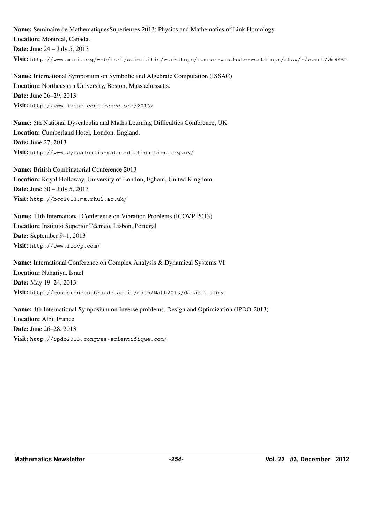**Name:** Seminaire de MathematiquesSuperieures 2013: Physics and Mathematics of Link Homology **Location:** Montreal, Canada. **Date:** June 24 – July 5, 2013 **Visit:** http://www.msri.org/web/msri/scientific/workshops/summer-graduate-workshops/show/-/event/Wm9461

**Name:** International Symposium on Symbolic and Algebraic Computation (ISSAC) **Location:** Northeastern University, Boston, Massachussetts. **Date:** June 26–29, 2013 **Visit:** http://www.issac-conference.org/2013/

**Name:** 5th National Dyscalculia and Maths Learning Difficulties Conference, UK **Location:** Cumberland Hotel, London, England. **Date:** June 27, 2013 **Visit:** http://www.dyscalculia-maths-difficulties.org.uk/

**Name:** British Combinatorial Conference 2013 **Location:** Royal Holloway, University of London, Egham, United Kingdom. **Date:** June 30 – July 5, 2013 **Visit:** http://bcc2013.ma.rhul.ac.uk/

**Name:** 11th International Conference on Vibration Problems (ICOVP-2013) Location: Instituto Superior Técnico, Lisbon, Portugal **Date:** September 9–1, 2013 **Visit:** http://www.icovp.com/

**Name:** International Conference on Complex Analysis & Dynamical Systems VI **Location:** Nahariya, Israel **Date:** May 19–24, 2013 **Visit:** http://conferences.braude.ac.il/math/Math2013/default.aspx

**Name:** 4th International Symposium on Inverse problems, Design and Optimization (IPDO-2013) **Location:** Albi, France **Date:** June 26–28, 2013 **Visit:** http://ipdo2013.congres-scientifique.com/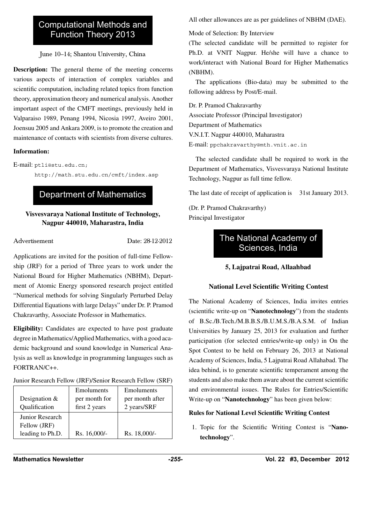# Computational Methods and Function Theory 2013

June 10–14; Shantou University, China

**Description:** The general theme of the meeting concerns various aspects of interaction of complex variables and scientific computation, including related topics from function theory, approximation theory and numerical analysis. Another important aspect of the CMFT meetings, previously held in Valparaiso 1989, Penang 1994, Nicosia 1997, Aveiro 2001, Joensuu 2005 and Ankara 2009, is to promote the creation and maintenance of contacts with scientists from diverse cultures.

### **Information:**

E-mail: ptli@stu.edu.cn;

http://math.stu.edu.cn/cmft/index.asp

# Department of Mathematics

### **Visvesvaraya National Institute of Technology, Nagpur 440010, Maharastra, India**

Advertisement Date: 28-12-2012

Applications are invited for the position of full-time Fellowship (JRF) for a period of Three years to work under the National Board for Higher Mathematics (NBHM), Department of Atomic Energy sponsored research project entitled "Numerical methods for solving Singularly Perturbed Delay Differential Equations with large Delays" under Dr. P. Pramod Chakravarthy, Associate Professor in Mathematics.

**Eligibility:** Candidates are expected to have post graduate degree in Mathematics/Applied Mathematics, with a good academic background and sound knowledge in Numerical Analysis as well as knowledge in programming languages such as FORTRAN/C++.

### Junior Research Fellow (JRF)/Senior Research Fellow (SRF)

| Designation $&$<br>Qualification | Emoluments<br>per month for<br>first 2 years | Emoluments<br>per month after<br>2 years/SRF |
|----------------------------------|----------------------------------------------|----------------------------------------------|
| Junior Research                  |                                              |                                              |
| Fellow (JRF)                     |                                              |                                              |
| leading to Ph.D.                 | Rs. 16,000/-                                 | Rs. 18,000/-                                 |

All other allowances are as per guidelines of NBHM (DAE).

Mode of Selection: By Interview

(The selected candidate will be permitted to register for Ph.D. at VNIT Nagpur. He/she will have a chance to work/interact with National Board for Higher Mathematics (NBHM).

The applications (Bio-data) may be submitted to the following address by Post/E-mail.

Dr. P. Pramod Chakravarthy Associate Professor (Principal Investigator) Department of Mathematics V.N.I.T. Nagpur 440010, Maharastra E-mail: ppchakravarthy@mth.vnit.ac.in

The selected candidate shall be required to work in the Department of Mathematics, Visvesvaraya National Institute Technology, Nagpur as full time fellow.

The last date of receipt of application is 31st January 2013.

(Dr. P. Pramod Chakravarthy) Principal Investigator

# The National Academy of Sciences, India

# **5, Lajpatrai Road, Allaahbad**

### **National Level Scientific Writing Contest**

The National Academy of Sciences, India invites entries (scientific write-up on "**Nanotechnology**") from the students of B.Sc./B.Tech./M.B.B.S./B.U.M.S./B.A.S.M. of Indian Universities by January 25, 2013 for evaluation and further participation (for selected entries/write-up only) in On the Spot Contest to be held on February 26, 2013 at National Academy of Sciences, India, 5 Lajpatrai Road Allahabad. The idea behind, is to generate scientific temperament among the students and also make them aware about the current scientific and environmental issues. The Rules for Entries/Scientific Write-up on "**Nanotechnology**" has been given below:

# **Rules for National Level Scientific Writing Contest**

1. Topic for the Scientific Writing Contest is "**Nanotechnology**".